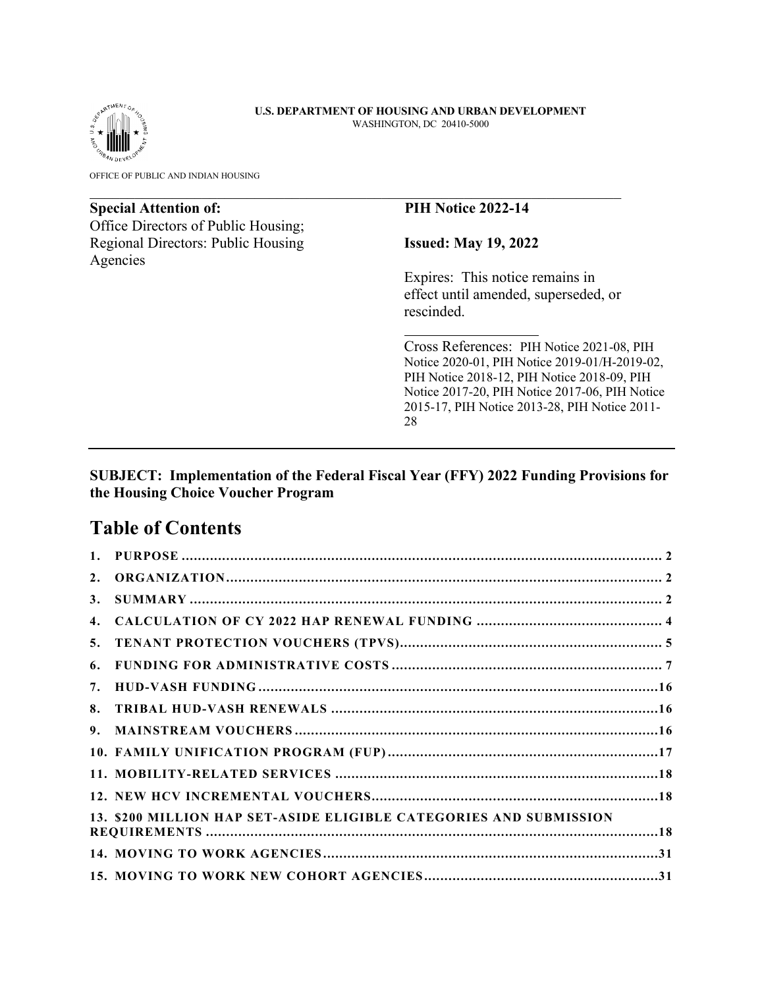

OFFICE OF PUBLIC AND INDIAN HOUSING

# **Special Attention of: PIH Notice 2022-14**

Office Directors of Public Housing; Regional Directors: Public Housing **Issued: May 19, 2022** Agencies

Expires: This notice remains in effect until amended, superseded, or rescinded.

Cross References: PIH Notice 2021-08, PIH Notice 2020-01, PIH Notice 2019-01/H-2019-02, PIH Notice 2018-12, PIH Notice 2018-09, PIH Notice 2017-20, PIH Notice 2017-06, PIH Notice 2015-17, PIH Notice 2013-28, PIH Notice 2011- 28

# **SUBJECT: Implementation of the Federal Fiscal Year (FFY) 2022 Funding Provisions for the Housing Choice Voucher Program**

# **Table of Contents**

| 1. |                                                                    |  |
|----|--------------------------------------------------------------------|--|
| 2. |                                                                    |  |
| 3. |                                                                    |  |
| 4. |                                                                    |  |
| 5. |                                                                    |  |
| 6. |                                                                    |  |
| 7. |                                                                    |  |
| 8. |                                                                    |  |
| 9. |                                                                    |  |
|    |                                                                    |  |
|    |                                                                    |  |
|    |                                                                    |  |
|    | 13. \$200 MILLION HAP SET-ASIDE ELIGIBLE CATEGORIES AND SUBMISSION |  |
|    |                                                                    |  |
|    |                                                                    |  |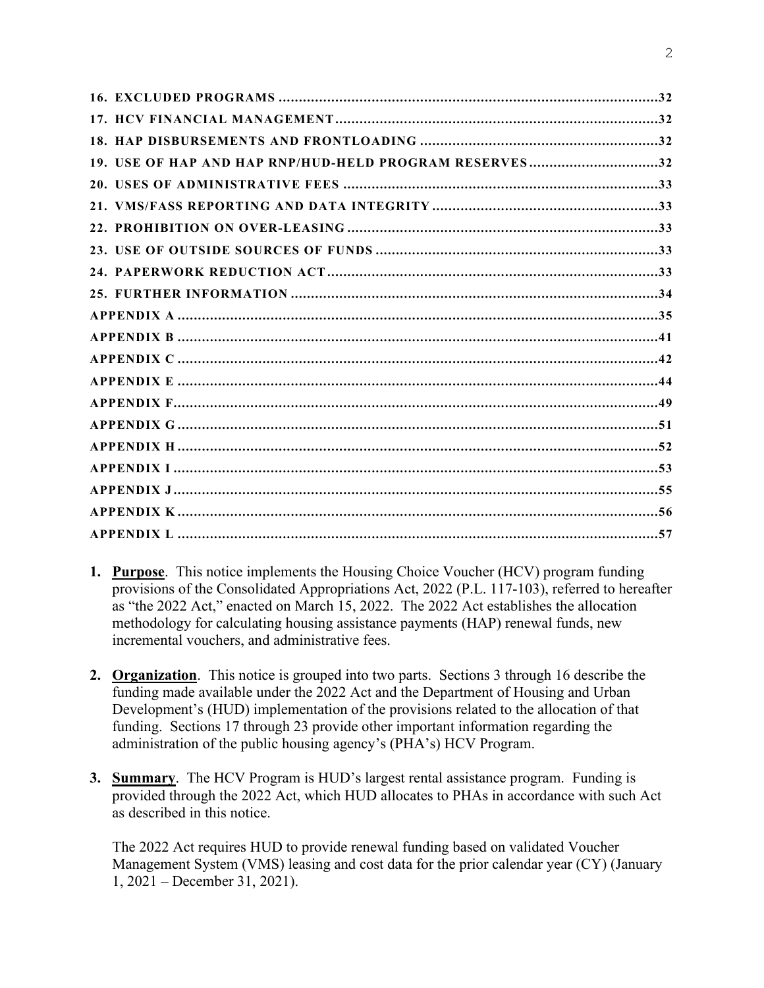| 19. USE OF HAP AND HAP RNP/HUD-HELD PROGRAM RESERVES32 |  |
|--------------------------------------------------------|--|
|                                                        |  |
|                                                        |  |
|                                                        |  |
|                                                        |  |
|                                                        |  |
|                                                        |  |
|                                                        |  |
|                                                        |  |
|                                                        |  |
|                                                        |  |
|                                                        |  |
|                                                        |  |
|                                                        |  |
|                                                        |  |
|                                                        |  |
|                                                        |  |
|                                                        |  |

- <span id="page-1-0"></span>**1. Purpose**. This notice implements the Housing Choice Voucher (HCV) program funding provisions of the Consolidated Appropriations Act, 2022 (P.L. 117-103), referred to hereafter as "the 2022 Act," enacted on March 15, 2022. The 2022 Act establishes the allocation methodology for calculating housing assistance payments (HAP) renewal funds, new incremental vouchers, and administrative fees.
- <span id="page-1-1"></span>**2. Organization**. This notice is grouped into two parts. Sections 3 through 16 describe the funding made available under the 2022 Act and the Department of Housing and Urban Development's (HUD) implementation of the provisions related to the allocation of that funding. Sections 17 through 23 provide other important information regarding the administration of the public housing agency's (PHA's) HCV Program.
- <span id="page-1-2"></span>**3. Summary**. The HCV Program is HUD's largest rental assistance program. Funding is provided through the 2022 Act, which HUD allocates to PHAs in accordance with such Act as described in this notice.

The 2022 Act requires HUD to provide renewal funding based on validated Voucher Management System (VMS) leasing and cost data for the prior calendar year (CY) (January 1, 2021 – December 31, 2021).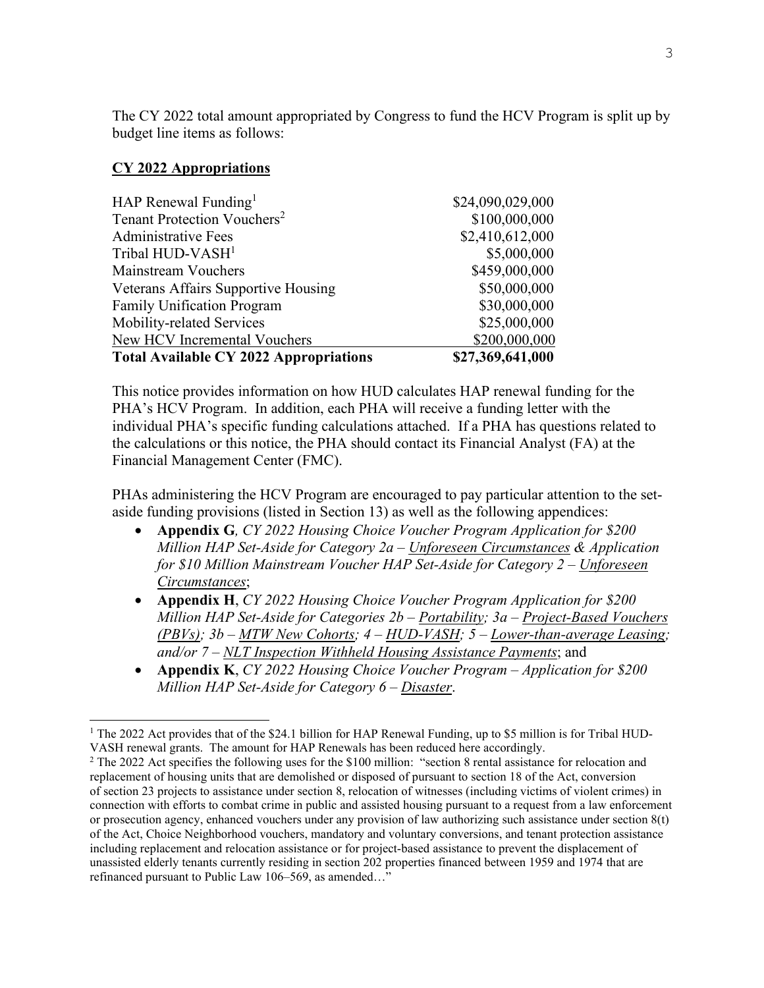The CY 2022 total amount appropriated by Congress to fund the HCV Program is split up by budget line items as follows:

### **CY 2022 Appropriations**

| \$30,000,000<br>\$25,000,000<br>\$200,000,000 |
|-----------------------------------------------|
|                                               |
|                                               |
|                                               |
| \$50,000,000                                  |
| \$459,000,000                                 |
| \$5,000,000                                   |
| \$2,410,612,000                               |
| \$100,000,000                                 |
| \$24,090,029,000                              |
|                                               |

This notice provides information on how HUD calculates HAP renewal funding for the PHA's HCV Program. In addition, each PHA will receive a funding letter with the individual PHA's specific funding calculations attached. If a PHA has questions related to the calculations or this notice, the PHA should contact its Financial Analyst (FA) at the Financial Management Center (FMC).

PHAs administering the HCV Program are encouraged to pay particular attention to the setaside funding provisions (listed in Section 13) as well as the following appendices:

- **Appendix G***, CY 2022 Housing Choice Voucher Program Application for \$200 Million HAP Set-Aside for Category 2a – Unforeseen Circumstances & Application for \$10 Million Mainstream Voucher HAP Set-Aside for Category 2 – Unforeseen Circumstances*;
- **Appendix H**, *CY 2022 Housing Choice Voucher Program Application for \$200 Million HAP Set-Aside for Categories 2b – Portability; 3a – Project-Based Vouchers (PBVs); 3b – MTW New Cohorts; 4 – HUD-VASH; 5 – Lower-than-average Leasing; and/or 7 – NLT Inspection Withheld Housing Assistance Payments*; and
- **Appendix K**, *CY 2022 Housing Choice Voucher Program Application for \$200 Million HAP Set-Aside for Category 6 – Disaster*.

<span id="page-2-0"></span><sup>&</sup>lt;sup>1</sup> The 2022 Act provides that of the \$24.1 billion for HAP Renewal Funding, up to \$5 million is for Tribal HUD-VASH renewal grants. The amount for HAP Renewals has been reduced here accordingly.

<span id="page-2-2"></span><span id="page-2-1"></span><sup>&</sup>lt;sup>2</sup> The 2022 Act specifies the following uses for the \$100 million: "section 8 rental assistance for relocation and replacement of housing units that are demolished or disposed of pursuant to section 18 of the Act, conversion of section 23 projects to assistance under section 8, relocation of witnesses (including victims of violent crimes) in connection with efforts to combat crime in public and assisted housing pursuant to a request from a law enforcement or prosecution agency, enhanced vouchers under any provision of law authorizing such assistance under section 8(t) of the Act, Choice Neighborhood vouchers, mandatory and voluntary conversions, and tenant protection assistance including replacement and relocation assistance or for project-based assistance to prevent the displacement of unassisted elderly tenants currently residing in section 202 properties financed between 1959 and 1974 that are refinanced pursuant to Public Law 106–569, as amended…"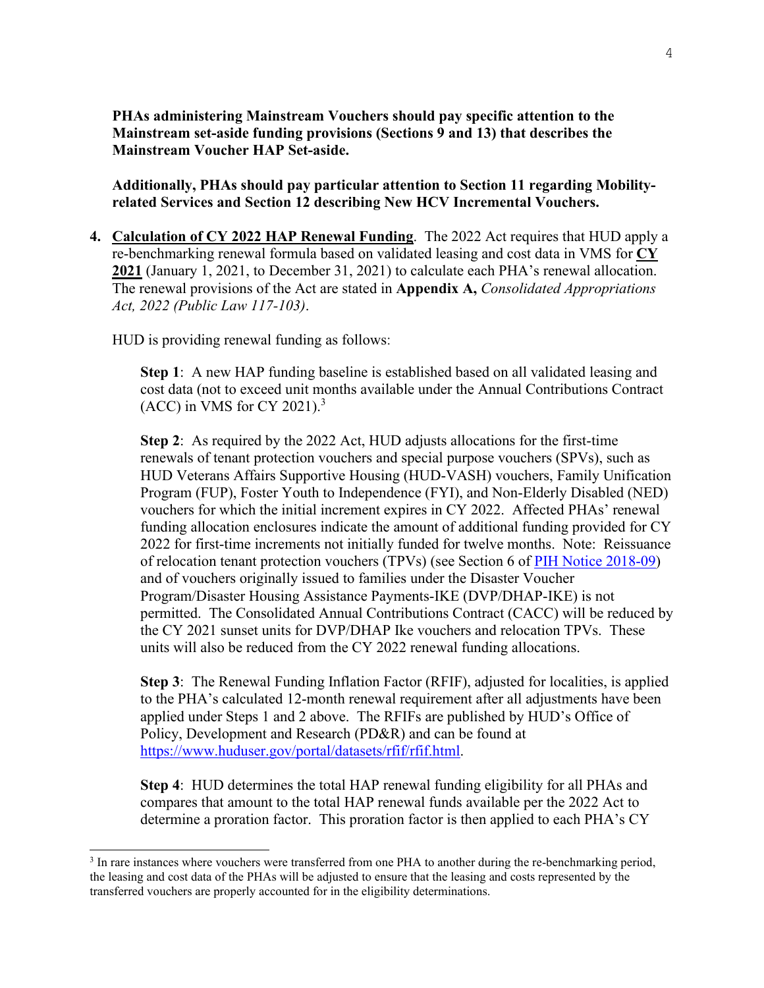**PHAs administering Mainstream Vouchers should pay specific attention to the Mainstream set-aside funding provisions (Sections 9 and 13) that describes the Mainstream Voucher HAP Set-aside.** 

**Additionally, PHAs should pay particular attention to Section 11 regarding Mobilityrelated Services and Section 12 describing New HCV Incremental Vouchers.** 

<span id="page-3-0"></span>**4. Calculation of CY 2022 HAP Renewal Funding**. The 2022 Act requires that HUD apply a re-benchmarking renewal formula based on validated leasing and cost data in VMS for **CY 2021** (January 1, 2021, to December 31, 2021) to calculate each PHA's renewal allocation. The renewal provisions of the Act are stated in **Appendix A,** *Consolidated Appropriations Act, 2022 (Public Law 117-103)*.

HUD is providing renewal funding as follows:

**Step 1**: A new HAP funding baseline is established based on all validated leasing and cost data (not to exceed unit months available under the Annual Contributions Contract (ACC) in VMS for CY 2021). $3$ 

**Step 2**: As required by the 2022 Act, HUD adjusts allocations for the first-time renewals of tenant protection vouchers and special purpose vouchers (SPVs), such as HUD Veterans Affairs Supportive Housing (HUD-VASH) vouchers, Family Unification Program (FUP), Foster Youth to Independence (FYI), and Non-Elderly Disabled (NED) vouchers for which the initial increment expires in CY 2022. Affected PHAs' renewal funding allocation enclosures indicate the amount of additional funding provided for CY 2022 for first-time increments not initially funded for twelve months. Note: Reissuance of relocation tenant protection vouchers (TPVs) (see Section 6 of [PIH Notice 2018-09\)](https://www.hud.gov/sites/dfiles/PIH/documents/pih2018-09.pdf) and of vouchers originally issued to families under the Disaster Voucher Program/Disaster Housing Assistance Payments-IKE (DVP/DHAP-IKE) is not permitted. The Consolidated Annual Contributions Contract (CACC) will be reduced by the CY 2021 sunset units for DVP/DHAP Ike vouchers and relocation TPVs. These units will also be reduced from the CY 2022 renewal funding allocations.

**Step 3**: The Renewal Funding Inflation Factor (RFIF), adjusted for localities, is applied to the PHA's calculated 12-month renewal requirement after all adjustments have been applied under Steps 1 and 2 above. The RFIFs are published by HUD's Office of Policy, Development and Research (PD&R) and can be found at [https://www.huduser.gov/portal/datasets/rfif/rfif.html.](https://www.huduser.gov/portal/datasets/rfif/rfif.html)

**Step 4**: HUD determines the total HAP renewal funding eligibility for all PHAs and compares that amount to the total HAP renewal funds available per the 2022 Act to determine a proration factor. This proration factor is then applied to each PHA's CY

<span id="page-3-1"></span><sup>&</sup>lt;sup>3</sup> In rare instances where vouchers were transferred from one PHA to another during the re-benchmarking period, the leasing and cost data of the PHAs will be adjusted to ensure that the leasing and costs represented by the transferred vouchers are properly accounted for in the eligibility determinations.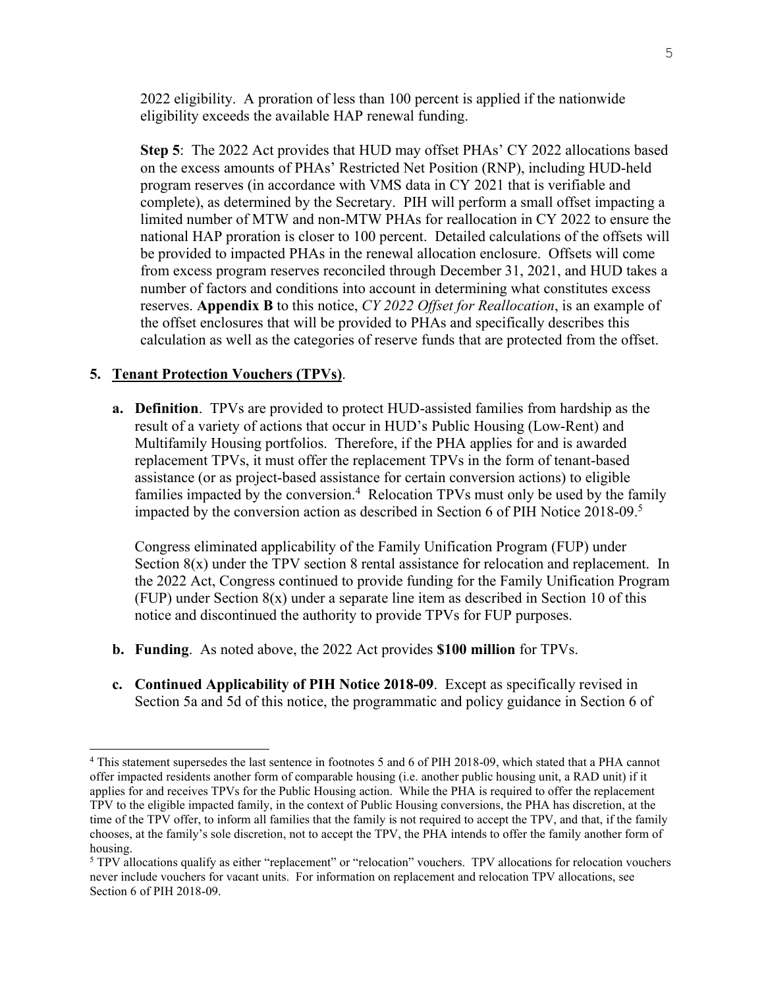2022 eligibility. A proration of less than 100 percent is applied if the nationwide eligibility exceeds the available HAP renewal funding.

**Step 5**: The 2022 Act provides that HUD may offset PHAs' CY 2022 allocations based on the excess amounts of PHAs' Restricted Net Position (RNP), including HUD-held program reserves (in accordance with VMS data in CY 2021 that is verifiable and complete), as determined by the Secretary. PIH will perform a small offset impacting a limited number of MTW and non-MTW PHAs for reallocation in CY 2022 to ensure the national HAP proration is closer to 100 percent. Detailed calculations of the offsets will be provided to impacted PHAs in the renewal allocation enclosure. Offsets will come from excess program reserves reconciled through December 31, 2021, and HUD takes a number of factors and conditions into account in determining what constitutes excess reserves. **Appendix B** to this notice, *CY 2022 Offset for Reallocation*, is an example of the offset enclosures that will be provided to PHAs and specifically describes this calculation as well as the categories of reserve funds that are protected from the offset.

#### <span id="page-4-0"></span>**5. Tenant Protection Vouchers (TPVs)**.

**a. Definition**. TPVs are provided to protect HUD-assisted families from hardship as the result of a variety of actions that occur in HUD's Public Housing (Low-Rent) and Multifamily Housing portfolios. Therefore, if the PHA applies for and is awarded replacement TPVs, it must offer the replacement TPVs in the form of tenant-based assistance (or as project-based assistance for certain conversion actions) to eligible families impacted by the conversion.<sup>[4](#page-4-1)</sup> Relocation TPVs must only be used by the family impacted by the conversion action as described in Section 6 of PIH Notice 2018-09.[5](#page-4-2)

Congress eliminated applicability of the Family Unification Program (FUP) under Section 8(x) under the TPV section 8 rental assistance for relocation and replacement. In the 2022 Act, Congress continued to provide funding for the Family Unification Program (FUP) under Section 8(x) under a separate line item as described in Section 10 of this notice and discontinued the authority to provide TPVs for FUP purposes.

- **b. Funding**. As noted above, the 2022 Act provides **\$100 million** for TPVs.
- **c. Continued Applicability of PIH Notice 2018-09**. Except as specifically revised in Section 5a and 5d of this notice, the programmatic and policy guidance in Section 6 of

<span id="page-4-1"></span><sup>4</sup> This statement supersedes the last sentence in footnotes 5 and 6 of PIH 2018-09, which stated that a PHA cannot offer impacted residents another form of comparable housing (i.e. another public housing unit, a RAD unit) if it applies for and receives TPVs for the Public Housing action. While the PHA is required to offer the replacement TPV to the eligible impacted family, in the context of Public Housing conversions, the PHA has discretion, at the time of the TPV offer, to inform all families that the family is not required to accept the TPV, and that, if the family chooses, at the family's sole discretion, not to accept the TPV, the PHA intends to offer the family another form of housing.

<span id="page-4-2"></span><sup>&</sup>lt;sup>5</sup> TPV allocations qualify as either "replacement" or "relocation" vouchers. TPV allocations for relocation vouchers never include vouchers for vacant units. For information on replacement and relocation TPV allocations, see Section 6 of PIH 2018-09.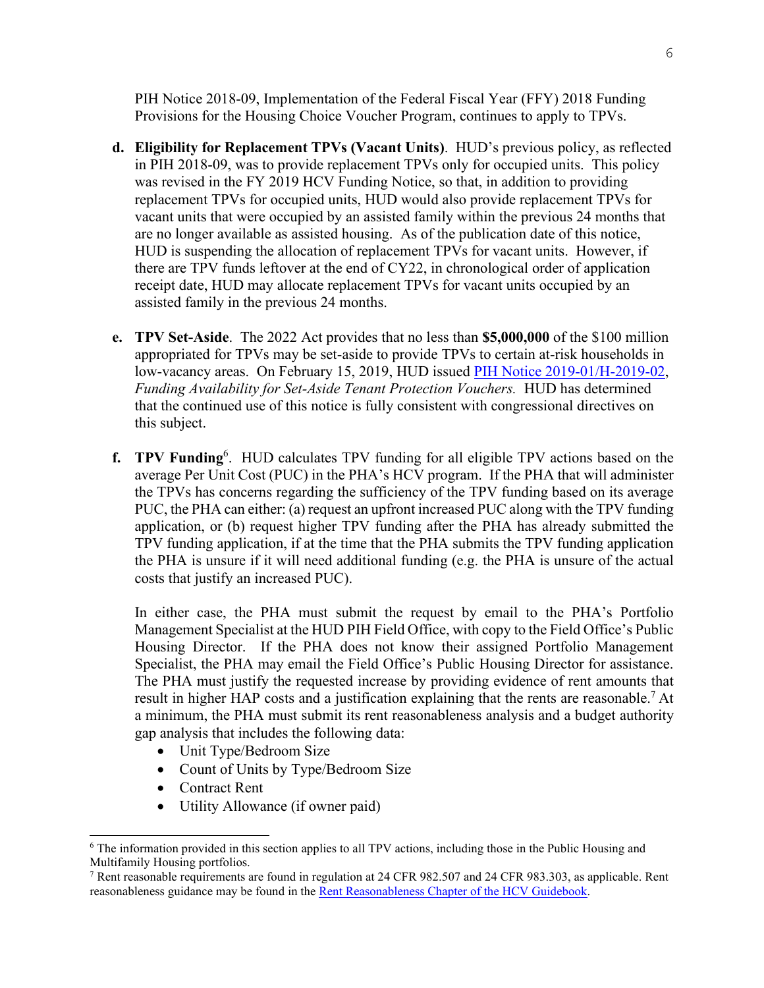PIH [Notice 2018-09,](https://www.hud.gov/sites/dfiles/PIH/documents/pih2018-09.pdf) Implementation of the Federal Fiscal Year (FFY) 2018 Funding Provisions for the Housing Choice Voucher Program, continues to apply to TPVs.

- **d. Eligibility for Replacement TPVs (Vacant Units)**. HUD's previous policy, as reflected in PIH 2018-09, was to provide replacement TPVs only for occupied units. This policy was revised in the FY 2019 HCV Funding Notice, so that, in addition to providing replacement TPVs for occupied units, HUD would also provide replacement TPVs for vacant units that were occupied by an assisted family within the previous 24 months that are no longer available as assisted housing. As of the publication date of this notice, HUD is suspending the allocation of replacement TPVs for vacant units. However, if there are TPV funds leftover at the end of CY22, in chronological order of application receipt date, HUD may allocate replacement TPVs for vacant units occupied by an assisted family in the previous 24 months.
- **e. TPV Set-Aside**. The 2022 Act provides that no less than **\$5,000,000** of the \$100 million appropriated for TPVs may be set-aside to provide TPVs to certain at-risk households in low-vacancy areas. On February 15, 2019, HUD issued [PIH Notice 2019-01/H-2019-02,](https://www.hud.gov/sites/dfiles/PIH/documents/PIH-2019-01.pdf) *Funding Availability for Set-Aside Tenant Protection Vouchers.* HUD has determined that the continued use of this notice is fully consistent with congressional directives on this subject.
- **f. TPV Funding**[6](#page-5-0) . HUD calculates TPV funding for all eligible TPV actions based on the average Per Unit Cost (PUC) in the PHA's HCV program. If the PHA that will administer the TPVs has concerns regarding the sufficiency of the TPV funding based on its average PUC, the PHA can either: (a) request an upfront increased PUC along with the TPV funding application, or (b) request higher TPV funding after the PHA has already submitted the TPV funding application, if at the time that the PHA submits the TPV funding application the PHA is unsure if it will need additional funding (e.g. the PHA is unsure of the actual costs that justify an increased PUC).

In either case, the PHA must submit the request by email to the PHA's Portfolio Management Specialist at the HUD PIH Field Office, with copy to the Field Office's Public Housing Director. If the PHA does not know their assigned Portfolio Management Specialist, the PHA may email the Field Office's Public Housing Director for assistance. The PHA must justify the requested increase by providing evidence of rent amounts that result in higher HAP costs and a justification explaining that the rents are reasonable.<sup>[7](#page-5-1)</sup> At a minimum, the PHA must submit its rent reasonableness analysis and a budget authority gap analysis that includes the following data:

- Unit Type/Bedroom Size
- Count of Units by Type/Bedroom Size
- Contract Rent
- Utility Allowance (if owner paid)

<span id="page-5-0"></span><sup>6</sup> The information provided in this section applies to all TPV actions, including those in the Public Housing and Multifamily Housing portfolios.

<span id="page-5-1"></span><sup>&</sup>lt;sup>7</sup> Rent reasonable requirements are found in regulation at 24 CFR 982.507 and 24 CFR 983.303, as applicable. Rent reasonableness guidance may be found in th[e Rent Reasonableness Chapter of the HCV Guidebook.](https://www.hud.gov/sites/dfiles/PIH/documents/HCV_Guidebook_Rent%20Reasonableness_updated_Sept%202020.pdf)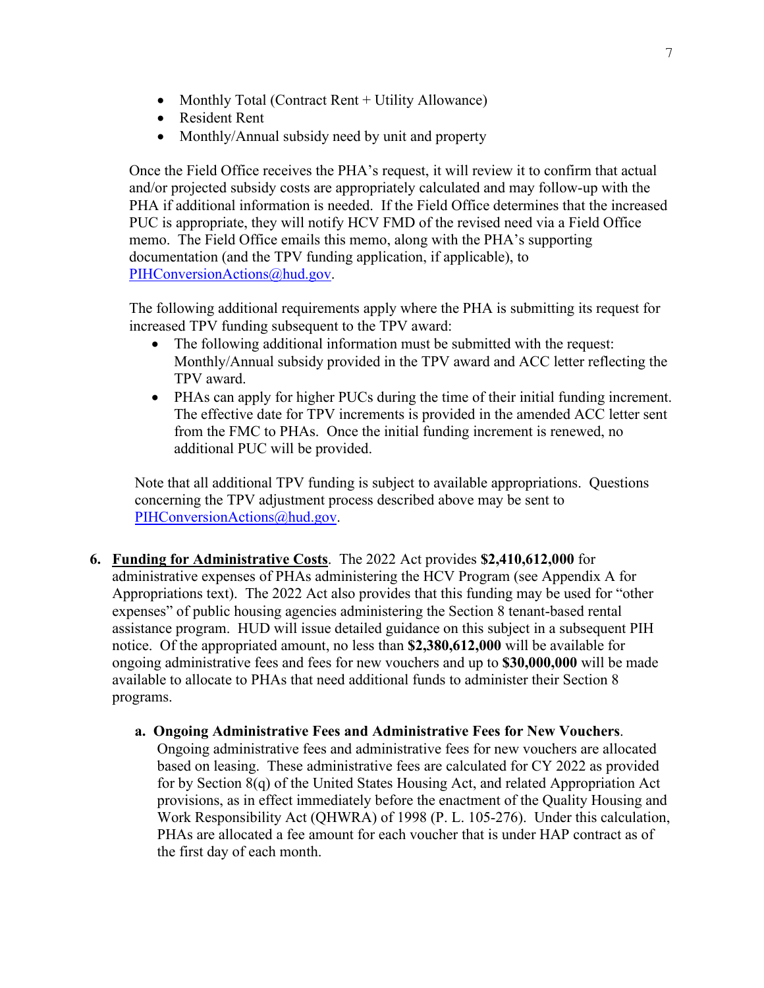- Monthly Total (Contract Rent + Utility Allowance)
- Resident Rent
- Monthly/Annual subsidy need by unit and property

Once the Field Office receives the PHA's request, it will review it to confirm that actual and/or projected subsidy costs are appropriately calculated and may follow-up with the PHA if additional information is needed. If the Field Office determines that the increased PUC is appropriate, they will notify HCV FMD of the revised need via a Field Office memo. The Field Office emails this memo, along with the PHA's supporting documentation (and the TPV funding application, if applicable), to [PIHConversionActions@hud.gov.](mailto:PIHConversionActions@hud.gov)

The following additional requirements apply where the PHA is submitting its request for increased TPV funding subsequent to the TPV award:

- The following additional information must be submitted with the request: Monthly/Annual subsidy provided in the TPV award and ACC letter reflecting the TPV award.
- PHAs can apply for higher PUCs during the time of their initial funding increment. The effective date for TPV increments is provided in the amended ACC letter sent from the FMC to PHAs. Once the initial funding increment is renewed, no additional PUC will be provided.

Note that all additional TPV funding is subject to available appropriations. Questions concerning the TPV adjustment process described above may be sent to [PIHConversionActions@hud.gov.](mailto:PIHConversionActions@hud.gov)

- <span id="page-6-0"></span>**6. Funding for Administrative Costs**. The 2022 Act provides **\$2,410,612,000** for administrative expenses of PHAs administering the HCV Program (see Appendix A for Appropriations text). The 2022 Act also provides that this funding may be used for "other expenses" of public housing agencies administering the Section 8 tenant-based rental assistance program. HUD will issue detailed guidance on this subject in a subsequent PIH notice. Of the appropriated amount, no less than **\$2,380,612,000** will be available for ongoing administrative fees and fees for new vouchers and up to **\$30,000,000** will be made available to allocate to PHAs that need additional funds to administer their Section 8 programs.
	- **a. Ongoing Administrative Fees and Administrative Fees for New Vouchers**. Ongoing administrative fees and administrative fees for new vouchers are allocated based on leasing. These administrative fees are calculated for CY 2022 as provided for by Section 8(q) of the United States Housing Act, and related Appropriation Act provisions, as in effect immediately before the enactment of the Quality Housing and Work Responsibility Act (QHWRA) of 1998 (P. L. 105-276). Under this calculation, PHAs are allocated a fee amount for each voucher that is under HAP contract as of the first day of each month.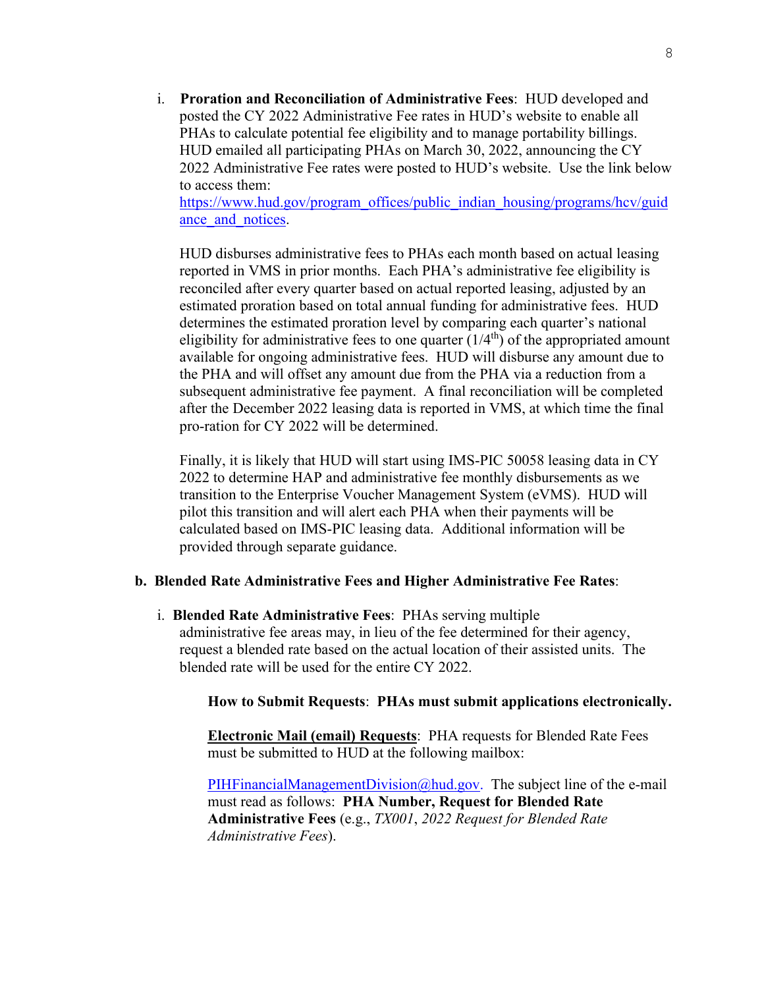i. **Proration and Reconciliation of Administrative Fees**: HUD developed and posted the CY 2022 Administrative Fee rates in HUD's website to enable all PHAs to calculate potential fee eligibility and to manage portability billings. HUD emailed all participating PHAs on March 30, 2022, announcing the CY 2022 Administrative Fee rates were posted to HUD's website. Use the link below to access them:

[https://www.hud.gov/program\\_offices/public\\_indian\\_housing/programs/hcv/guid](https://www.hud.gov/program_offices/public_indian_housing/programs/hcv/guidance_and_notices) ance and notices.

HUD disburses administrative fees to PHAs each month based on actual leasing reported in VMS in prior months. Each PHA's administrative fee eligibility is reconciled after every quarter based on actual reported leasing, adjusted by an estimated proration based on total annual funding for administrative fees. HUD determines the estimated proration level by comparing each quarter's national eligibility for administrative fees to one quarter  $(1/4<sup>th</sup>)$  of the appropriated amount available for ongoing administrative fees. HUD will disburse any amount due to the PHA and will offset any amount due from the PHA via a reduction from a subsequent administrative fee payment. A final reconciliation will be completed after the December 2022 leasing data is reported in VMS, at which time the final pro-ration for CY 2022 will be determined.

Finally, it is likely that HUD will start using IMS-PIC 50058 leasing data in CY 2022 to determine HAP and administrative fee monthly disbursements as we transition to the Enterprise Voucher Management System (eVMS). HUD will pilot this transition and will alert each PHA when their payments will be calculated based on IMS-PIC leasing data. Additional information will be provided through separate guidance.

#### **b. Blended Rate Administrative Fees and Higher Administrative Fee Rates**:

i. **Blended Rate Administrative Fees**: PHAs serving multiple administrative fee areas may, in lieu of the fee determined for their agency, request a blended rate based on the actual location of their assisted units. The blended rate will be used for the entire CY 2022.

#### **How to Submit Requests**: **PHAs must submit applications electronically.**

**Electronic Mail (email) Requests**: PHA requests for Blended Rate Fees must be submitted to HUD at the following mailbox:

[PIHFinancialManagementDivision@hud.gov.](mailto:PIHFinancialManagementDivision@hud.gov) The subject line of the e-mail must read as follows: **PHA Number, Request for Blended Rate Administrative Fees** (e.g., *TX001*, *2022 Request for Blended Rate Administrative Fees*).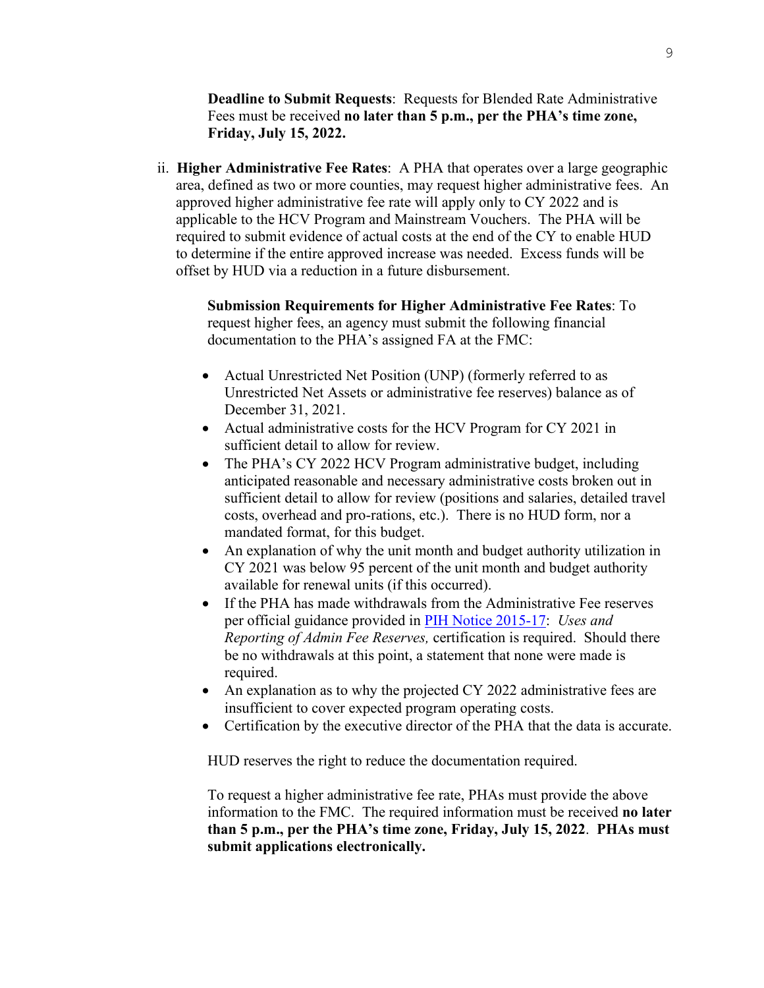**Deadline to Submit Requests**: Requests for Blended Rate Administrative Fees must be received **no later than 5 p.m., per the PHA's time zone, Friday, July 15, 2022.** 

 ii. **Higher Administrative Fee Rates**: A PHA that operates over a large geographic area, defined as two or more counties, may request higher administrative fees. An approved higher administrative fee rate will apply only to CY 2022 and is applicable to the HCV Program and Mainstream Vouchers. The PHA will be required to submit evidence of actual costs at the end of the CY to enable HUD to determine if the entire approved increase was needed. Excess funds will be offset by HUD via a reduction in a future disbursement.

**Submission Requirements for Higher Administrative Fee Rates**: To request higher fees, an agency must submit the following financial documentation to the PHA's assigned FA at the FMC:

- Actual Unrestricted Net Position (UNP) (formerly referred to as Unrestricted Net Assets or administrative fee reserves) balance as of December 31, 2021.
- Actual administrative costs for the HCV Program for CY 2021 in sufficient detail to allow for review.
- The PHA's CY 2022 HCV Program administrative budget, including anticipated reasonable and necessary administrative costs broken out in sufficient detail to allow for review (positions and salaries, detailed travel costs, overhead and pro-rations, etc.). There is no HUD form, nor a mandated format, for this budget.
- An explanation of why the unit month and budget authority utilization in CY 2021 was below 95 percent of the unit month and budget authority available for renewal units (if this occurred).
- If the PHA has made withdrawals from the Administrative Fee reserves per official guidance provided in [PIH Notice 2015-17:](https://www.hud.gov/sites/documents/PIH2015-17.PDF) *Uses and Reporting of Admin Fee Reserves,* certification is required. Should there be no withdrawals at this point, a statement that none were made is required.
- An explanation as to why the projected CY 2022 administrative fees are insufficient to cover expected program operating costs.
- Certification by the executive director of the PHA that the data is accurate.

HUD reserves the right to reduce the documentation required.

To request a higher administrative fee rate, PHAs must provide the above information to the FMC. The required information must be received **no later than 5 p.m., per the PHA's time zone, Friday, July 15, 2022**. **PHAs must submit applications electronically.**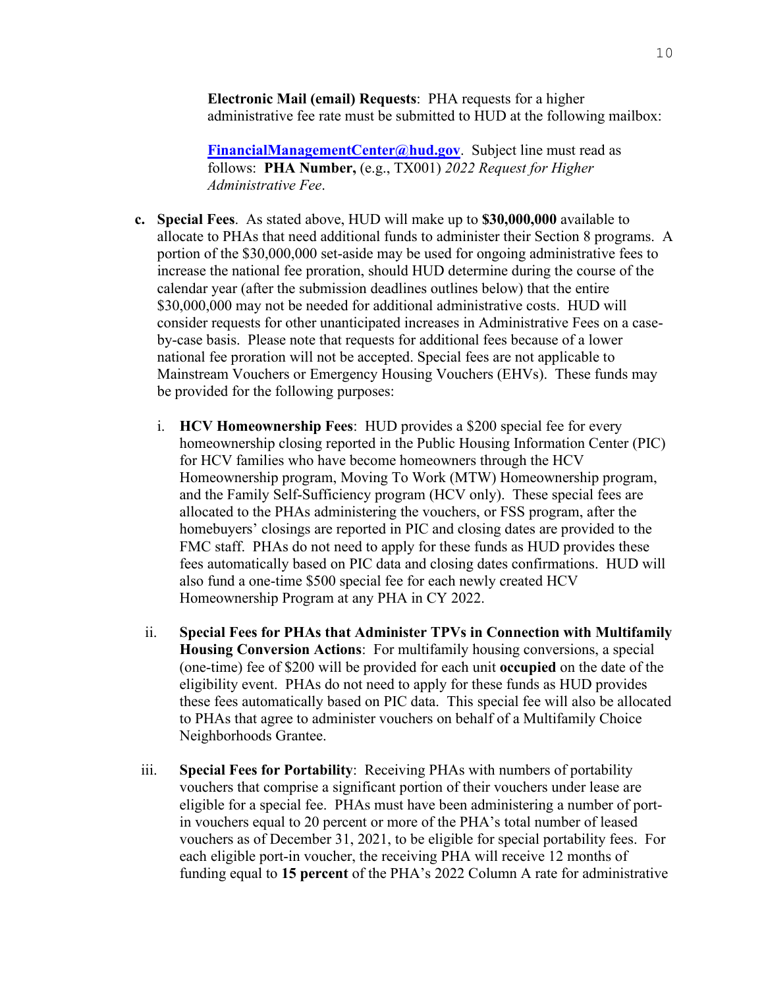**Electronic Mail (email) Requests**:PHA requests for a higher administrative fee rate must be submitted to HUD at the following mailbox:

**[FinancialManagementCenter@hud.gov](mailto:FinancialManagementCenter@hud.gov)**.Subject line must read as follows: **PHA Number,** (e.g., TX001) *2022 Request for Higher Administrative Fee*.

- **c. Special Fees**.As stated above, HUD will make up to **\$30,000,000** available to allocate to PHAs that need additional funds to administer their Section 8 programs. A portion of the \$30,000,000 set-aside may be used for ongoing administrative fees to increase the national fee proration, should HUD determine during the course of the calendar year (after the submission deadlines outlines below) that the entire \$30,000,000 may not be needed for additional administrative costs. HUD will consider requests for other unanticipated increases in Administrative Fees on a caseby-case basis. Please note that requests for additional fees because of a lower national fee proration will not be accepted. Special fees are not applicable to Mainstream Vouchers or Emergency Housing Vouchers (EHVs). These funds may be provided for the following purposes:
	- i. **HCV Homeownership Fees**: HUD provides a \$200 special fee for every homeownership closing reported in the Public Housing Information Center (PIC) for HCV families who have become homeowners through the HCV Homeownership program, Moving To Work (MTW) Homeownership program, and the Family Self-Sufficiency program (HCV only). These special fees are allocated to the PHAs administering the vouchers, or FSS program, after the homebuyers' closings are reported in PIC and closing dates are provided to the FMC staff. PHAs do not need to apply for these funds as HUD provides these fees automatically based on PIC data and closing dates confirmations. HUD will also fund a one-time \$500 special fee for each newly created HCV Homeownership Program at any PHA in CY 2022.
	- ii. **Special Fees for PHAs that Administer TPVs in Connection with Multifamily Housing Conversion Actions**: For multifamily housing conversions, a special (one-time) fee of \$200 will be provided for each unit **occupied** on the date of the eligibility event. PHAs do not need to apply for these funds as HUD provides these fees automatically based on PIC data. This special fee will also be allocated to PHAs that agree to administer vouchers on behalf of a Multifamily Choice Neighborhoods Grantee.
- iii. **Special Fees for Portability**: Receiving PHAs with numbers of portability vouchers that comprise a significant portion of their vouchers under lease are eligible for a special fee. PHAs must have been administering a number of portin vouchers equal to 20 percent or more of the PHA's total number of leased vouchers as of December 31, 2021, to be eligible for special portability fees. For each eligible port-in voucher, the receiving PHA will receive 12 months of funding equal to **15 percent** of the PHA's 2022 Column A rate for administrative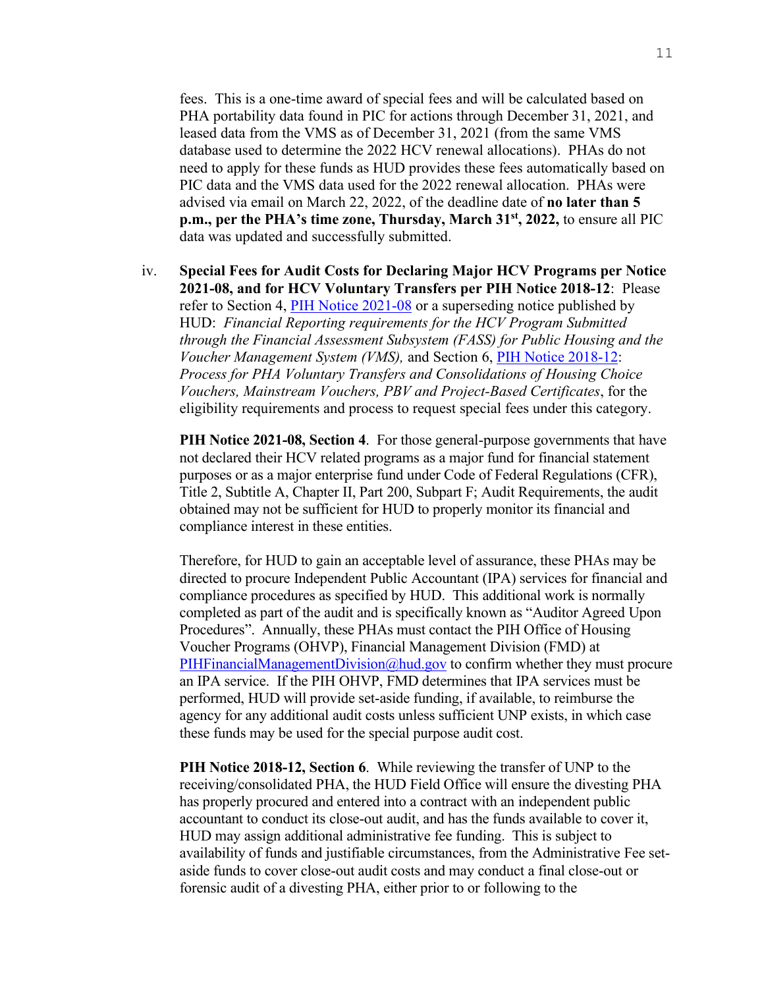fees. This is a one-time award of special fees and will be calculated based on PHA portability data found in PIC for actions through December 31, 2021, and leased data from the VMS as of December 31, 2021 (from the same VMS database used to determine the 2022 HCV renewal allocations). PHAs do not need to apply for these funds as HUD provides these fees automatically based on PIC data and the VMS data used for the 2022 renewal allocation. PHAs were advised via email on March 22, 2022, of the deadline date of **no later than 5 p.m., per the PHA's time zone, Thursday, March 31st, 2022,** to ensure all PIC data was updated and successfully submitted.

iv. **Special Fees for Audit Costs for Declaring Major HCV Programs per Notice 2021-08, and for HCV Voluntary Transfers per PIH Notice 2018-12**: Please refer to Section 4, [PIH Notice 2021-08](https://www.hud.gov/sites/dfiles/OCHCO/documents/2021-08pihn.pdf) or a superseding notice published by HUD: *Financial Reporting requirements for the HCV Program Submitted through the Financial Assessment Subsystem (FASS) for Public Housing and the Voucher Management System (VMS),* and Section 6, [PIH Notice 2018-12:](https://www.hud.gov/sites/dfiles/OCHCO/documents/18-12pihn.pdf) *Process for PHA Voluntary Transfers and Consolidations of Housing Choice Vouchers, Mainstream Vouchers, PBV and Project-Based Certificates*, for the eligibility requirements and process to request special fees under this category.

**PIH Notice 2021-08, Section 4**.For those general-purpose governments that have not declared their HCV related programs as a major fund for financial statement purposes or as a major enterprise fund under Code of Federal Regulations (CFR), Title 2, Subtitle A, Chapter II, Part 200, Subpart F; Audit Requirements, the audit obtained may not be sufficient for HUD to properly monitor its financial and compliance interest in these entities.

Therefore, for HUD to gain an acceptable level of assurance, these PHAs may be directed to procure Independent Public Accountant (IPA) services for financial and compliance procedures as specified by HUD. This additional work is normally completed as part of the audit and is specifically known as "Auditor Agreed Upon Procedures". Annually, these PHAs must contact the PIH Office of Housing Voucher Programs (OHVP), Financial Management Division (FMD) at [PIHFinancialManagementDivision@hud.gov](mailto:PIHFinancialManagementDivision@hud.gov) to confirm whether they must procure an IPA service. If the PIH OHVP, FMD determines that IPA services must be performed, HUD will provide set-aside funding, if available, to reimburse the agency for any additional audit costs unless sufficient UNP exists, in which case these funds may be used for the special purpose audit cost.

**PIH Notice 2018-12, Section 6**.While reviewing the transfer of UNP to the receiving/consolidated PHA, the HUD Field Office will ensure the divesting PHA has properly procured and entered into a contract with an independent public accountant to conduct its close-out audit, and has the funds available to cover it, HUD may assign additional administrative fee funding. This is subject to availability of funds and justifiable circumstances, from the Administrative Fee setaside funds to cover close-out audit costs and may conduct a final close-out or forensic audit of a divesting PHA, either prior to or following to the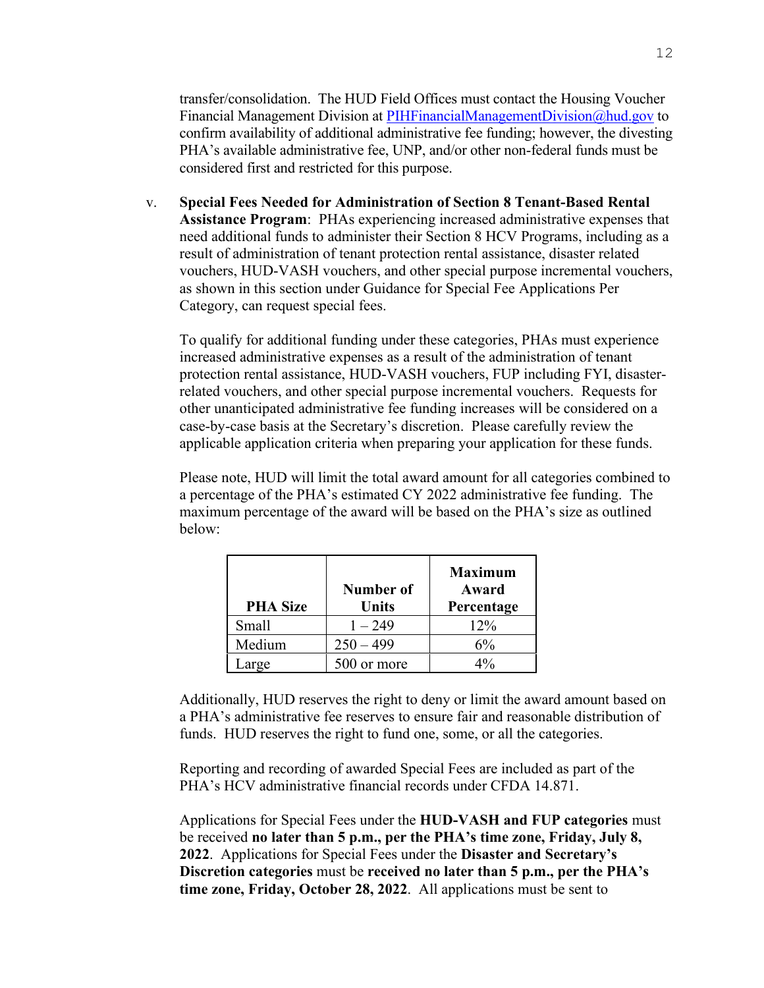transfer/consolidation. The HUD Field Offices must contact the Housing Voucher Financial Management Division at [PIHFinancialManagementDivision@hud.gov](mailto:PIHFinancialManagementDivision@hud.gov) to confirm availability of additional administrative fee funding; however, the divesting PHA's available administrative fee, UNP, and/or other non-federal funds must be considered first and restricted for this purpose.

v. **Special Fees Needed for Administration of Section 8 Tenant-Based Rental Assistance Program**:PHAs experiencing increased administrative expenses that need additional funds to administer their Section 8 HCV Programs, including as a result of administration of tenant protection rental assistance, disaster related vouchers, HUD-VASH vouchers, and other special purpose incremental vouchers, as shown in this section under Guidance for Special Fee Applications Per Category, can request special fees.

To qualify for additional funding under these categories, PHAs must experience increased administrative expenses as a result of the administration of tenant protection rental assistance, HUD-VASH vouchers, FUP including FYI, disasterrelated vouchers, and other special purpose incremental vouchers. Requests for other unanticipated administrative fee funding increases will be considered on a case-by-case basis at the Secretary's discretion. Please carefully review the applicable application criteria when preparing your application for these funds.

Please note, HUD will limit the total award amount for all categories combined to a percentage of the PHA's estimated CY 2022 administrative fee funding. The maximum percentage of the award will be based on the PHA's size as outlined below:

| <b>PHA Size</b> | Number of<br><b>Units</b> | <b>Maximum</b><br>Award<br>Percentage |
|-----------------|---------------------------|---------------------------------------|
| Small           | $1 - 249$                 | $12\%$                                |
| Medium          | $250 - 499$               | 6%                                    |
| arge            | 500 or more               |                                       |

Additionally, HUD reserves the right to deny or limit the award amount based on a PHA's administrative fee reserves to ensure fair and reasonable distribution of funds. HUD reserves the right to fund one, some, or all the categories.

Reporting and recording of awarded Special Fees are included as part of the PHA's HCV administrative financial records under CFDA 14.871.

Applications for Special Fees under the **HUD-VASH and FUP categories** must be received **no later than 5 p.m., per the PHA's time zone, Friday, July 8, 2022**. Applications for Special Fees under the **Disaster and Secretary's Discretion categories** must be **received no later than 5 p.m., per the PHA's time zone, Friday, October 28, 2022**. All applications must be sent to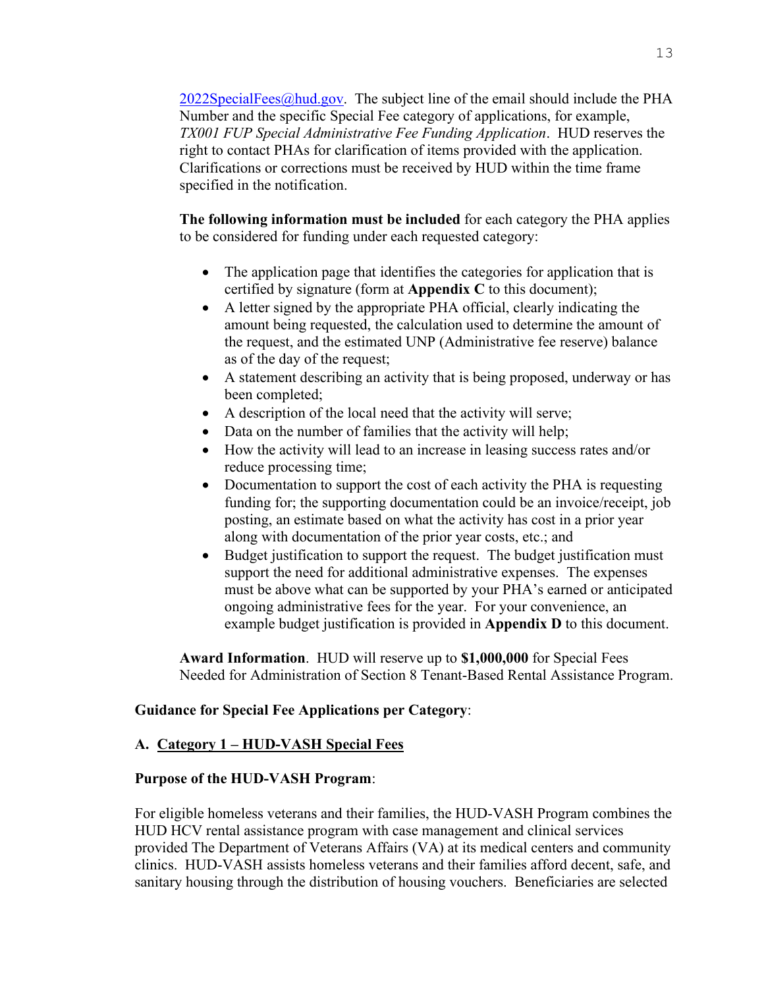$2022SpecialFees@hud.gov$ . The subject line of the email should include the PHA Number and the specific Special Fee category of applications, for example, *TX001 FUP Special Administrative Fee Funding Application*. HUD reserves the right to contact PHAs for clarification of items provided with the application. Clarifications or corrections must be received by HUD within the time frame specified in the notification.

**The following information must be included** for each category the PHA applies to be considered for funding under each requested category:

- The application page that identifies the categories for application that is certified by signature (form at **Appendix C** to this document);
- A letter signed by the appropriate PHA official, clearly indicating the amount being requested, the calculation used to determine the amount of the request, and the estimated UNP (Administrative fee reserve) balance as of the day of the request;
- A statement describing an activity that is being proposed, underway or has been completed;
- A description of the local need that the activity will serve;
- Data on the number of families that the activity will help;
- How the activity will lead to an increase in leasing success rates and/or reduce processing time;
- Documentation to support the cost of each activity the PHA is requesting funding for; the supporting documentation could be an invoice/receipt, job posting, an estimate based on what the activity has cost in a prior year along with documentation of the prior year costs, etc.; and
- Budget justification to support the request. The budget justification must support the need for additional administrative expenses. The expenses must be above what can be supported by your PHA's earned or anticipated ongoing administrative fees for the year. For your convenience, an example budget justification is provided in **Appendix D** to this document.

**Award Information**.HUD will reserve up to **\$1,000,000** for Special Fees Needed for Administration of Section 8 Tenant-Based Rental Assistance Program.

# **Guidance for Special Fee Applications per Category**:

# **A. Category 1 – HUD-VASH Special Fees**

#### **Purpose of the HUD-VASH Program**:

For eligible homeless veterans and their families, the HUD-VASH Program combines the HUD HCV rental assistance program with case management and clinical services provided The Department of Veterans Affairs (VA) at its medical centers and community clinics. HUD-VASH assists homeless veterans and their families afford decent, safe, and sanitary housing through the distribution of housing vouchers. Beneficiaries are selected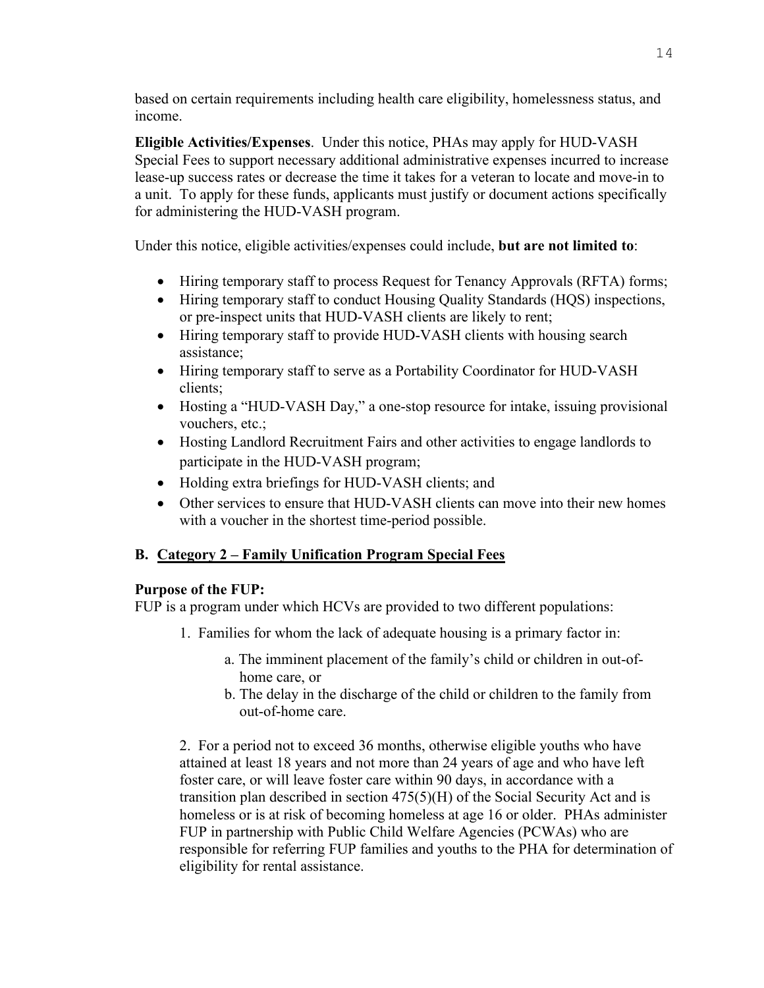based on certain requirements including health care eligibility, homelessness status, and income.

**Eligible Activities/Expenses**. Under this notice, PHAs may apply for HUD-VASH Special Fees to support necessary additional administrative expenses incurred to increase lease-up success rates or decrease the time it takes for a veteran to locate and move-in to a unit. To apply for these funds, applicants must justify or document actions specifically for administering the HUD-VASH program.

Under this notice, eligible activities/expenses could include, **but are not limited to**:

- Hiring temporary staff to process Request for Tenancy Approvals (RFTA) forms;
- Hiring temporary staff to conduct Housing Quality Standards (HQS) inspections, or pre-inspect units that HUD-VASH clients are likely to rent;
- Hiring temporary staff to provide HUD-VASH clients with housing search assistance;
- Hiring temporary staff to serve as a Portability Coordinator for HUD-VASH clients;
- Hosting a "HUD-VASH Day," a one-stop resource for intake, issuing provisional vouchers, etc.;
- Hosting Landlord Recruitment Fairs and other activities to engage landlords to participate in the HUD-VASH program;
- Holding extra briefings for HUD-VASH clients; and
- Other services to ensure that HUD-VASH clients can move into their new homes with a voucher in the shortest time-period possible.

# **B. Category 2 – Family Unification Program Special Fees**

# **Purpose of the FUP:**

FUP is a program under which HCVs are provided to two different populations:

- 1. Families for whom the lack of adequate housing is a primary factor in:
	- a. The imminent placement of the family's child or children in out-of home care, or
	- b. The delay in the discharge of the child or children to the family from out-of-home care.

2. For a period not to exceed 36 months, otherwise eligible youths who have attained at least 18 years and not more than 24 years of age and who have left foster care, or will leave foster care within 90 days, in accordance with a transition plan described in section 475(5)(H) of the Social Security Act and is homeless or is at risk of becoming homeless at age 16 or older. PHAs administer FUP in partnership with Public Child Welfare Agencies (PCWAs) who are responsible for referring FUP families and youths to the PHA for determination of eligibility for rental assistance.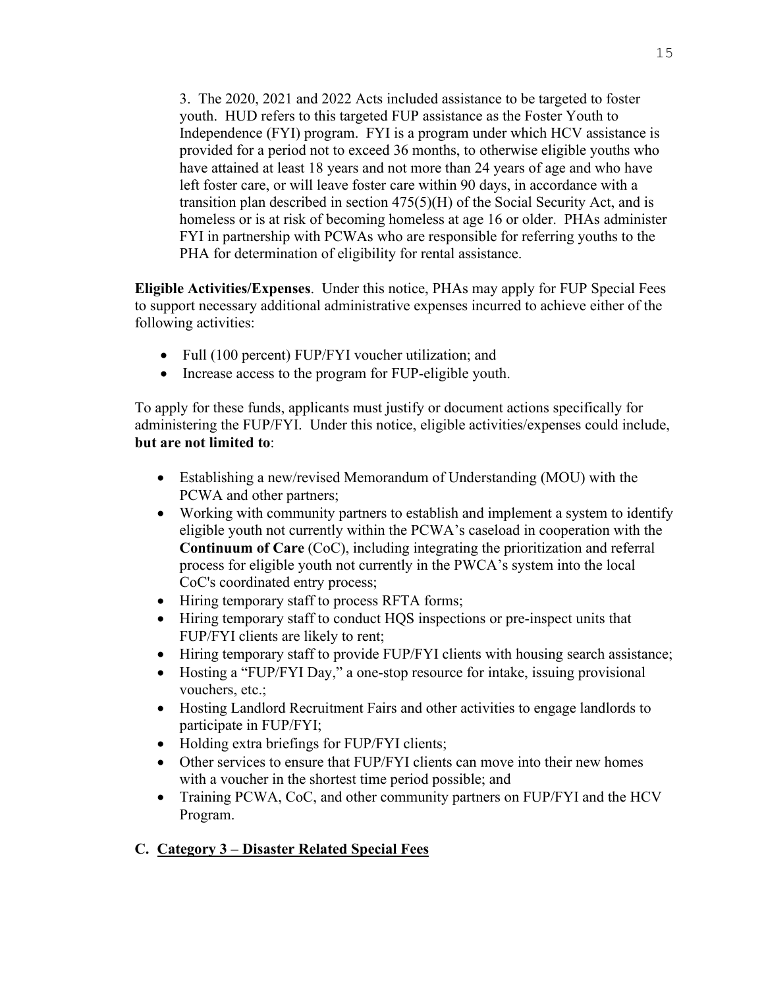3. The 2020, 2021 and 2022 Acts included assistance to be targeted to foster youth. HUD refers to this targeted FUP assistance as the Foster Youth to Independence (FYI) program. FYI is a program under which HCV assistance is provided for a period not to exceed 36 months, to otherwise eligible youths who have attained at least 18 years and not more than 24 years of age and who have left foster care, or will leave foster care within 90 days, in accordance with a transition plan described in section 475(5)(H) of the Social Security Act, and is homeless or is at risk of becoming homeless at age 16 or older. PHAs administer FYI in partnership with PCWAs who are responsible for referring youths to the PHA for determination of eligibility for rental assistance.

**Eligible Activities/Expenses**. Under this notice, PHAs may apply for FUP Special Fees to support necessary additional administrative expenses incurred to achieve either of the following activities:

- Full (100 percent) FUP/FYI voucher utilization; and
- Increase access to the program for FUP-eligible youth.

To apply for these funds, applicants must justify or document actions specifically for administering the FUP/FYI. Under this notice, eligible activities/expenses could include, **but are not limited to**:

- Establishing a new/revised Memorandum of Understanding (MOU) with the PCWA and other partners;
- Working with community partners to establish and implement a system to identify eligible youth not currently within the PCWA's caseload in cooperation with the **Continuum of Care** (CoC), including integrating the prioritization and referral process for eligible youth not currently in the PWCA's system into the local CoC's coordinated entry process;
- Hiring temporary staff to process RFTA forms;
- Hiring temporary staff to conduct HQS inspections or pre-inspect units that FUP/FYI clients are likely to rent;
- Hiring temporary staff to provide FUP/FYI clients with housing search assistance;
- Hosting a "FUP/FYI Day," a one-stop resource for intake, issuing provisional vouchers, etc.;
- Hosting Landlord Recruitment Fairs and other activities to engage landlords to participate in FUP/FYI;
- Holding extra briefings for FUP/FYI clients;
- Other services to ensure that FUP/FYI clients can move into their new homes with a voucher in the shortest time period possible; and
- Training PCWA, CoC, and other community partners on FUP/FYI and the HCV Program.

# **C. Category 3 – Disaster Related Special Fees**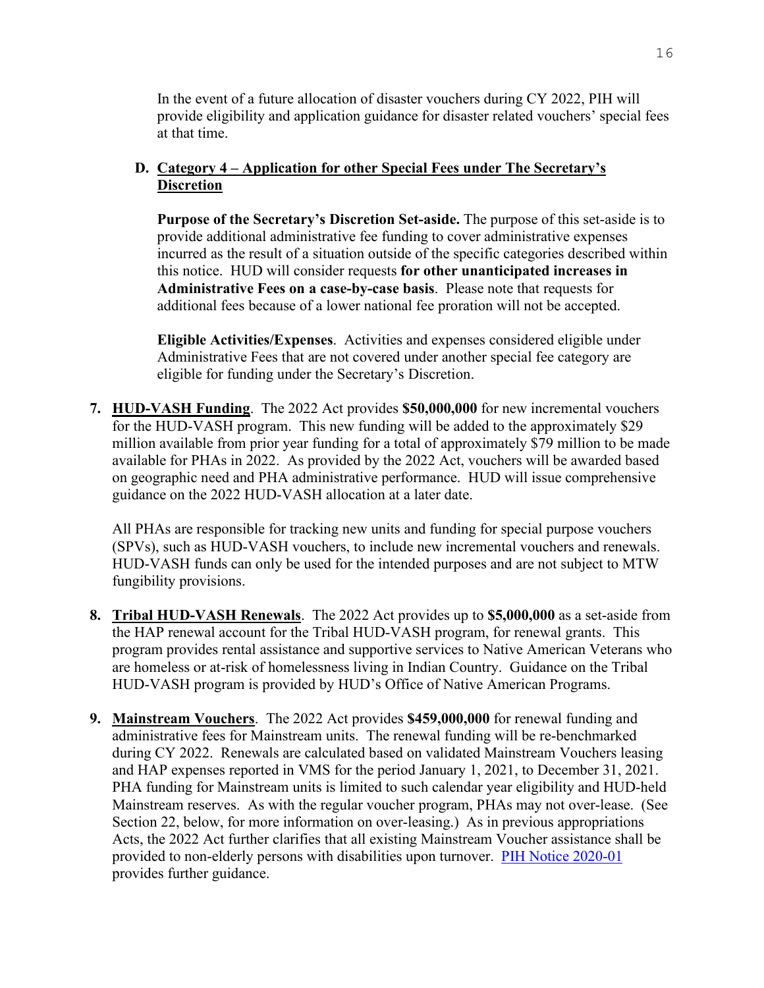In the event of a future allocation of disaster vouchers during CY 2022, PIH will provide eligibility and application guidance for disaster related vouchers' special fees at that time.

# **D. Category 4 – Application for other Special Fees under The Secretary's Discretion**

**Purpose of the Secretary's Discretion Set-aside.** The purpose of this set-aside is to provide additional administrative fee funding to cover administrative expenses incurred as the result of a situation outside of the specific categories described within this notice. HUD will consider requests **for other unanticipated increases in Administrative Fees on a case-by-case basis**. Please note that requests for additional fees because of a lower national fee proration will not be accepted.

**Eligible Activities/Expenses**. Activities and expenses considered eligible under Administrative Fees that are not covered under another special fee category are eligible for funding under the Secretary's Discretion.

<span id="page-15-0"></span>**7. HUD-VASH Funding**.The 2022 Act provides **\$50,000,000** for new incremental vouchers for the HUD-VASH program. This new funding will be added to the approximately \$29 million available from prior year funding for a total of approximately \$79 million to be made available for PHAs in 2022. As provided by the 2022 Act, vouchers will be awarded based on geographic need and PHA administrative performance. HUD will issue comprehensive guidance on the 2022 HUD-VASH allocation at a later date.

All PHAs are responsible for tracking new units and funding for special purpose vouchers (SPVs), such as HUD-VASH vouchers, to include new incremental vouchers and renewals. HUD-VASH funds can only be used for the intended purposes and are not subject to MTW fungibility provisions.

- <span id="page-15-1"></span>**8. Tribal HUD-VASH Renewals**. The 2022 Act provides up to **\$5,000,000** as a set-aside from the HAP renewal account for the Tribal HUD-VASH program, for renewal grants. This program provides rental assistance and supportive services to Native American Veterans who are homeless or at-risk of homelessness living in Indian Country. Guidance on the Tribal HUD-VASH program is provided by HUD's Office of Native American Programs.
- <span id="page-15-2"></span>**9. Mainstream Vouchers**.The 2022 Act provides **\$459,000,000** for renewal funding and administrative fees for Mainstream units. The renewal funding will be re-benchmarked during CY 2022. Renewals are calculated based on validated Mainstream Vouchers leasing and HAP expenses reported in VMS for the period January 1, 2021, to December 31, 2021. PHA funding for Mainstream units is limited to such calendar year eligibility and HUD-held Mainstream reserves. As with the regular voucher program, PHAs may not over-lease. (See Section 22, below, for more information on over-leasing.) As in previous appropriations Acts, the 2022 Act further clarifies that all existing Mainstream Voucher assistance shall be provided to non-elderly persons with disabilities upon turnover. [PIH Notice 2020-01](https://www.hud.gov/sites/dfiles/PIH/documents/PIH-2020-01.pdf) provides further guidance.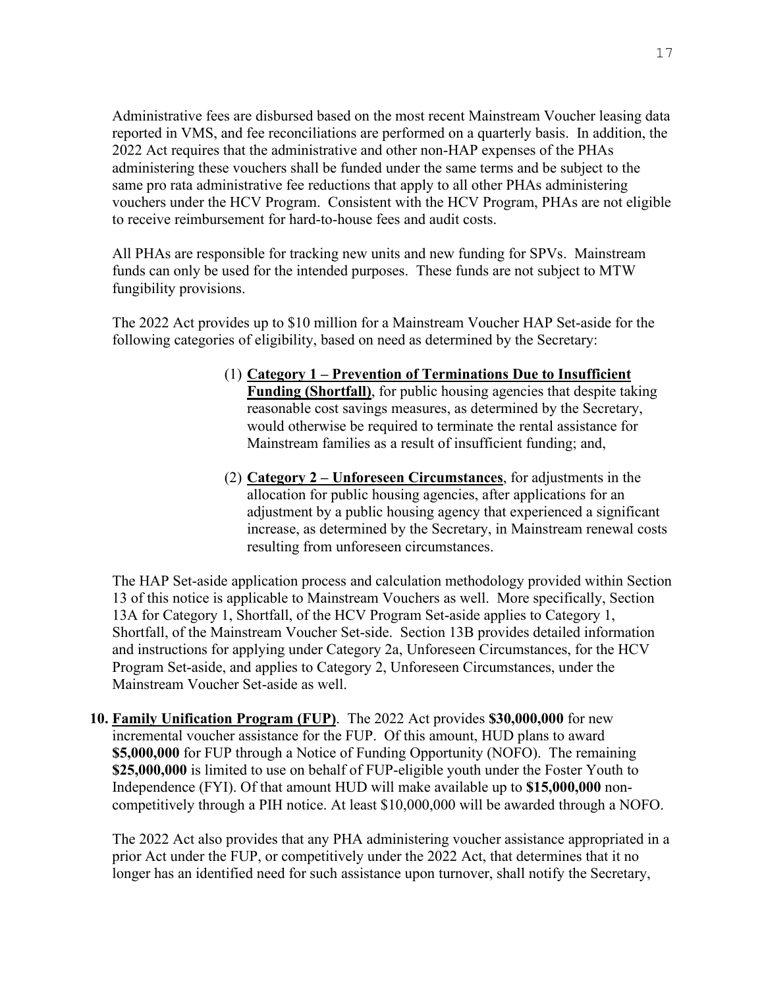Administrative fees are disbursed based on the most recent Mainstream Voucher leasing data reported in VMS, and fee reconciliations are performed on a quarterly basis. In addition, the 2022 Act requires that the administrative and other non-HAP expenses of the PHAs administering these vouchers shall be funded under the same terms and be subject to the same pro rata administrative fee reductions that apply to all other PHAs administering vouchers under the HCV Program. Consistent with the HCV Program, PHAs are not eligible to receive reimbursement for hard-to-house fees and audit costs.

All PHAs are responsible for tracking new units and new funding for SPVs. Mainstream funds can only be used for the intended purposes. These funds are not subject to MTW fungibility provisions.

The 2022 Act provides up to \$10 million for a Mainstream Voucher HAP Set-aside for the following categories of eligibility, based on need as determined by the Secretary:

- (1) **Category 1 Prevention of Terminations Due to Insufficient Funding (Shortfall)**, for public housing agencies that despite taking reasonable cost savings measures, as determined by the Secretary, would otherwise be required to terminate the rental assistance for Mainstream families as a result of insufficient funding; and,
- (2) **Category 2 Unforeseen Circumstances**, for adjustments in the allocation for public housing agencies, after applications for an adjustment by a public housing agency that experienced a significant increase, as determined by the Secretary, in Mainstream renewal costs resulting from unforeseen circumstances.

The HAP Set-aside application process and calculation methodology provided within Section 13 of this notice is applicable to Mainstream Vouchers as well. More specifically, Section 13A for Category 1, Shortfall, of the HCV Program Set-aside applies to Category 1, Shortfall, of the Mainstream Voucher Set-side. Section 13B provides detailed information and instructions for applying under Category 2a, Unforeseen Circumstances, for the HCV Program Set-aside, and applies to Category 2, Unforeseen Circumstances, under the Mainstream Voucher Set-aside as well.

<span id="page-16-0"></span>**10. Family Unification Program (FUP)**. The 2022 Act provides **\$30,000,000** for new incremental voucher assistance for the FUP. Of this amount, HUD plans to award **\$5,000,000** for FUP through a Notice of Funding Opportunity (NOFO). The remaining **\$25,000,000** is limited to use on behalf of FUP-eligible youth under the Foster Youth to Independence (FYI). Of that amount HUD will make available up to **\$15,000,000** noncompetitively through a PIH notice. At least \$10,000,000 will be awarded through a NOFO.

The 2022 Act also provides that any PHA administering voucher assistance appropriated in a prior Act under the FUP, or competitively under the 2022 Act, that determines that it no longer has an identified need for such assistance upon turnover, shall notify the Secretary,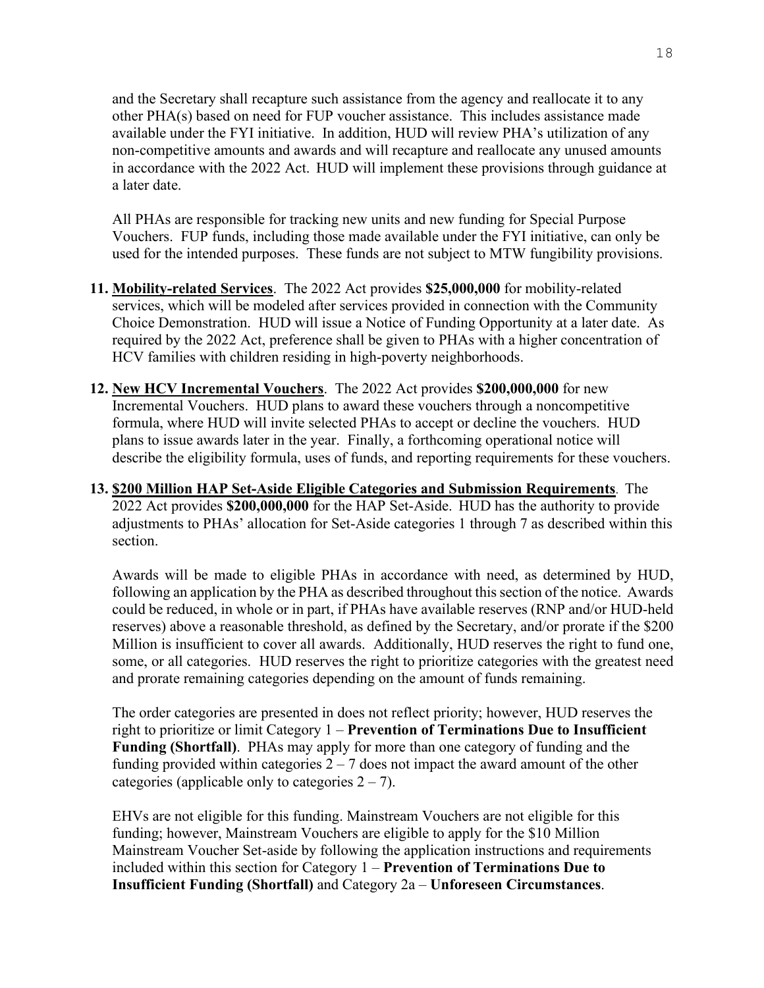and the Secretary shall recapture such assistance from the agency and reallocate it to any other PHA(s) based on need for FUP voucher assistance. This includes assistance made available under the FYI initiative. In addition, HUD will review PHA's utilization of any non-competitive amounts and awards and will recapture and reallocate any unused amounts in accordance with the 2022 Act. HUD will implement these provisions through guidance at a later date.

All PHAs are responsible for tracking new units and new funding for Special Purpose Vouchers. FUP funds, including those made available under the FYI initiative, can only be used for the intended purposes. These funds are not subject to MTW fungibility provisions.

- <span id="page-17-0"></span>**11. Mobility-related Services**. The 2022 Act provides **\$25,000,000** for mobility-related services, which will be modeled after services provided in connection with the Community Choice Demonstration. HUD will issue a Notice of Funding Opportunity at a later date. As required by the 2022 Act, preference shall be given to PHAs with a higher concentration of HCV families with children residing in high-poverty neighborhoods.
- <span id="page-17-1"></span>**12. New HCV Incremental Vouchers**. The 2022 Act provides **\$200,000,000** for new Incremental Vouchers. HUD plans to award these vouchers through a noncompetitive formula, where HUD will invite selected PHAs to accept or decline the vouchers. HUD plans to issue awards later in the year. Finally, a forthcoming operational notice will describe the eligibility formula, uses of funds, and reporting requirements for these vouchers.
- <span id="page-17-2"></span>**13. \$200 Million HAP Set-Aside Eligible Categories and Submission Requirements**. The 2022 Act provides **\$200,000,000** for the HAP Set-Aside. HUD has the authority to provide adjustments to PHAs' allocation for Set-Aside categories 1 through 7 as described within this section.

Awards will be made to eligible PHAs in accordance with need, as determined by HUD, following an application by the PHA as described throughout this section of the notice. Awards could be reduced, in whole or in part, if PHAs have available reserves (RNP and/or HUD-held reserves) above a reasonable threshold, as defined by the Secretary, and/or prorate if the \$200 Million is insufficient to cover all awards. Additionally, HUD reserves the right to fund one, some, or all categories. HUD reserves the right to prioritize categories with the greatest need and prorate remaining categories depending on the amount of funds remaining.

The order categories are presented in does not reflect priority; however, HUD reserves the right to prioritize or limit Category 1 – **Prevention of Terminations Due to Insufficient Funding (Shortfall)**. PHAs may apply for more than one category of funding and the funding provided within categories  $2 - 7$  does not impact the award amount of the other categories (applicable only to categories  $2 - 7$ ).

EHVs are not eligible for this funding. Mainstream Vouchers are not eligible for this funding; however, Mainstream Vouchers are eligible to apply for the \$10 Million Mainstream Voucher Set-aside by following the application instructions and requirements included within this section for Category 1 – **Prevention of Terminations Due to Insufficient Funding (Shortfall)** and Category 2a – **Unforeseen Circumstances**.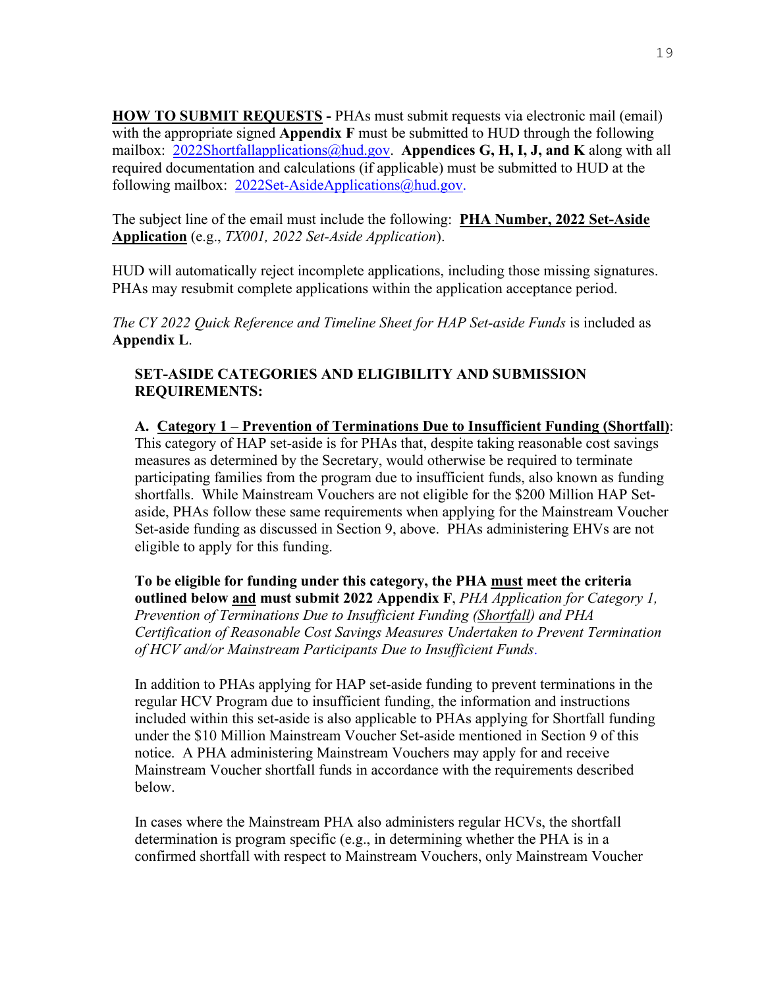**HOW TO SUBMIT REQUESTS -** PHAs must submit requests via electronic mail (email) with the appropriate signed **Appendix F** must be submitted to HUD through the following mailbox: [2022Shortfallapplications@hud.gov.](mailto:2022Shortfallapplications@hud.gov) **Appendices G, H, I, J, and K** along with all required documentation and calculations (if applicable) must be submitted to HUD at the following mailbox: [2022Set-AsideApplications@hud.gov.](mailto:2022Set-AsideApplications@hud.gov)

The subject line of the email must include the following: **PHA Number, 2022 Set-Aside Application** (e.g., *TX001, 2022 Set-Aside Application*).

HUD will automatically reject incomplete applications, including those missing signatures. PHAs may resubmit complete applications within the application acceptance period.

*The CY 2022 Quick Reference and Timeline Sheet for HAP Set-aside Funds* is included as **Appendix L**.

# **SET-ASIDE CATEGORIES AND ELIGIBILITY AND SUBMISSION REQUIREMENTS:**

**A. Category 1 – Prevention of Terminations Due to Insufficient Funding (Shortfall)**: This category of HAP set-aside is for PHAs that, despite taking reasonable cost savings measures as determined by the Secretary, would otherwise be required to terminate participating families from the program due to insufficient funds, also known as funding shortfalls. While Mainstream Vouchers are not eligible for the \$200 Million HAP Setaside, PHAs follow these same requirements when applying for the Mainstream Voucher Set-aside funding as discussed in Section 9, above. PHAs administering EHVs are not eligible to apply for this funding.

**To be eligible for funding under this category, the PHA must meet the criteria outlined below and must submit 2022 Appendix F**, *PHA Application for Category 1, Prevention of Terminations Due to Insufficient Funding (Shortfall) and PHA Certification of Reasonable Cost Savings Measures Undertaken to Prevent Termination of HCV and/or Mainstream Participants Due to Insufficient Funds*.

In addition to PHAs applying for HAP set-aside funding to prevent terminations in the regular HCV Program due to insufficient funding, the information and instructions included within this set-aside is also applicable to PHAs applying for Shortfall funding under the \$10 Million Mainstream Voucher Set-aside mentioned in Section 9 of this notice. A PHA administering Mainstream Vouchers may apply for and receive Mainstream Voucher shortfall funds in accordance with the requirements described below.

In cases where the Mainstream PHA also administers regular HCVs, the shortfall determination is program specific (e.g., in determining whether the PHA is in a confirmed shortfall with respect to Mainstream Vouchers, only Mainstream Voucher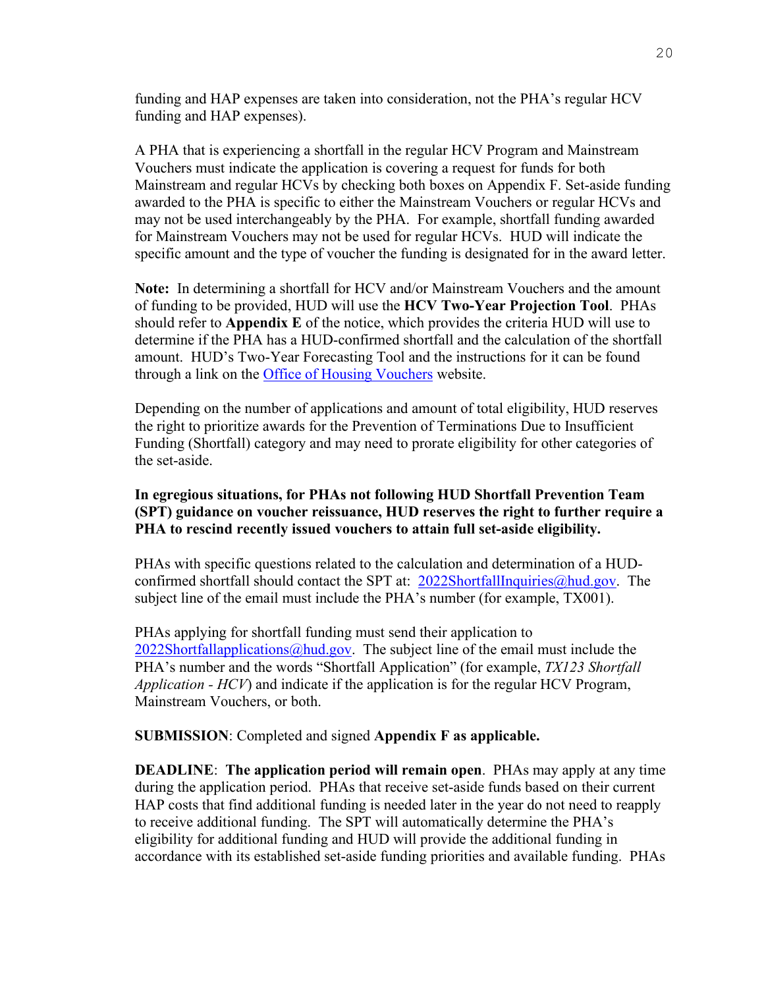funding and HAP expenses are taken into consideration, not the PHA's regular HCV funding and HAP expenses).

A PHA that is experiencing a shortfall in the regular HCV Program and Mainstream Vouchers must indicate the application is covering a request for funds for both Mainstream and regular HCVs by checking both boxes on Appendix F. Set-aside funding awarded to the PHA is specific to either the Mainstream Vouchers or regular HCVs and may not be used interchangeably by the PHA. For example, shortfall funding awarded for Mainstream Vouchers may not be used for regular HCVs. HUD will indicate the specific amount and the type of voucher the funding is designated for in the award letter.

**Note:** In determining a shortfall for HCV and/or Mainstream Vouchers and the amount of funding to be provided, HUD will use the **HCV Two-Year Projection Tool**. PHAs should refer to **Appendix E** of the notice, which provides the criteria HUD will use to determine if the PHA has a HUD-confirmed shortfall and the calculation of the shortfall amount. HUD's Two-Year Forecasting Tool and the instructions for it can be found through a link on the [Office of Housing Vouchers](https://www.hud.gov/program_offices/public_indian_housing/programs/hcv/Tools) website.

Depending on the number of applications and amount of total eligibility, HUD reserves the right to prioritize awards for the Prevention of Terminations Due to Insufficient Funding (Shortfall) category and may need to prorate eligibility for other categories of the set-aside.

#### **In egregious situations, for PHAs not following HUD Shortfall Prevention Team (SPT) guidance on voucher reissuance, HUD reserves the right to further require a PHA to rescind recently issued vouchers to attain full set-aside eligibility.**

PHAs with specific questions related to the calculation and determination of a HUDconfirmed shortfall should contact the SPT at: [2022ShortfallInquiries@hud.gov.](mailto:2022ShortfallInquiries@hud.gov) The subject line of the email must include the PHA's number (for example, TX001).

PHAs applying for shortfall funding must send their application to  $2022$ Shortfallapplications@hud.gov. The subject line of the email must include the PHA's number and the words "Shortfall Application" (for example, *TX123 Shortfall Application - HCV*) and indicate if the application is for the regular HCV Program, Mainstream Vouchers, or both.

**SUBMISSION**: Completed and signed **Appendix F as applicable.** 

**DEADLINE**: **The application period will remain open**.PHAs may apply at any time during the application period. PHAs that receive set-aside funds based on their current HAP costs that find additional funding is needed later in the year do not need to reapply to receive additional funding. The SPT will automatically determine the PHA's eligibility for additional funding and HUD will provide the additional funding in accordance with its established set-aside funding priorities and available funding. PHAs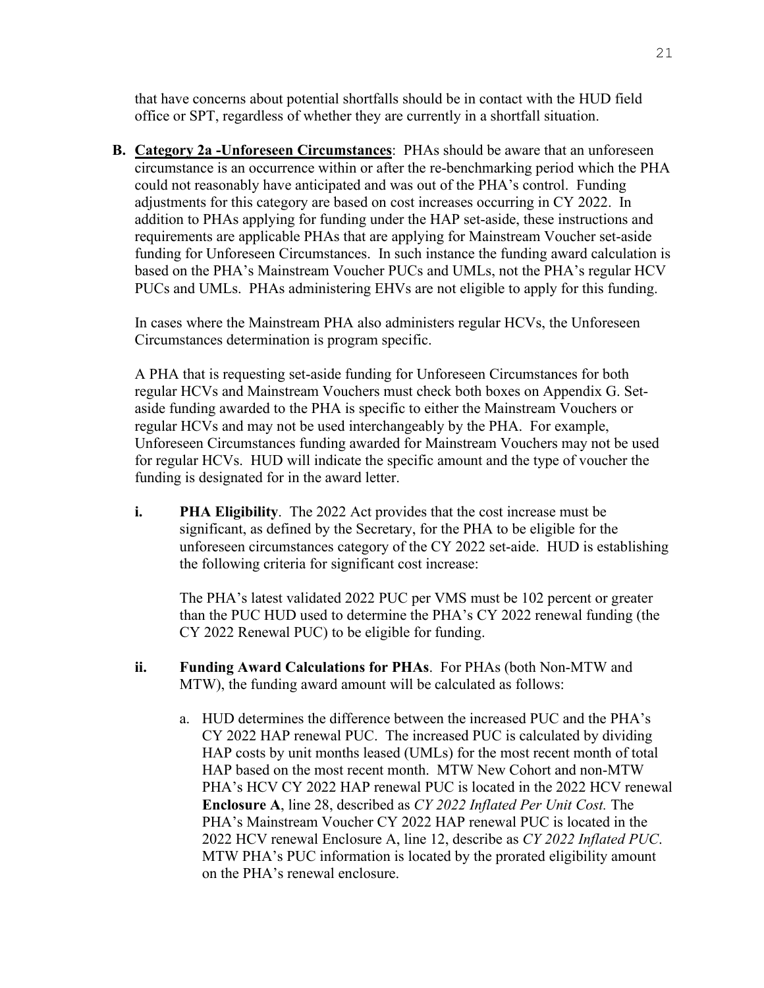that have concerns about potential shortfalls should be in contact with the HUD field office or SPT, regardless of whether they are currently in a shortfall situation.

**B. Category 2a -Unforeseen Circumstances**: PHAs should be aware that an unforeseen circumstance is an occurrence within or after the re-benchmarking period which the PHA could not reasonably have anticipated and was out of the PHA's control. Funding adjustments for this category are based on cost increases occurring in CY 2022. In addition to PHAs applying for funding under the HAP set-aside, these instructions and requirements are applicable PHAs that are applying for Mainstream Voucher set-aside funding for Unforeseen Circumstances. In such instance the funding award calculation is based on the PHA's Mainstream Voucher PUCs and UMLs, not the PHA's regular HCV PUCs and UMLs. PHAs administering EHVs are not eligible to apply for this funding.

In cases where the Mainstream PHA also administers regular HCVs, the Unforeseen Circumstances determination is program specific.

A PHA that is requesting set-aside funding for Unforeseen Circumstances for both regular HCVs and Mainstream Vouchers must check both boxes on Appendix G. Setaside funding awarded to the PHA is specific to either the Mainstream Vouchers or regular HCVs and may not be used interchangeably by the PHA. For example, Unforeseen Circumstances funding awarded for Mainstream Vouchers may not be used for regular HCVs. HUD will indicate the specific amount and the type of voucher the funding is designated for in the award letter.

**i. PHA Eligibility**. The 2022 Act provides that the cost increase must be significant, as defined by the Secretary, for the PHA to be eligible for the unforeseen circumstances category of the CY 2022 set-aide. HUD is establishing the following criteria for significant cost increase:

The PHA's latest validated 2022 PUC per VMS must be 102 percent or greater than the PUC HUD used to determine the PHA's CY 2022 renewal funding (the CY 2022 Renewal PUC) to be eligible for funding.

- **ii. Funding Award Calculations for PHAs**. For PHAs (both Non-MTW and MTW), the funding award amount will be calculated as follows:
	- a. HUD determines the difference between the increased PUC and the PHA's CY 2022 HAP renewal PUC. The increased PUC is calculated by dividing HAP costs by unit months leased (UMLs) for the most recent month of total HAP based on the most recent month. MTW New Cohort and non-MTW PHA's HCV CY 2022 HAP renewal PUC is located in the 2022 HCV renewal **Enclosure A**, line 28, described as *CY 2022 Inflated Per Unit Cost.* The PHA's Mainstream Voucher CY 2022 HAP renewal PUC is located in the 2022 HCV renewal Enclosure A, line 12, describe as *CY 2022 Inflated PUC*. MTW PHA's PUC information is located by the prorated eligibility amount on the PHA's renewal enclosure.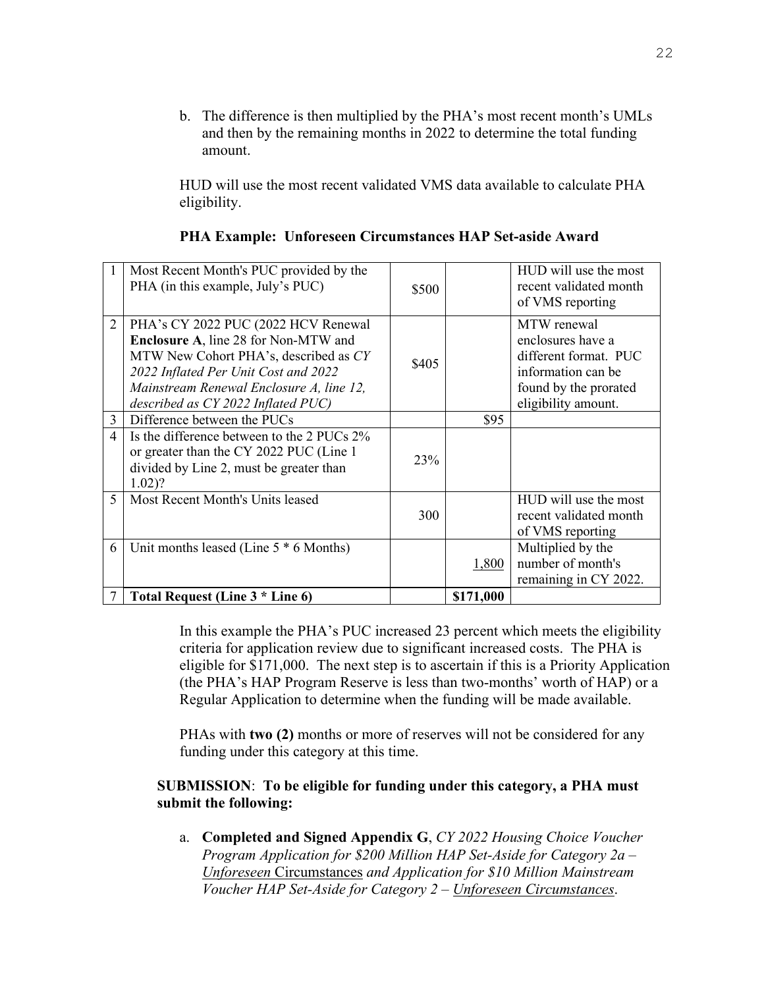b. The difference is then multiplied by the PHA's most recent month's UMLs and then by the remaining months in 2022 to determine the total funding amount.

HUD will use the most recent validated VMS data available to calculate PHA eligibility.

|                | Most Recent Month's PUC provided by the<br>PHA (in this example, July's PUC)                                                                                                                                                                          | \$500 |           | HUD will use the most<br>recent validated month<br>of VMS reporting                                                             |
|----------------|-------------------------------------------------------------------------------------------------------------------------------------------------------------------------------------------------------------------------------------------------------|-------|-----------|---------------------------------------------------------------------------------------------------------------------------------|
| $\overline{2}$ | PHA's CY 2022 PUC (2022 HCV Renewal<br><b>Enclosure A, line 28 for Non-MTW and</b><br>MTW New Cohort PHA's, described as CY<br>2022 Inflated Per Unit Cost and 2022<br>Mainstream Renewal Enclosure A, line 12,<br>described as CY 2022 Inflated PUC) | \$405 |           | MTW renewal<br>enclosures have a<br>different format. PUC<br>information can be<br>found by the prorated<br>eligibility amount. |
| 3              | Difference between the PUCs                                                                                                                                                                                                                           |       | \$95      |                                                                                                                                 |
| 4              | Is the difference between to the 2 PUCs 2%<br>or greater than the CY 2022 PUC (Line 1<br>divided by Line 2, must be greater than<br>$1.02$ ?                                                                                                          | 23%   |           |                                                                                                                                 |
| 5              | Most Recent Month's Units leased                                                                                                                                                                                                                      | 300   |           | HUD will use the most<br>recent validated month<br>of VMS reporting                                                             |
| 6              | Unit months leased (Line $5 * 6$ Months)                                                                                                                                                                                                              |       | 1,800     | Multiplied by the<br>number of month's<br>remaining in CY 2022.                                                                 |
|                | Total Request (Line 3 * Line 6)                                                                                                                                                                                                                       |       | \$171,000 |                                                                                                                                 |

**PHA Example: Unforeseen Circumstances HAP Set-aside Award** 

In this example the PHA's PUC increased 23 percent which meets the eligibility criteria for application review due to significant increased costs. The PHA is eligible for \$171,000. The next step is to ascertain if this is a Priority Application (the PHA's HAP Program Reserve is less than two-months' worth of HAP) or a Regular Application to determine when the funding will be made available.

PHAs with **two (2)** months or more of reserves will not be considered for any funding under this category at this time.

#### **SUBMISSION**: **To be eligible for funding under this category, a PHA must submit the following:**

a. **Completed and Signed Appendix G**, *CY 2022 Housing Choice Voucher Program Application for \$200 Million HAP Set-Aside for Category 2a – Unforeseen* Circumstances *and Application for \$10 Million Mainstream Voucher HAP Set-Aside for Category 2 – Unforeseen Circumstances*.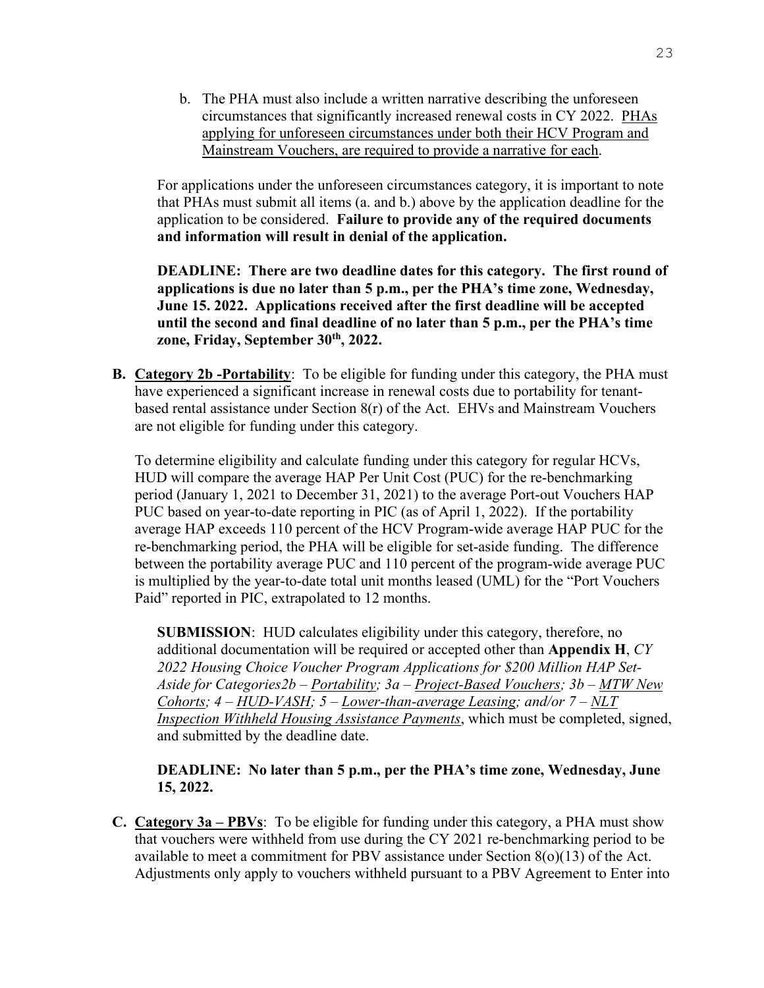b. The PHA must also include a written narrative describing the unforeseen circumstances that significantly increased renewal costs in CY 2022. PHAs applying for unforeseen circumstances under both their HCV Program and Mainstream Vouchers, are required to provide a narrative for each.

For applications under the unforeseen circumstances category, it is important to note that PHAs must submit all items (a. and b.) above by the application deadline for the application to be considered. **Failure to provide any of the required documents and information will result in denial of the application.** 

**DEADLINE: There are two deadline dates for this category. The first round of applications is due no later than 5 p.m., per the PHA's time zone, Wednesday, June 15. 2022. Applications received after the first deadline will be accepted until the second and final deadline of no later than 5 p.m., per the PHA's time zone, Friday, September 30th, 2022.** 

**B. Category 2b -Portability**: To be eligible for funding under this category, the PHA must have experienced a significant increase in renewal costs due to portability for tenantbased rental assistance under Section  $8(r)$  of the Act. EHVs and Mainstream Vouchers are not eligible for funding under this category.

To determine eligibility and calculate funding under this category for regular HCVs, HUD will compare the average HAP Per Unit Cost (PUC) for the re-benchmarking period (January 1, 2021 to December 31, 2021) to the average Port-out Vouchers HAP PUC based on year-to-date reporting in PIC (as of April 1, 2022). If the portability average HAP exceeds 110 percent of the HCV Program-wide average HAP PUC for the re-benchmarking period, the PHA will be eligible for set-aside funding. The difference between the portability average PUC and 110 percent of the program-wide average PUC is multiplied by the year-to-date total unit months leased (UML) for the "Port Vouchers Paid" reported in PIC, extrapolated to 12 months.

**SUBMISSION**:HUD calculates eligibility under this category, therefore, no additional documentation will be required or accepted other than **Appendix H**, *CY 2022 Housing Choice Voucher Program Applications for \$200 Million HAP Set-Aside for Categories2b – Portability; 3a – Project-Based Vouchers; 3b – MTW New Cohorts; 4 – HUD-VASH; 5 – Lower-than-average Leasing; and/or 7 – NLT Inspection Withheld Housing Assistance Payments*, which must be completed, signed, and submitted by the deadline date.

#### **DEADLINE: No later than 5 p.m., per the PHA's time zone, Wednesday, June 15, 2022.**

**C. Category 3a – PBVs**: To be eligible for funding under this category, a PHA must show that vouchers were withheld from use during the CY 2021 re-benchmarking period to be available to meet a commitment for PBV assistance under Section 8(o)(13) of the Act. Adjustments only apply to vouchers withheld pursuant to a PBV Agreement to Enter into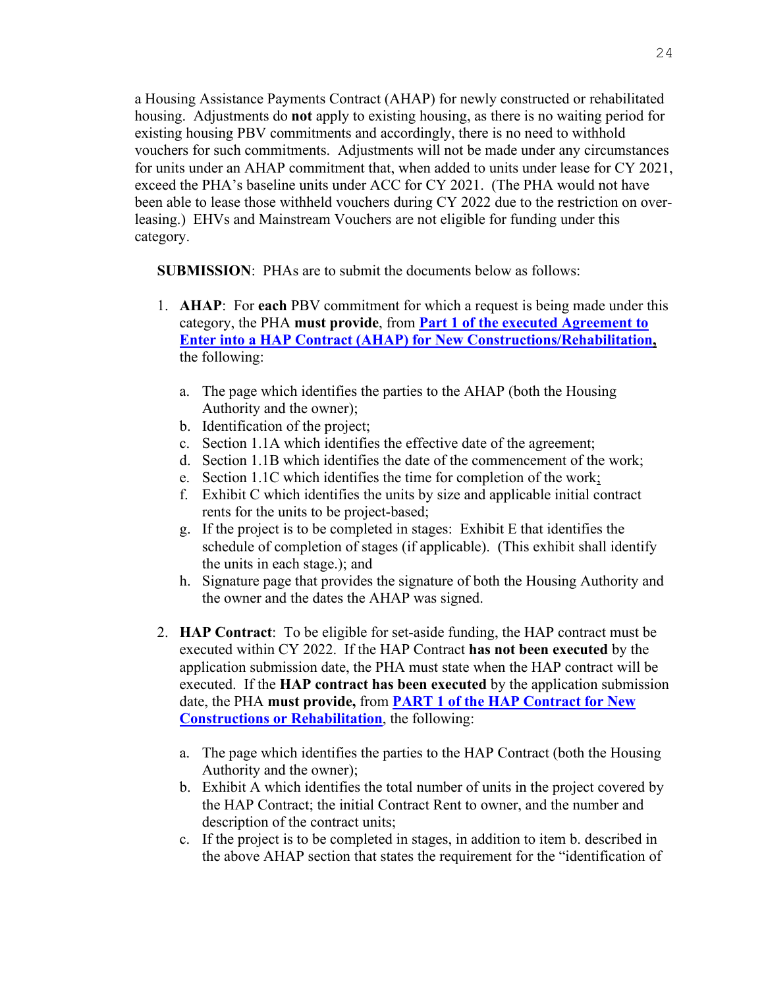a Housing Assistance Payments Contract (AHAP) for newly constructed or rehabilitated housing. Adjustments do **not** apply to existing housing, as there is no waiting period for existing housing PBV commitments and accordingly, there is no need to withhold vouchers for such commitments. Adjustments will not be made under any circumstances for units under an AHAP commitment that, when added to units under lease for CY 2021, exceed the PHA's baseline units under ACC for CY 2021. (The PHA would not have been able to lease those withheld vouchers during CY 2022 due to the restriction on overleasing.) EHVs and Mainstream Vouchers are not eligible for funding under this category.

**SUBMISSION**: PHAs are to submit the documents below as follows:

- 1. **AHAP**: For **each** PBV commitment for which a request is being made under this category, the PHA **must provide**, from **[Part 1 of the executed Agreement to](https://www.hud.gov/sites/dfiles/OCHCO/documents/52531A.pdf)  [Enter into a HAP Contract \(AHAP\) for New Constructions/Rehabilitation,](https://www.hud.gov/sites/dfiles/OCHCO/documents/52531A.pdf)** the following:
	- a. The page which identifies the parties to the AHAP (both the Housing Authority and the owner);
	- b. Identification of the project;
	- c. Section 1.1A which identifies the effective date of the agreement;
	- d. Section 1.1B which identifies the date of the commencement of the work;
	- e. Section 1.1C which identifies the time for completion of the work;
	- f. Exhibit C which identifies the units by size and applicable initial contract rents for the units to be project-based;
	- g. If the project is to be completed in stages: Exhibit E that identifies the schedule of completion of stages (if applicable). (This exhibit shall identify the units in each stage.); and
	- h. Signature page that provides the signature of both the Housing Authority and the owner and the dates the AHAP was signed.
- 2. **HAP Contract**: To be eligible for set-aside funding, the HAP contract must be executed within CY 2022. If the HAP Contract **has not been executed** by the application submission date, the PHA must state when the HAP contract will be executed. If the **HAP contract has been executed** by the application submission date, the PHA **must provide,** from **[PART 1 of the HAP Contract for New](https://www.hud.gov/sites/dfiles/OCHCO/documents/52530A_PBV.pdf)  [Constructions or Rehabilitation](https://www.hud.gov/sites/dfiles/OCHCO/documents/52530A_PBV.pdf)**, the following:
	- a. The page which identifies the parties to the HAP Contract (both the Housing Authority and the owner);
	- b. Exhibit A which identifies the total number of units in the project covered by the HAP Contract; the initial Contract Rent to owner, and the number and description of the contract units;
	- c. If the project is to be completed in stages, in addition to item b. described in the above AHAP section that states the requirement for the "identification of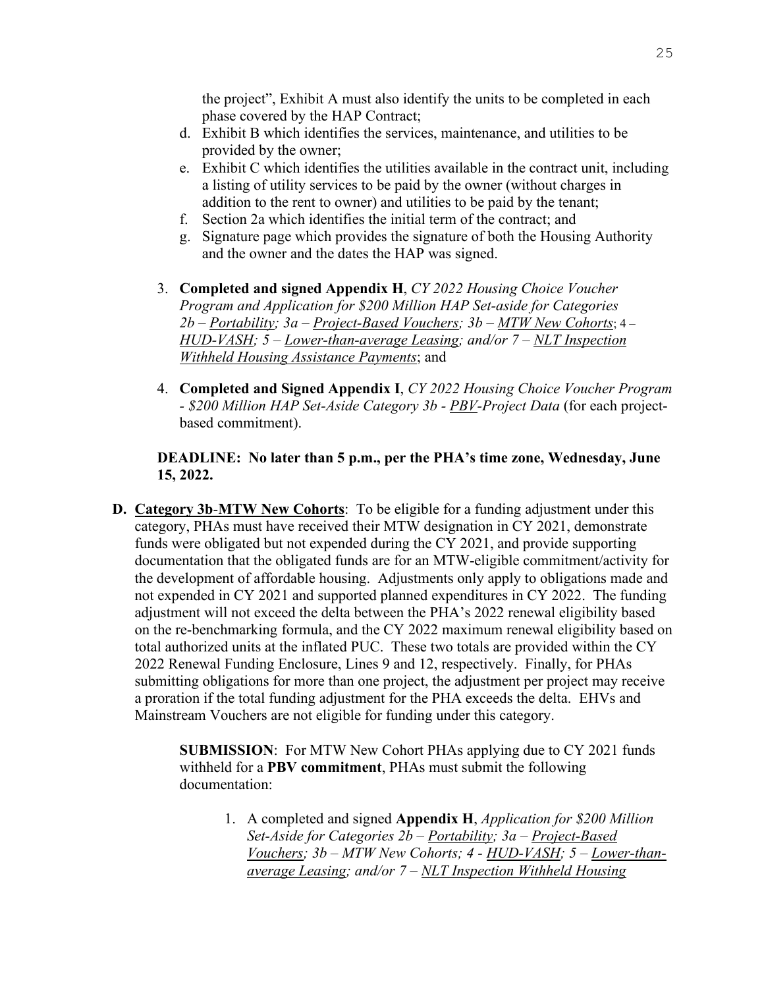the project", Exhibit A must also identify the units to be completed in each phase covered by the HAP Contract;

- d. Exhibit B which identifies the services, maintenance, and utilities to be provided by the owner;
- e. Exhibit C which identifies the utilities available in the contract unit, including a listing of utility services to be paid by the owner (without charges in addition to the rent to owner) and utilities to be paid by the tenant;
- f. Section 2a which identifies the initial term of the contract; and
- g. Signature page which provides the signature of both the Housing Authority and the owner and the dates the HAP was signed.
- 3. **Completed and signed Appendix H**, *CY 2022 Housing Choice Voucher Program and Application for \$200 Million HAP Set-aside for Categories 2b – Portability; 3a – Project-Based Vouchers; 3b – MTW New Cohorts*; 4 – *HUD-VASH; 5 – Lower-than-average Leasing; and/or 7 – NLT Inspection Withheld Housing Assistance Payments*; and
- 4. **Completed and Signed Appendix I**, *CY 2022 Housing Choice Voucher Program - \$200 Million HAP Set-Aside Category 3b - PBV-Project Data* (for each projectbased commitment).

### **DEADLINE: No later than 5 p.m., per the PHA's time zone, Wednesday, June 15, 2022.**

**D. Category 3b**-**MTW New Cohorts**: To be eligible for a funding adjustment under this category, PHAs must have received their MTW designation in CY 2021, demonstrate funds were obligated but not expended during the CY 2021, and provide supporting documentation that the obligated funds are for an MTW-eligible commitment/activity for the development of affordable housing. Adjustments only apply to obligations made and not expended in CY 2021 and supported planned expenditures in CY 2022. The funding adjustment will not exceed the delta between the PHA's 2022 renewal eligibility based on the re-benchmarking formula, and the CY 2022 maximum renewal eligibility based on total authorized units at the inflated PUC. These two totals are provided within the CY 2022 Renewal Funding Enclosure, Lines 9 and 12, respectively. Finally, for PHAs submitting obligations for more than one project, the adjustment per project may receive a proration if the total funding adjustment for the PHA exceeds the delta. EHVs and Mainstream Vouchers are not eligible for funding under this category.

> **SUBMISSION**: For MTW New Cohort PHAs applying due to CY 2021 funds withheld for a **PBV commitment**, PHAs must submit the following documentation:

1. A completed and signed **Appendix H**, *Application for \$200 Million Set-Aside for Categories 2b – Portability; 3a – Project-Based Vouchers; 3b – MTW New Cohorts; 4 - HUD-VASH; 5 – Lower-thanaverage Leasing; and/or 7 – NLT Inspection Withheld Housing*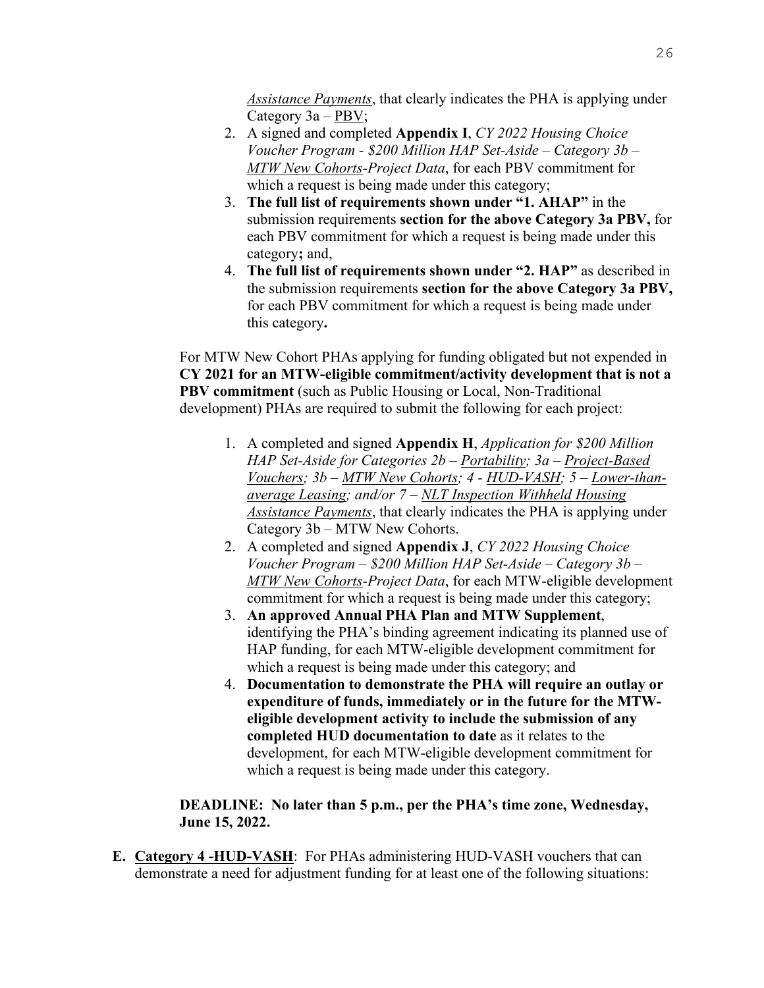*Assistance Payments*, that clearly indicates the PHA is applying under Category 3a – PBV;

- 2. A signed and completed **Appendix I**, *CY 2022 Housing Choice Voucher Program - \$200 Million HAP Set-Aside – Category 3b – MTW New Cohorts-Project Data*, for each PBV commitment for which a request is being made under this category;
- 3. **The full list of requirements shown under "1. AHAP"** in the submission requirements **section for the above Category 3a PBV,** for each PBV commitment for which a request is being made under this category**;** and,
- 4. **The full list of requirements shown under "2. HAP"** as described in the submission requirements **section for the above Category 3a PBV,**  for each PBV commitment for which a request is being made under this category**.**

For MTW New Cohort PHAs applying for funding obligated but not expended in **CY 2021 for an MTW-eligible commitment/activity development that is not a PBV commitment** (such as Public Housing or Local, Non-Traditional development) PHAs are required to submit the following for each project:

- 1. A completed and signed **Appendix H**, *Application for \$200 Million HAP Set-Aside for Categories 2b – Portability; 3a – Project-Based Vouchers; 3b – MTW New Cohorts; 4 - HUD-VASH; 5 – Lower-thanaverage Leasing; and/or 7 – NLT Inspection Withheld Housing Assistance Payments*, that clearly indicates the PHA is applying under Category 3b – MTW New Cohorts.
- 2. A completed and signed **Appendix J**, *CY 2022 Housing Choice Voucher Program – \$200 Million HAP Set-Aside – Category 3b – MTW New Cohorts-Project Data*, for each MTW-eligible development commitment for which a request is being made under this category;
- 3. **An approved Annual PHA Plan and MTW Supplement**, identifying the PHA's binding agreement indicating its planned use of HAP funding, for each MTW-eligible development commitment for which a request is being made under this category; and
- 4. **Documentation to demonstrate the PHA will require an outlay or expenditure of funds, immediately or in the future for the MTWeligible development activity to include the submission of any completed HUD documentation to date** as it relates to the development, for each MTW-eligible development commitment for which a request is being made under this category.

# **DEADLINE: No later than 5 p.m., per the PHA's time zone, Wednesday, June 15, 2022.**

**E. Category 4 -HUD-VASH**: For PHAs administering HUD-VASH vouchers that can demonstrate a need for adjustment funding for at least one of the following situations: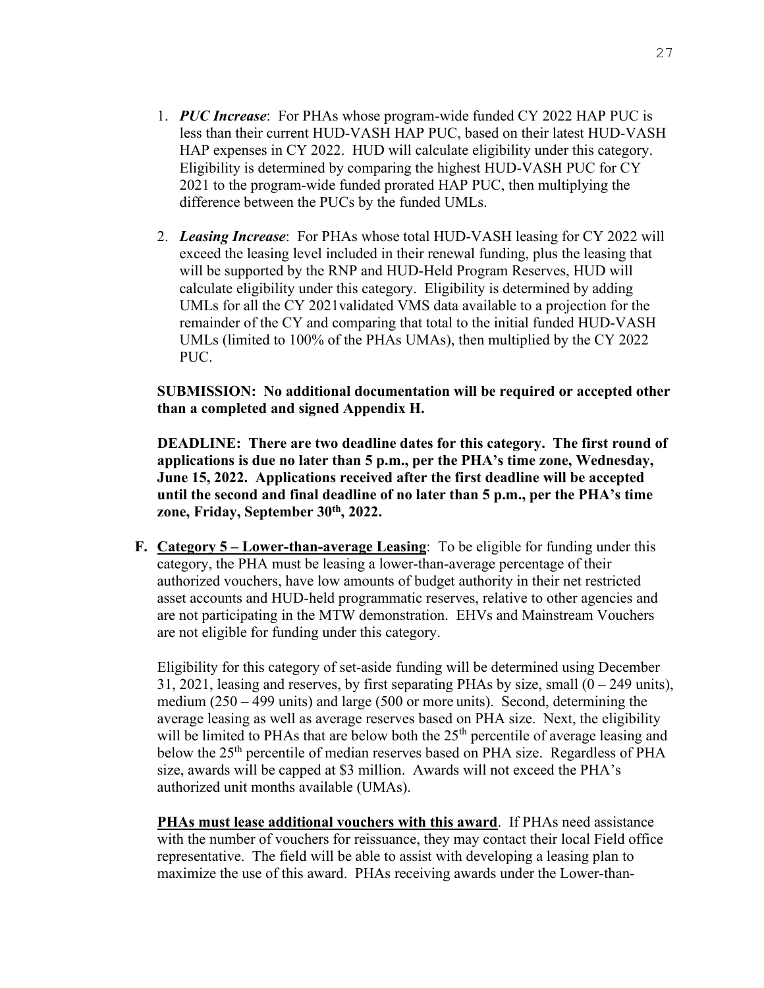- 1. *PUC Increase*: For PHAs whose program-wide funded CY 2022 HAP PUC is less than their current HUD-VASH HAP PUC, based on their latest HUD-VASH HAP expenses in CY 2022. HUD will calculate eligibility under this category. Eligibility is determined by comparing the highest HUD-VASH PUC for CY 2021 to the program-wide funded prorated HAP PUC, then multiplying the difference between the PUCs by the funded UMLs.
- 2. *Leasing Increase*: For PHAs whose total HUD-VASH leasing for CY 2022 will exceed the leasing level included in their renewal funding, plus the leasing that will be supported by the RNP and HUD-Held Program Reserves, HUD will calculate eligibility under this category. Eligibility is determined by adding UMLs for all the CY 2021validated VMS data available to a projection for the remainder of the CY and comparing that total to the initial funded HUD-VASH UMLs (limited to 100% of the PHAs UMAs), then multiplied by the CY 2022 PUC.

### **SUBMISSION: No additional documentation will be required or accepted other than a completed and signed Appendix H.**

**DEADLINE: There are two deadline dates for this category. The first round of applications is due no later than 5 p.m., per the PHA's time zone, Wednesday, June 15, 2022. Applications received after the first deadline will be accepted until the second and final deadline of no later than 5 p.m., per the PHA's time zone, Friday, September 30th, 2022.** 

**F. Category 5 – Lower-than-average Leasing**: To be eligible for funding under this category, the PHA must be leasing a lower-than-average percentage of their authorized vouchers, have low amounts of budget authority in their net restricted asset accounts and HUD-held programmatic reserves, relative to other agencies and are not participating in the MTW demonstration. EHVs and Mainstream Vouchers are not eligible for funding under this category.

Eligibility for this category of set-aside funding will be determined using December 31, 2021, leasing and reserves, by first separating PHAs by size, small  $(0 - 249 \text{ units})$ , medium (250 – 499 units) and large (500 or more units). Second, determining the average leasing as well as average reserves based on PHA size. Next, the eligibility will be limited to PHAs that are below both the 25<sup>th</sup> percentile of average leasing and below the 25<sup>th</sup> percentile of median reserves based on PHA size. Regardless of PHA size, awards will be capped at \$3 million. Awards will not exceed the PHA's authorized unit months available (UMAs).

**PHAs must lease additional vouchers with this award**. If PHAs need assistance with the number of vouchers for reissuance, they may contact their local Field office representative. The field will be able to assist with developing a leasing plan to maximize the use of this award. PHAs receiving awards under the Lower-than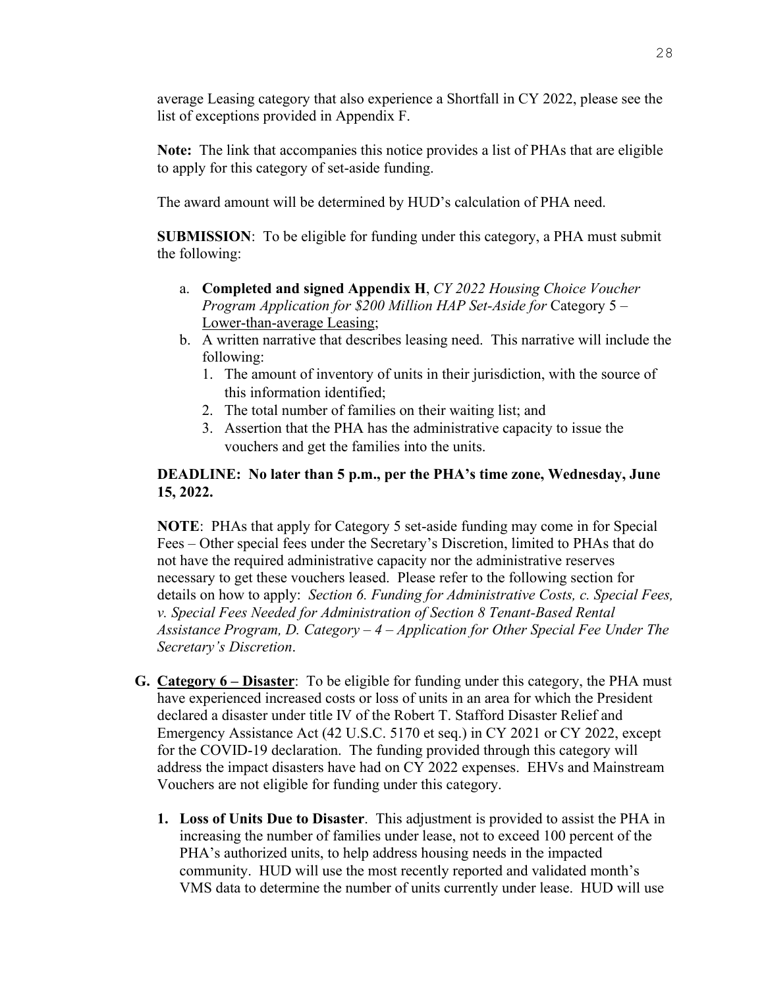average Leasing category that also experience a Shortfall in CY 2022, please see the list of exceptions provided in Appendix F.

**Note:** The link that accompanies this notice provides a list of PHAs that are eligible to apply for this category of set-aside funding.

The award amount will be determined by HUD's calculation of PHA need.

**SUBMISSION**:To be eligible for funding under this category, a PHA must submit the following:

- a. **Completed and signed Appendix H**, *CY 2022 Housing Choice Voucher Program Application for \$200 Million HAP Set-Aside for* Category 5 – Lower-than-average Leasing;
- b. A written narrative that describes leasing need. This narrative will include the following:
	- 1. The amount of inventory of units in their jurisdiction, with the source of this information identified;
	- 2. The total number of families on their waiting list; and
	- 3. Assertion that the PHA has the administrative capacity to issue the vouchers and get the families into the units.

# **DEADLINE: No later than 5 p.m., per the PHA's time zone, Wednesday, June 15, 2022.**

**NOTE**: PHAs that apply for Category 5 set-aside funding may come in for Special Fees – Other special fees under the Secretary's Discretion, limited to PHAs that do not have the required administrative capacity nor the administrative reserves necessary to get these vouchers leased. Please refer to the following section for details on how to apply: *Section 6. Funding for Administrative Costs, c. Special Fees, v. Special Fees Needed for Administration of Section 8 Tenant-Based Rental Assistance Program, D. Category – 4 – Application for Other Special Fee Under The Secretary's Discretion*.

- **G. Category 6 Disaster**: To be eligible for funding under this category, the PHA must have experienced increased costs or loss of units in an area for which the President declared a disaster under title IV of the Robert T. Stafford Disaster Relief and Emergency Assistance Act (42 U.S.C. 5170 et seq.) in CY 2021 or CY 2022, except for the COVID-19 declaration. The funding provided through this category will address the impact disasters have had on CY 2022 expenses. EHVs and Mainstream Vouchers are not eligible for funding under this category.
	- **1. Loss of Units Due to Disaster**. This adjustment is provided to assist the PHA in increasing the number of families under lease, not to exceed 100 percent of the PHA's authorized units, to help address housing needs in the impacted community. HUD will use the most recently reported and validated month's VMS data to determine the number of units currently under lease. HUD will use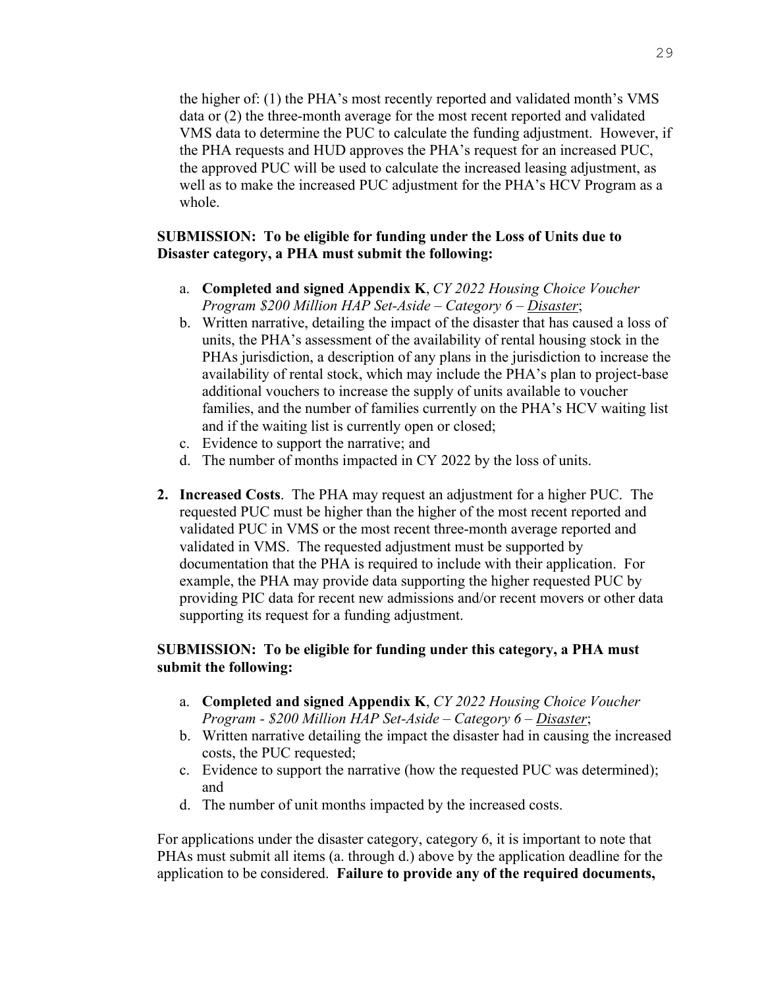the higher of: (1) the PHA's most recently reported and validated month's VMS data or (2) the three-month average for the most recent reported and validated VMS data to determine the PUC to calculate the funding adjustment. However, if the PHA requests and HUD approves the PHA's request for an increased PUC, the approved PUC will be used to calculate the increased leasing adjustment, as well as to make the increased PUC adjustment for the PHA's HCV Program as a whole.

#### **SUBMISSION: To be eligible for funding under the Loss of Units due to Disaster category, a PHA must submit the following:**

- a. **Completed and signed Appendix K**, *CY 2022 Housing Choice Voucher Program \$200 Million HAP Set-Aside – Category 6 – Disaster*;
- b. Written narrative, detailing the impact of the disaster that has caused a loss of units, the PHA's assessment of the availability of rental housing stock in the PHAs jurisdiction, a description of any plans in the jurisdiction to increase the availability of rental stock, which may include the PHA's plan to project-base additional vouchers to increase the supply of units available to voucher families, and the number of families currently on the PHA's HCV waiting list and if the waiting list is currently open or closed;
- c. Evidence to support the narrative; and
- d. The number of months impacted in CY 2022 by the loss of units.
- **2. Increased Costs**.The PHA may request an adjustment for a higher PUC. The requested PUC must be higher than the higher of the most recent reported and validated PUC in VMS or the most recent three-month average reported and validated in VMS. The requested adjustment must be supported by documentation that the PHA is required to include with their application. For example, the PHA may provide data supporting the higher requested PUC by providing PIC data for recent new admissions and/or recent movers or other data supporting its request for a funding adjustment.

#### **SUBMISSION: To be eligible for funding under this category, a PHA must submit the following:**

- a. **Completed and signed Appendix K**, *CY 2022 Housing Choice Voucher Program - \$200 Million HAP Set-Aside – Category 6 – Disaster*;
- b. Written narrative detailing the impact the disaster had in causing the increased costs, the PUC requested;
- c. Evidence to support the narrative (how the requested PUC was determined); and
- d. The number of unit months impacted by the increased costs.

For applications under the disaster category, category 6, it is important to note that PHAs must submit all items (a. through d.) above by the application deadline for the application to be considered. **Failure to provide any of the required documents,**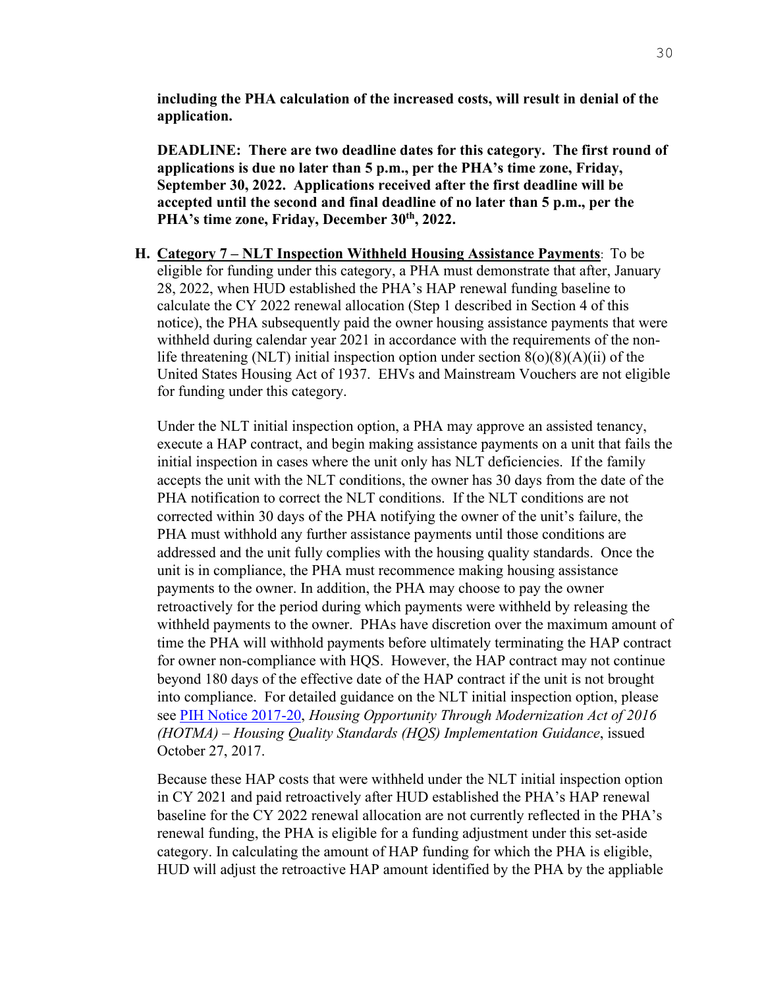**including the PHA calculation of the increased costs, will result in denial of the application.** 

**DEADLINE: There are two deadline dates for this category. The first round of applications is due no later than 5 p.m., per the PHA's time zone, Friday, September 30, 2022. Applications received after the first deadline will be accepted until the second and final deadline of no later than 5 p.m., per the PHA's time zone, Friday, December 30th, 2022.** 

**H. Category 7 – NLT Inspection Withheld Housing Assistance Payments**: To be eligible for funding under this category, a PHA must demonstrate that after, January 28, 2022, when HUD established the PHA's HAP renewal funding baseline to calculate the CY 2022 renewal allocation (Step 1 described in Section 4 of this notice), the PHA subsequently paid the owner housing assistance payments that were withheld during calendar year 2021 in accordance with the requirements of the nonlife threatening (NLT) initial inspection option under section  $8(0)(8)(A)(ii)$  of the United States Housing Act of 1937. EHVs and Mainstream Vouchers are not eligible for funding under this category.

Under the NLT initial inspection option, a PHA may approve an assisted tenancy, execute a HAP contract, and begin making assistance payments on a unit that fails the initial inspection in cases where the unit only has NLT deficiencies. If the family accepts the unit with the NLT conditions, the owner has 30 days from the date of the PHA notification to correct the NLT conditions. If the NLT conditions are not corrected within 30 days of the PHA notifying the owner of the unit's failure, the PHA must withhold any further assistance payments until those conditions are addressed and the unit fully complies with the housing quality standards. Once the unit is in compliance, the PHA must recommence making housing assistance payments to the owner. In addition, the PHA may choose to pay the owner retroactively for the period during which payments were withheld by releasing the withheld payments to the owner. PHAs have discretion over the maximum amount of time the PHA will withhold payments before ultimately terminating the HAP contract for owner non-compliance with HQS. However, the HAP contract may not continue beyond 180 days of the effective date of the HAP contract if the unit is not brought into compliance. For detailed guidance on the NLT initial inspection option, please see [PIH Notice 2017-20,](https://www.hud.gov/sites/dfiles/PIH/documents/PIH-2017-20.pdf) *Housing Opportunity Through Modernization Act of 2016 (HOTMA) – Housing Quality Standards (HQS) Implementation Guidance*, issued October 27, 2017.

Because these HAP costs that were withheld under the NLT initial inspection option in CY 2021 and paid retroactively after HUD established the PHA's HAP renewal baseline for the CY 2022 renewal allocation are not currently reflected in the PHA's renewal funding, the PHA is eligible for a funding adjustment under this set-aside category. In calculating the amount of HAP funding for which the PHA is eligible, HUD will adjust the retroactive HAP amount identified by the PHA by the appliable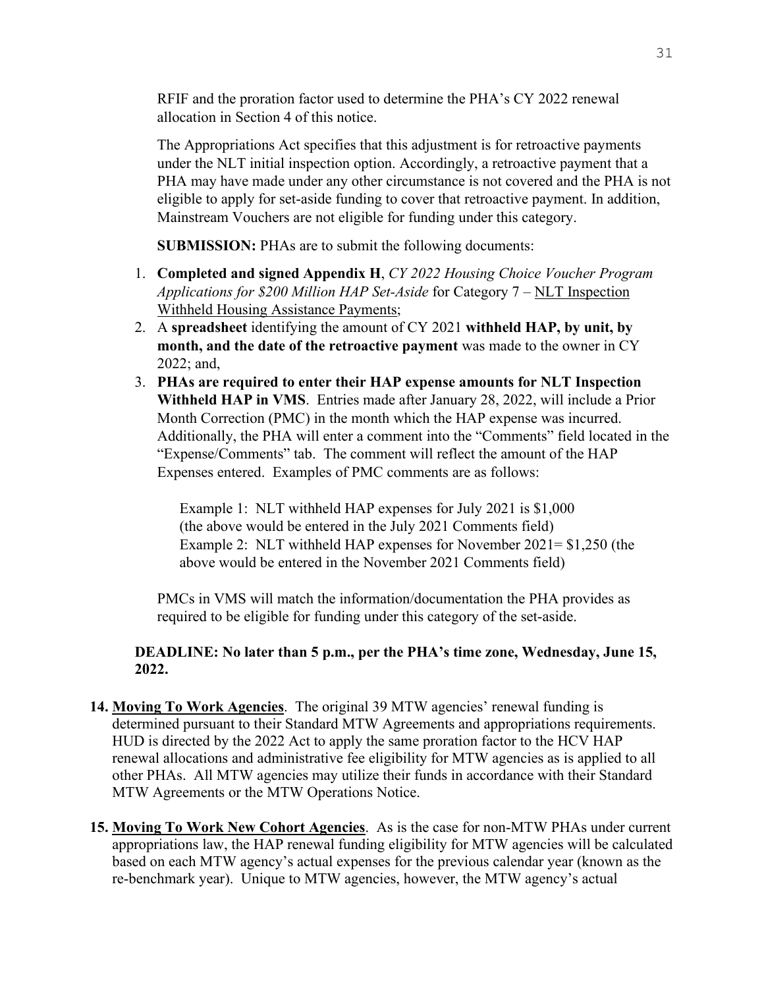RFIF and the proration factor used to determine the PHA's CY 2022 renewal allocation in Section 4 of this notice.

The Appropriations Act specifies that this adjustment is for retroactive payments under the NLT initial inspection option. Accordingly, a retroactive payment that a PHA may have made under any other circumstance is not covered and the PHA is not eligible to apply for set-aside funding to cover that retroactive payment. In addition, Mainstream Vouchers are not eligible for funding under this category.

**SUBMISSION:** PHAs are to submit the following documents:

- 1. **Completed and signed Appendix H**, *CY 2022 Housing Choice Voucher Program Applications for \$200 Million HAP Set-Aside* for Category 7 – NLT Inspection Withheld Housing Assistance Payments;
- 2. A **spreadsheet** identifying the amount of CY 2021 **withheld HAP, by unit, by month, and the date of the retroactive payment** was made to the owner in CY 2022; and,
- 3. **PHAs are required to enter their HAP expense amounts for NLT Inspection Withheld HAP in VMS**. Entries made after January 28, 2022, will include a Prior Month Correction (PMC) in the month which the HAP expense was incurred. Additionally, the PHA will enter a comment into the "Comments" field located in the "Expense/Comments" tab. The comment will reflect the amount of the HAP Expenses entered. Examples of PMC comments are as follows:

Example 1: NLT withheld HAP expenses for July 2021 is \$1,000 (the above would be entered in the July 2021 Comments field) Example 2: NLT withheld HAP expenses for November 2021= \$1,250 (the above would be entered in the November 2021 Comments field)

PMCs in VMS will match the information/documentation the PHA provides as required to be eligible for funding under this category of the set-aside.

# <span id="page-30-0"></span>**DEADLINE: No later than 5 p.m., per the PHA's time zone, Wednesday, June 15, 2022.**

- **14. Moving To Work Agencies**. The original 39 MTW agencies' renewal funding is determined pursuant to their Standard MTW Agreements and appropriations requirements. HUD is directed by the 2022 Act to apply the same proration factor to the HCV HAP renewal allocations and administrative fee eligibility for MTW agencies as is applied to all other PHAs. All MTW agencies may utilize their funds in accordance with their Standard MTW Agreements or the MTW Operations Notice.
- <span id="page-30-1"></span>**15. Moving To Work New Cohort Agencies**. As is the case for non-MTW PHAs under current appropriations law, the HAP renewal funding eligibility for MTW agencies will be calculated based on each MTW agency's actual expenses for the previous calendar year (known as the re-benchmark year). Unique to MTW agencies, however, the MTW agency's actual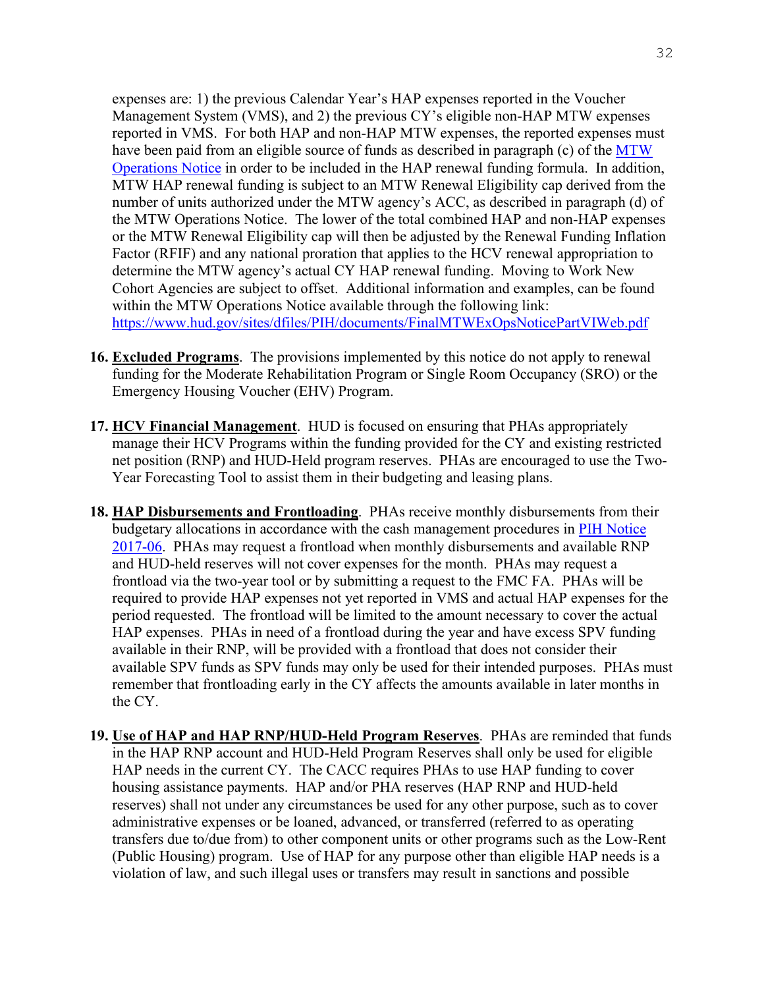expenses are: 1) the previous Calendar Year's HAP expenses reported in the Voucher Management System (VMS), and 2) the previous CY's eligible non-HAP MTW expenses reported in VMS. For both HAP and non-HAP MTW expenses, the reported expenses must have been paid from an eligible source of funds as described in paragraph (c) of the MTW [Operations Notice](https://www.hud.gov/sites/dfiles/PIH/documents/FinalMTWExOpsNoticePartVIWeb.pdf) in order to be included in the HAP renewal funding formula. In addition, MTW HAP renewal funding is subject to an MTW Renewal Eligibility cap derived from the number of units authorized under the MTW agency's ACC, as described in paragraph (d) of the MTW Operations Notice. The lower of the total combined HAP and non-HAP expenses or the MTW Renewal Eligibility cap will then be adjusted by the Renewal Funding Inflation Factor (RFIF) and any national proration that applies to the HCV renewal appropriation to determine the MTW agency's actual CY HAP renewal funding. Moving to Work New Cohort Agencies are subject to offset. Additional information and examples, can be found within the MTW Operations Notice available through the following link: <https://www.hud.gov/sites/dfiles/PIH/documents/FinalMTWExOpsNoticePartVIWeb.pdf>

- <span id="page-31-0"></span>**16. Excluded Programs**. The provisions implemented by this notice do not apply to renewal funding for the Moderate Rehabilitation Program or Single Room Occupancy (SRO) or the Emergency Housing Voucher (EHV) Program.
- <span id="page-31-1"></span>**17. HCV Financial Management**. HUD is focused on ensuring that PHAs appropriately manage their HCV Programs within the funding provided for the CY and existing restricted net position (RNP) and HUD-Held program reserves. PHAs are encouraged to use the Two-Year Forecasting Tool to assist them in their budgeting and leasing plans.
- <span id="page-31-2"></span>**18. HAP Disbursements and Frontloading**. PHAs receive monthly disbursements from their budgetary allocations in accordance with the cash management procedures in [PIH Notice](https://www.hud.gov/sites/documents/17-06PIHN.PDF)  [2017-06.](https://www.hud.gov/sites/documents/17-06PIHN.PDF) PHAs may request a frontload when monthly disbursements and available RNP and HUD-held reserves will not cover expenses for the month. PHAs may request a frontload via the two-year tool or by submitting a request to the FMC FA. PHAs will be required to provide HAP expenses not yet reported in VMS and actual HAP expenses for the period requested. The frontload will be limited to the amount necessary to cover the actual HAP expenses. PHAs in need of a frontload during the year and have excess SPV funding available in their RNP, will be provided with a frontload that does not consider their available SPV funds as SPV funds may only be used for their intended purposes. PHAs must remember that frontloading early in the CY affects the amounts available in later months in the CY.
- <span id="page-31-3"></span>**19. Use of HAP and HAP RNP/HUD-Held Program Reserves**.PHAs are reminded that funds in the HAP RNP account and HUD-Held Program Reserves shall only be used for eligible HAP needs in the current CY. The CACC requires PHAs to use HAP funding to cover housing assistance payments. HAP and/or PHA reserves (HAP RNP and HUD-held reserves) shall not under any circumstances be used for any other purpose, such as to cover administrative expenses or be loaned, advanced, or transferred (referred to as operating transfers due to/due from) to other component units or other programs such as the Low-Rent (Public Housing) program. Use of HAP for any purpose other than eligible HAP needs is a violation of law, and such illegal uses or transfers may result in sanctions and possible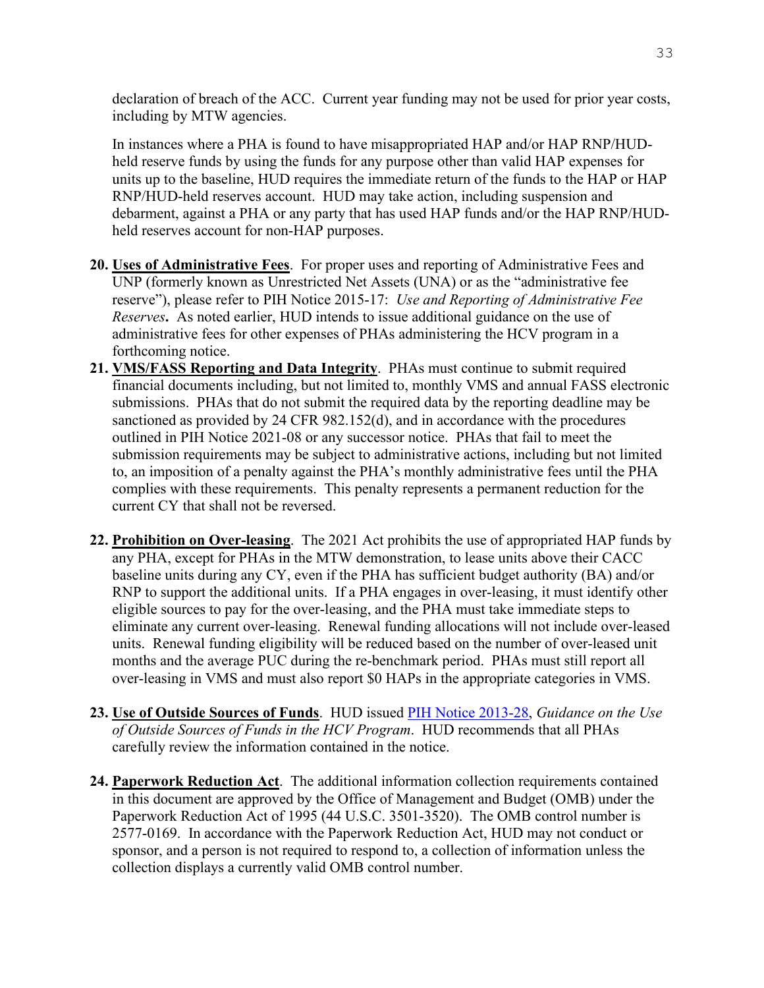declaration of breach of the ACC. Current year funding may not be used for prior year costs, including by MTW agencies.

In instances where a PHA is found to have misappropriated HAP and/or HAP RNP/HUDheld reserve funds by using the funds for any purpose other than valid HAP expenses for units up to the baseline, HUD requires the immediate return of the funds to the HAP or HAP RNP/HUD-held reserves account. HUD may take action, including suspension and debarment, against a PHA or any party that has used HAP funds and/or the HAP RNP/HUDheld reserves account for non-HAP purposes.

- <span id="page-32-0"></span>**20. Uses of Administrative Fees**. For proper uses and reporting of Administrative Fees and UNP (formerly known as Unrestricted Net Assets (UNA) or as the "administrative fee reserve"), please refer to PIH Notice 2015-17: *Use and Reporting of Administrative Fee Reserves***.** As noted earlier, HUD intends to issue additional guidance on the use of administrative fees for other expenses of PHAs administering the HCV program in a forthcoming notice.
- <span id="page-32-1"></span>**21. VMS/FASS Reporting and Data Integrity**. PHAs must continue to submit required financial documents including, but not limited to, monthly VMS and annual FASS electronic submissions. PHAs that do not submit the required data by the reporting deadline may be sanctioned as provided by 24 CFR 982.152(d), and in accordance with the procedures outlined in PIH Notice 2021-08 or any successor notice. PHAs that fail to meet the submission requirements may be subject to administrative actions, including but not limited to, an imposition of a penalty against the PHA's monthly administrative fees until the PHA complies with these requirements. This penalty represents a permanent reduction for the current CY that shall not be reversed.
- <span id="page-32-2"></span>**22. Prohibition on Over-leasing**. The 2021 Act prohibits the use of appropriated HAP funds by any PHA, except for PHAs in the MTW demonstration, to lease units above their CACC baseline units during any CY, even if the PHA has sufficient budget authority (BA) and/or RNP to support the additional units. If a PHA engages in over-leasing, it must identify other eligible sources to pay for the over-leasing, and the PHA must take immediate steps to eliminate any current over-leasing. Renewal funding allocations will not include over-leased units. Renewal funding eligibility will be reduced based on the number of over-leased unit months and the average PUC during the re-benchmark period. PHAs must still report all over-leasing in VMS and must also report \$0 HAPs in the appropriate categories in VMS.
- <span id="page-32-3"></span>**23. Use of Outside Sources of Funds**. HUD issued [PIH Notice 2013-28,](http://portal.hud.gov/hudportal/documents/huddoc?id=pih2013-28.pdf) *Guidance on the Use of Outside Sources of Funds in the HCV Program*. HUD recommends that all PHAs carefully review the information contained in the notice.
- <span id="page-32-4"></span>**24. Paperwork Reduction Act**. The additional information collection requirements contained in this document are approved by the Office of Management and Budget (OMB) under the Paperwork Reduction Act of 1995 (44 U.S.C. 3501-3520). The OMB control number is 2577-0169. In accordance with the Paperwork Reduction Act, HUD may not conduct or sponsor, and a person is not required to respond to, a collection of information unless the collection displays a currently valid OMB control number.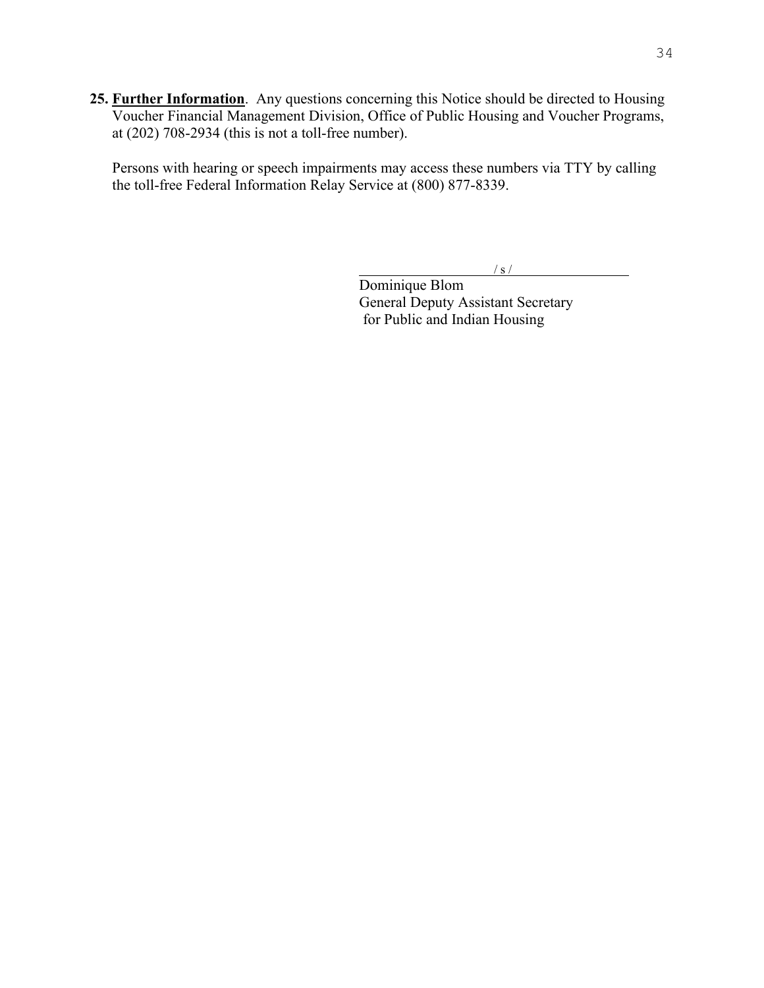<span id="page-33-0"></span>**25. Further Information**. Any questions concerning this Notice should be directed to Housing Voucher Financial Management Division, Office of Public Housing and Voucher Programs, at (202) 708-2934 (this is not a toll-free number).

Persons with hearing or speech impairments may access these numbers via TTY by calling the toll-free Federal Information Relay Service at (800) 877-8339.

 $/ s /$ 

Dominique Blom General Deputy Assistant Secretary for Public and Indian Housing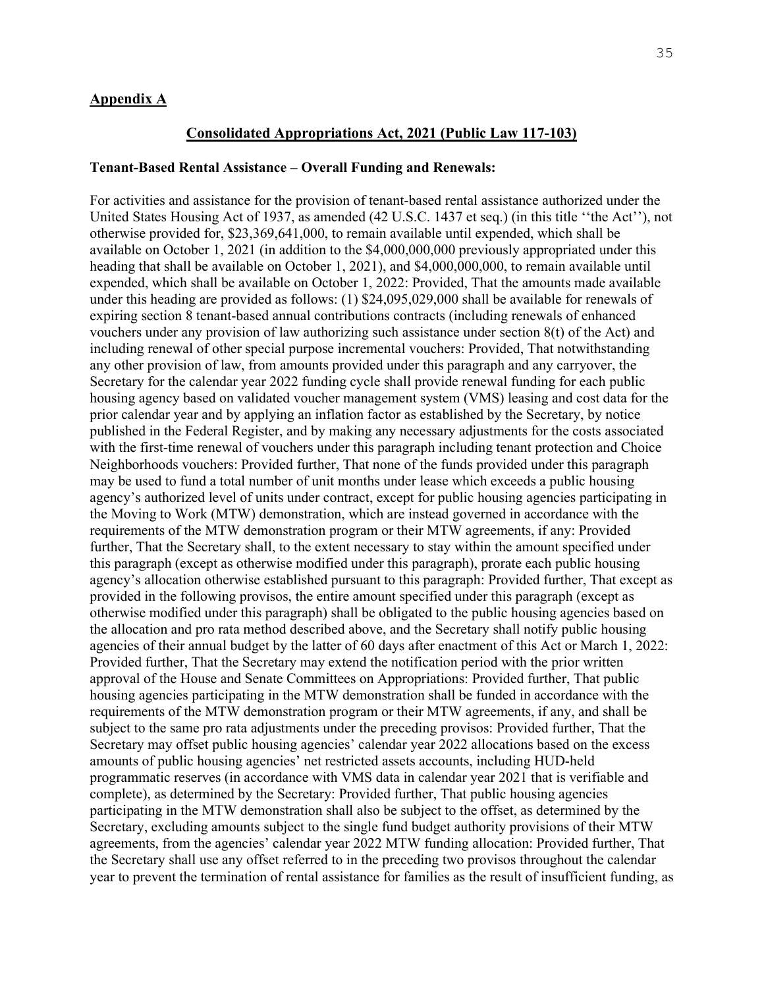#### <span id="page-34-0"></span>**Appendix A**

#### **Consolidated Appropriations Act, 2021 (Public Law 117-103)**

#### **Tenant-Based Rental Assistance – Overall Funding and Renewals:**

For activities and assistance for the provision of tenant-based rental assistance authorized under the United States Housing Act of 1937, as amended (42 U.S.C. 1437 et seq.) (in this title ''the Act''), not otherwise provided for, \$23,369,641,000, to remain available until expended, which shall be available on October 1, 2021 (in addition to the \$4,000,000,000 previously appropriated under this heading that shall be available on October 1, 2021), and \$4,000,000,000, to remain available until expended, which shall be available on October 1, 2022: Provided, That the amounts made available under this heading are provided as follows: (1) \$24,095,029,000 shall be available for renewals of expiring section 8 tenant-based annual contributions contracts (including renewals of enhanced vouchers under any provision of law authorizing such assistance under section 8(t) of the Act) and including renewal of other special purpose incremental vouchers: Provided, That notwithstanding any other provision of law, from amounts provided under this paragraph and any carryover, the Secretary for the calendar year 2022 funding cycle shall provide renewal funding for each public housing agency based on validated voucher management system (VMS) leasing and cost data for the prior calendar year and by applying an inflation factor as established by the Secretary, by notice published in the Federal Register, and by making any necessary adjustments for the costs associated with the first-time renewal of vouchers under this paragraph including tenant protection and Choice Neighborhoods vouchers: Provided further, That none of the funds provided under this paragraph may be used to fund a total number of unit months under lease which exceeds a public housing agency's authorized level of units under contract, except for public housing agencies participating in the Moving to Work (MTW) demonstration, which are instead governed in accordance with the requirements of the MTW demonstration program or their MTW agreements, if any: Provided further, That the Secretary shall, to the extent necessary to stay within the amount specified under this paragraph (except as otherwise modified under this paragraph), prorate each public housing agency's allocation otherwise established pursuant to this paragraph: Provided further, That except as provided in the following provisos, the entire amount specified under this paragraph (except as otherwise modified under this paragraph) shall be obligated to the public housing agencies based on the allocation and pro rata method described above, and the Secretary shall notify public housing agencies of their annual budget by the latter of 60 days after enactment of this Act or March 1, 2022: Provided further, That the Secretary may extend the notification period with the prior written approval of the House and Senate Committees on Appropriations: Provided further, That public housing agencies participating in the MTW demonstration shall be funded in accordance with the requirements of the MTW demonstration program or their MTW agreements, if any, and shall be subject to the same pro rata adjustments under the preceding provisos: Provided further, That the Secretary may offset public housing agencies' calendar year 2022 allocations based on the excess amounts of public housing agencies' net restricted assets accounts, including HUD-held programmatic reserves (in accordance with VMS data in calendar year 2021 that is verifiable and complete), as determined by the Secretary: Provided further, That public housing agencies participating in the MTW demonstration shall also be subject to the offset, as determined by the Secretary, excluding amounts subject to the single fund budget authority provisions of their MTW agreements, from the agencies' calendar year 2022 MTW funding allocation: Provided further, That the Secretary shall use any offset referred to in the preceding two provisos throughout the calendar year to prevent the termination of rental assistance for families as the result of insufficient funding, as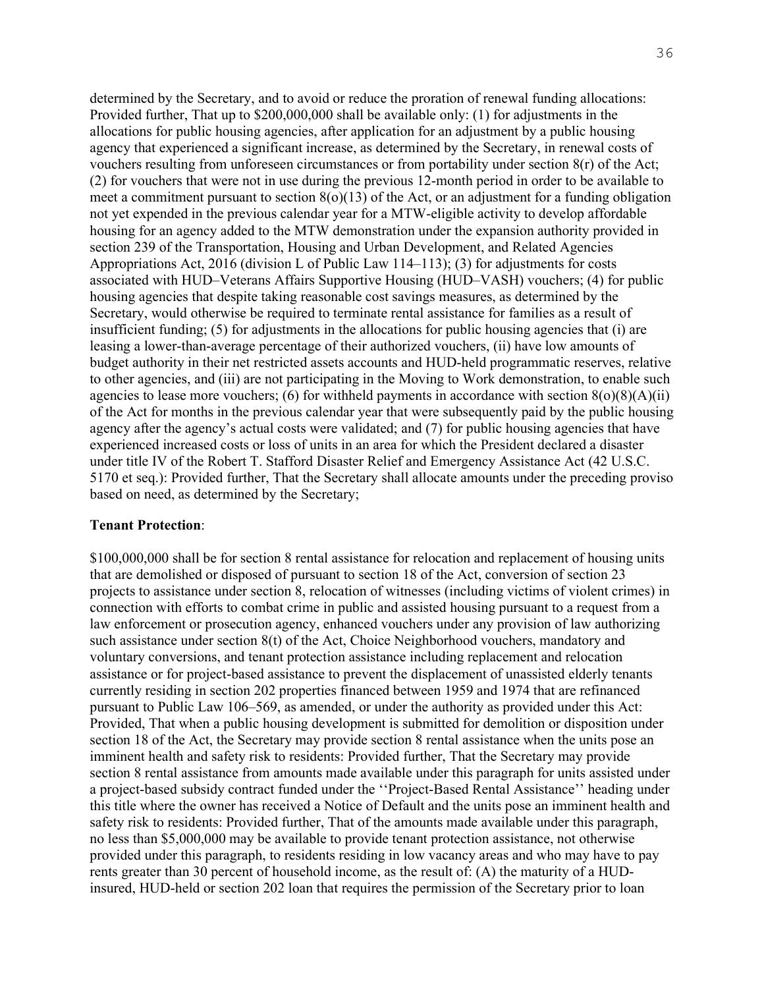determined by the Secretary, and to avoid or reduce the proration of renewal funding allocations: Provided further, That up to \$200,000,000 shall be available only: (1) for adjustments in the allocations for public housing agencies, after application for an adjustment by a public housing agency that experienced a significant increase, as determined by the Secretary, in renewal costs of vouchers resulting from unforeseen circumstances or from portability under section 8(r) of the Act; (2) for vouchers that were not in use during the previous 12-month period in order to be available to meet a commitment pursuant to section  $8(0)(13)$  of the Act, or an adjustment for a funding obligation not yet expended in the previous calendar year for a MTW-eligible activity to develop affordable housing for an agency added to the MTW demonstration under the expansion authority provided in section 239 of the Transportation, Housing and Urban Development, and Related Agencies Appropriations Act, 2016 (division L of Public Law 114–113); (3) for adjustments for costs associated with HUD–Veterans Affairs Supportive Housing (HUD–VASH) vouchers; (4) for public housing agencies that despite taking reasonable cost savings measures, as determined by the Secretary, would otherwise be required to terminate rental assistance for families as a result of insufficient funding; (5) for adjustments in the allocations for public housing agencies that (i) are leasing a lower-than-average percentage of their authorized vouchers, (ii) have low amounts of budget authority in their net restricted assets accounts and HUD-held programmatic reserves, relative to other agencies, and (iii) are not participating in the Moving to Work demonstration, to enable such agencies to lease more vouchers; (6) for withheld payments in accordance with section  $8(0)(8)(A)(ii)$ of the Act for months in the previous calendar year that were subsequently paid by the public housing agency after the agency's actual costs were validated; and (7) for public housing agencies that have experienced increased costs or loss of units in an area for which the President declared a disaster under title IV of the Robert T. Stafford Disaster Relief and Emergency Assistance Act (42 U.S.C. 5170 et seq.): Provided further, That the Secretary shall allocate amounts under the preceding proviso based on need, as determined by the Secretary;

#### **Tenant Protection**:

\$100,000,000 shall be for section 8 rental assistance for relocation and replacement of housing units that are demolished or disposed of pursuant to section 18 of the Act, conversion of section 23 projects to assistance under section 8, relocation of witnesses (including victims of violent crimes) in connection with efforts to combat crime in public and assisted housing pursuant to a request from a law enforcement or prosecution agency, enhanced vouchers under any provision of law authorizing such assistance under section 8(t) of the Act, Choice Neighborhood vouchers, mandatory and voluntary conversions, and tenant protection assistance including replacement and relocation assistance or for project-based assistance to prevent the displacement of unassisted elderly tenants currently residing in section 202 properties financed between 1959 and 1974 that are refinanced pursuant to Public Law 106–569, as amended, or under the authority as provided under this Act: Provided, That when a public housing development is submitted for demolition or disposition under section 18 of the Act, the Secretary may provide section 8 rental assistance when the units pose an imminent health and safety risk to residents: Provided further, That the Secretary may provide section 8 rental assistance from amounts made available under this paragraph for units assisted under a project-based subsidy contract funded under the ''Project-Based Rental Assistance'' heading under this title where the owner has received a Notice of Default and the units pose an imminent health and safety risk to residents: Provided further, That of the amounts made available under this paragraph, no less than \$5,000,000 may be available to provide tenant protection assistance, not otherwise provided under this paragraph, to residents residing in low vacancy areas and who may have to pay rents greater than 30 percent of household income, as the result of: (A) the maturity of a HUDinsured, HUD-held or section 202 loan that requires the permission of the Secretary prior to loan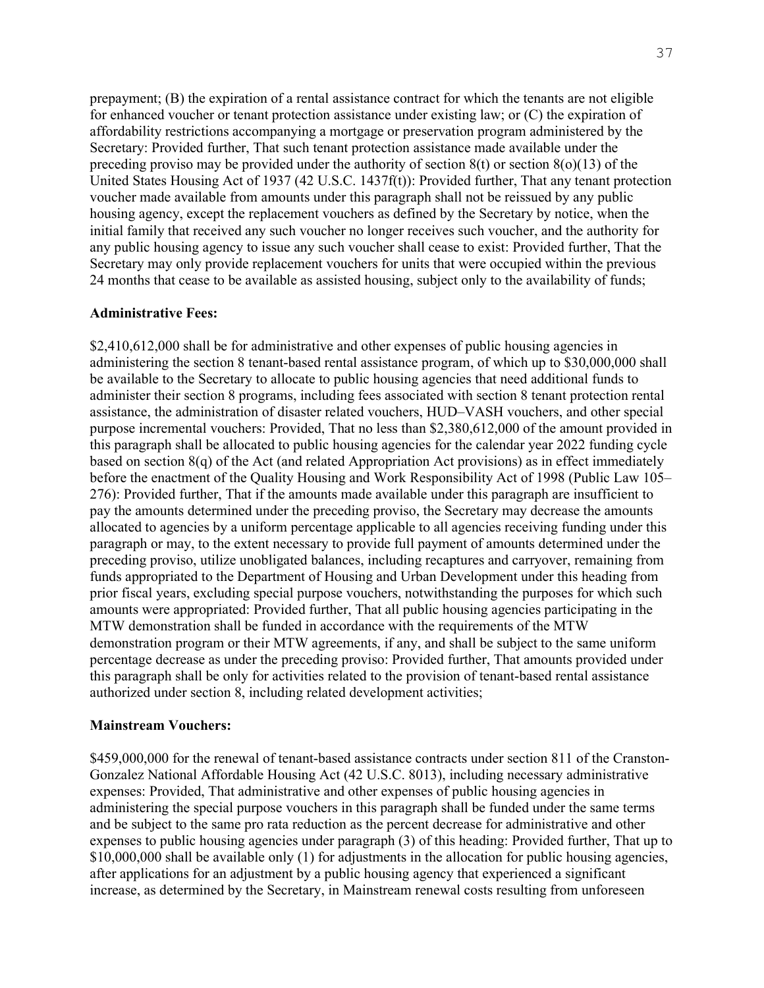prepayment; (B) the expiration of a rental assistance contract for which the tenants are not eligible for enhanced voucher or tenant protection assistance under existing law; or (C) the expiration of affordability restrictions accompanying a mortgage or preservation program administered by the Secretary: Provided further, That such tenant protection assistance made available under the preceding proviso may be provided under the authority of section  $8(t)$  or section  $8(0)(13)$  of the United States Housing Act of 1937 (42 U.S.C. 1437f(t)): Provided further, That any tenant protection voucher made available from amounts under this paragraph shall not be reissued by any public housing agency, except the replacement vouchers as defined by the Secretary by notice, when the initial family that received any such voucher no longer receives such voucher, and the authority for any public housing agency to issue any such voucher shall cease to exist: Provided further, That the Secretary may only provide replacement vouchers for units that were occupied within the previous 24 months that cease to be available as assisted housing, subject only to the availability of funds;

#### **Administrative Fees:**

\$2,410,612,000 shall be for administrative and other expenses of public housing agencies in administering the section 8 tenant-based rental assistance program, of which up to \$30,000,000 shall be available to the Secretary to allocate to public housing agencies that need additional funds to administer their section 8 programs, including fees associated with section 8 tenant protection rental assistance, the administration of disaster related vouchers, HUD–VASH vouchers, and other special purpose incremental vouchers: Provided, That no less than \$2,380,612,000 of the amount provided in this paragraph shall be allocated to public housing agencies for the calendar year 2022 funding cycle based on section 8(q) of the Act (and related Appropriation Act provisions) as in effect immediately before the enactment of the Quality Housing and Work Responsibility Act of 1998 (Public Law 105– 276): Provided further, That if the amounts made available under this paragraph are insufficient to pay the amounts determined under the preceding proviso, the Secretary may decrease the amounts allocated to agencies by a uniform percentage applicable to all agencies receiving funding under this paragraph or may, to the extent necessary to provide full payment of amounts determined under the preceding proviso, utilize unobligated balances, including recaptures and carryover, remaining from funds appropriated to the Department of Housing and Urban Development under this heading from prior fiscal years, excluding special purpose vouchers, notwithstanding the purposes for which such amounts were appropriated: Provided further, That all public housing agencies participating in the MTW demonstration shall be funded in accordance with the requirements of the MTW demonstration program or their MTW agreements, if any, and shall be subject to the same uniform percentage decrease as under the preceding proviso: Provided further, That amounts provided under this paragraph shall be only for activities related to the provision of tenant-based rental assistance authorized under section 8, including related development activities;

#### **Mainstream Vouchers:**

\$459,000,000 for the renewal of tenant-based assistance contracts under section 811 of the Cranston-Gonzalez National Affordable Housing Act (42 U.S.C. 8013), including necessary administrative expenses: Provided, That administrative and other expenses of public housing agencies in administering the special purpose vouchers in this paragraph shall be funded under the same terms and be subject to the same pro rata reduction as the percent decrease for administrative and other expenses to public housing agencies under paragraph (3) of this heading: Provided further, That up to \$10,000,000 shall be available only (1) for adjustments in the allocation for public housing agencies, after applications for an adjustment by a public housing agency that experienced a significant increase, as determined by the Secretary, in Mainstream renewal costs resulting from unforeseen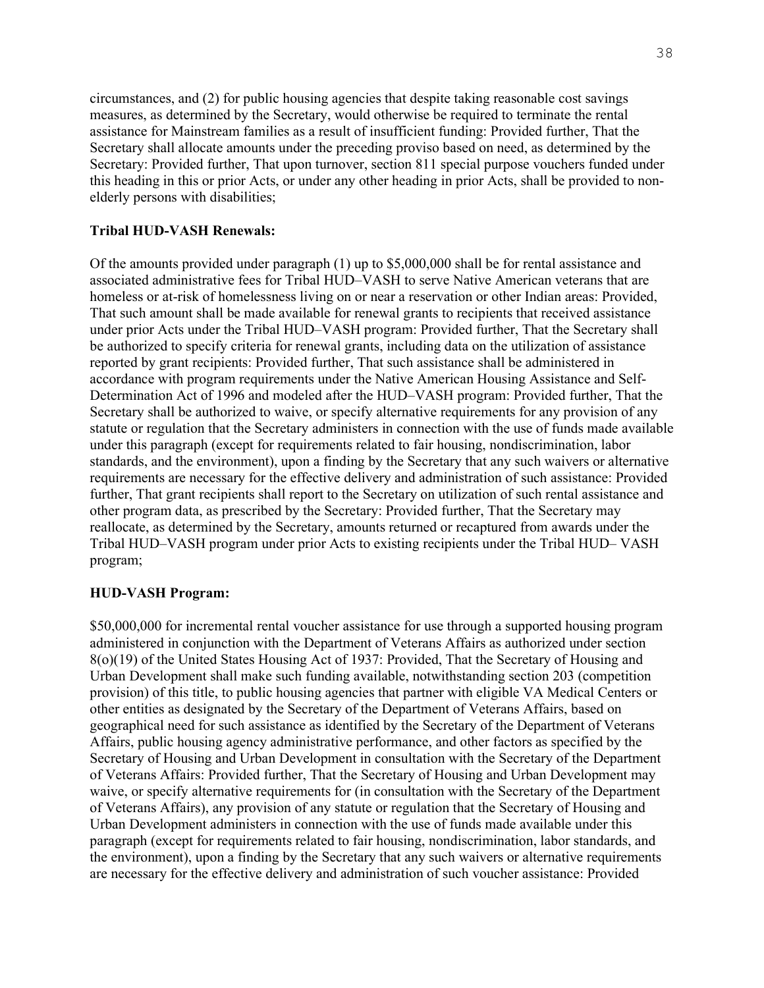circumstances, and (2) for public housing agencies that despite taking reasonable cost savings measures, as determined by the Secretary, would otherwise be required to terminate the rental assistance for Mainstream families as a result of insufficient funding: Provided further, That the Secretary shall allocate amounts under the preceding proviso based on need, as determined by the Secretary: Provided further, That upon turnover, section 811 special purpose vouchers funded under this heading in this or prior Acts, or under any other heading in prior Acts, shall be provided to nonelderly persons with disabilities;

#### **Tribal HUD-VASH Renewals:**

Of the amounts provided under paragraph (1) up to \$5,000,000 shall be for rental assistance and associated administrative fees for Tribal HUD–VASH to serve Native American veterans that are homeless or at-risk of homelessness living on or near a reservation or other Indian areas: Provided, That such amount shall be made available for renewal grants to recipients that received assistance under prior Acts under the Tribal HUD–VASH program: Provided further, That the Secretary shall be authorized to specify criteria for renewal grants, including data on the utilization of assistance reported by grant recipients: Provided further, That such assistance shall be administered in accordance with program requirements under the Native American Housing Assistance and Self-Determination Act of 1996 and modeled after the HUD–VASH program: Provided further, That the Secretary shall be authorized to waive, or specify alternative requirements for any provision of any statute or regulation that the Secretary administers in connection with the use of funds made available under this paragraph (except for requirements related to fair housing, nondiscrimination, labor standards, and the environment), upon a finding by the Secretary that any such waivers or alternative requirements are necessary for the effective delivery and administration of such assistance: Provided further, That grant recipients shall report to the Secretary on utilization of such rental assistance and other program data, as prescribed by the Secretary: Provided further, That the Secretary may reallocate, as determined by the Secretary, amounts returned or recaptured from awards under the Tribal HUD–VASH program under prior Acts to existing recipients under the Tribal HUD– VASH program;

#### **HUD-VASH Program:**

\$50,000,000 for incremental rental voucher assistance for use through a supported housing program administered in conjunction with the Department of Veterans Affairs as authorized under section 8(o)(19) of the United States Housing Act of 1937: Provided, That the Secretary of Housing and Urban Development shall make such funding available, notwithstanding section 203 (competition provision) of this title, to public housing agencies that partner with eligible VA Medical Centers or other entities as designated by the Secretary of the Department of Veterans Affairs, based on geographical need for such assistance as identified by the Secretary of the Department of Veterans Affairs, public housing agency administrative performance, and other factors as specified by the Secretary of Housing and Urban Development in consultation with the Secretary of the Department of Veterans Affairs: Provided further, That the Secretary of Housing and Urban Development may waive, or specify alternative requirements for (in consultation with the Secretary of the Department of Veterans Affairs), any provision of any statute or regulation that the Secretary of Housing and Urban Development administers in connection with the use of funds made available under this paragraph (except for requirements related to fair housing, nondiscrimination, labor standards, and the environment), upon a finding by the Secretary that any such waivers or alternative requirements are necessary for the effective delivery and administration of such voucher assistance: Provided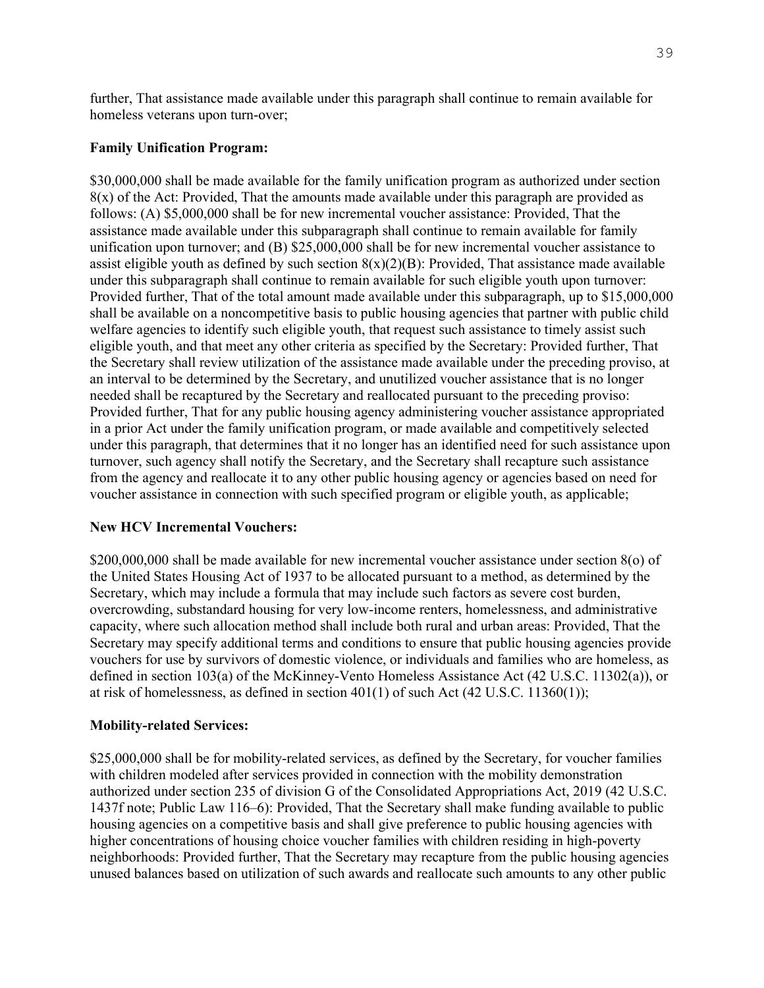further, That assistance made available under this paragraph shall continue to remain available for homeless veterans upon turn-over;

#### **Family Unification Program:**

\$30,000,000 shall be made available for the family unification program as authorized under section  $8(x)$  of the Act: Provided, That the amounts made available under this paragraph are provided as follows: (A) \$5,000,000 shall be for new incremental voucher assistance: Provided, That the assistance made available under this subparagraph shall continue to remain available for family unification upon turnover; and (B) \$25,000,000 shall be for new incremental voucher assistance to assist eligible youth as defined by such section  $8(x)(2)(B)$ : Provided, That assistance made available under this subparagraph shall continue to remain available for such eligible youth upon turnover: Provided further, That of the total amount made available under this subparagraph, up to \$15,000,000 shall be available on a noncompetitive basis to public housing agencies that partner with public child welfare agencies to identify such eligible youth, that request such assistance to timely assist such eligible youth, and that meet any other criteria as specified by the Secretary: Provided further, That the Secretary shall review utilization of the assistance made available under the preceding proviso, at an interval to be determined by the Secretary, and unutilized voucher assistance that is no longer needed shall be recaptured by the Secretary and reallocated pursuant to the preceding proviso: Provided further, That for any public housing agency administering voucher assistance appropriated in a prior Act under the family unification program, or made available and competitively selected under this paragraph, that determines that it no longer has an identified need for such assistance upon turnover, such agency shall notify the Secretary, and the Secretary shall recapture such assistance from the agency and reallocate it to any other public housing agency or agencies based on need for voucher assistance in connection with such specified program or eligible youth, as applicable;

#### **New HCV Incremental Vouchers:**

\$200,000,000 shall be made available for new incremental voucher assistance under section 8(o) of the United States Housing Act of 1937 to be allocated pursuant to a method, as determined by the Secretary, which may include a formula that may include such factors as severe cost burden, overcrowding, substandard housing for very low-income renters, homelessness, and administrative capacity, where such allocation method shall include both rural and urban areas: Provided, That the Secretary may specify additional terms and conditions to ensure that public housing agencies provide vouchers for use by survivors of domestic violence, or individuals and families who are homeless, as defined in section 103(a) of the McKinney-Vento Homeless Assistance Act (42 U.S.C. 11302(a)), or at risk of homelessness, as defined in section  $401(1)$  of such Act  $(42 \text{ U.S.C. } 11360(1));$ 

#### **Mobility-related Services:**

\$25,000,000 shall be for mobility-related services, as defined by the Secretary, for voucher families with children modeled after services provided in connection with the mobility demonstration authorized under section 235 of division G of the Consolidated Appropriations Act, 2019 (42 U.S.C. 1437f note; Public Law 116–6): Provided, That the Secretary shall make funding available to public housing agencies on a competitive basis and shall give preference to public housing agencies with higher concentrations of housing choice voucher families with children residing in high-poverty neighborhoods: Provided further, That the Secretary may recapture from the public housing agencies unused balances based on utilization of such awards and reallocate such amounts to any other public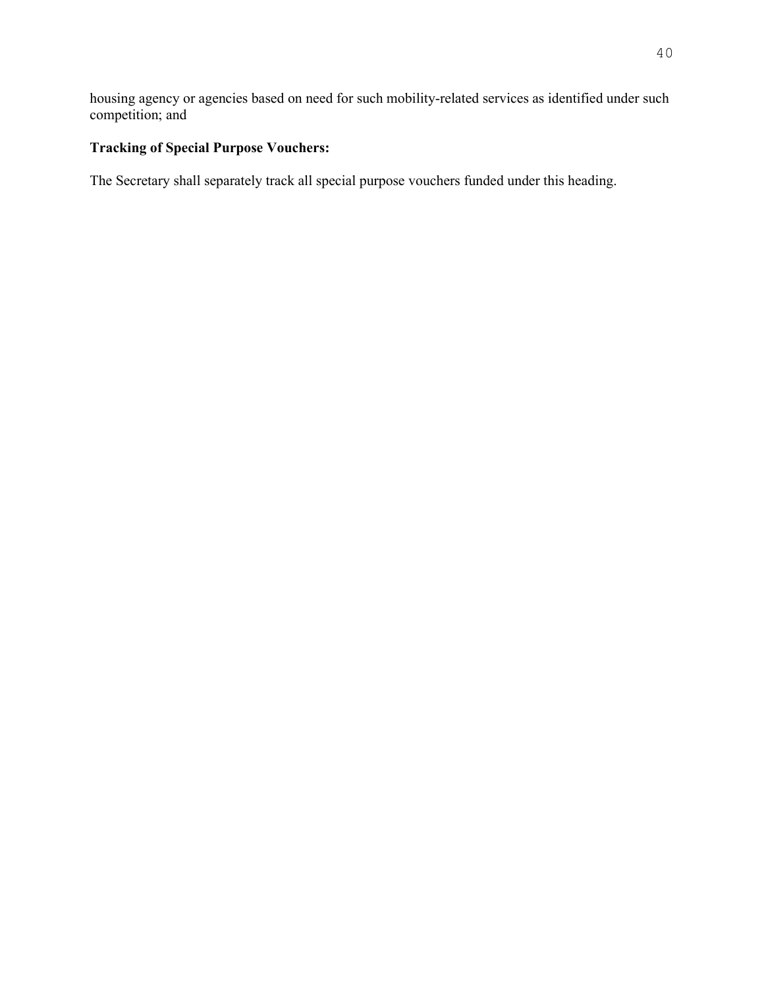housing agency or agencies based on need for such mobility-related services as identified under such competition; and

# **Tracking of Special Purpose Vouchers:**

The Secretary shall separately track all special purpose vouchers funded under this heading.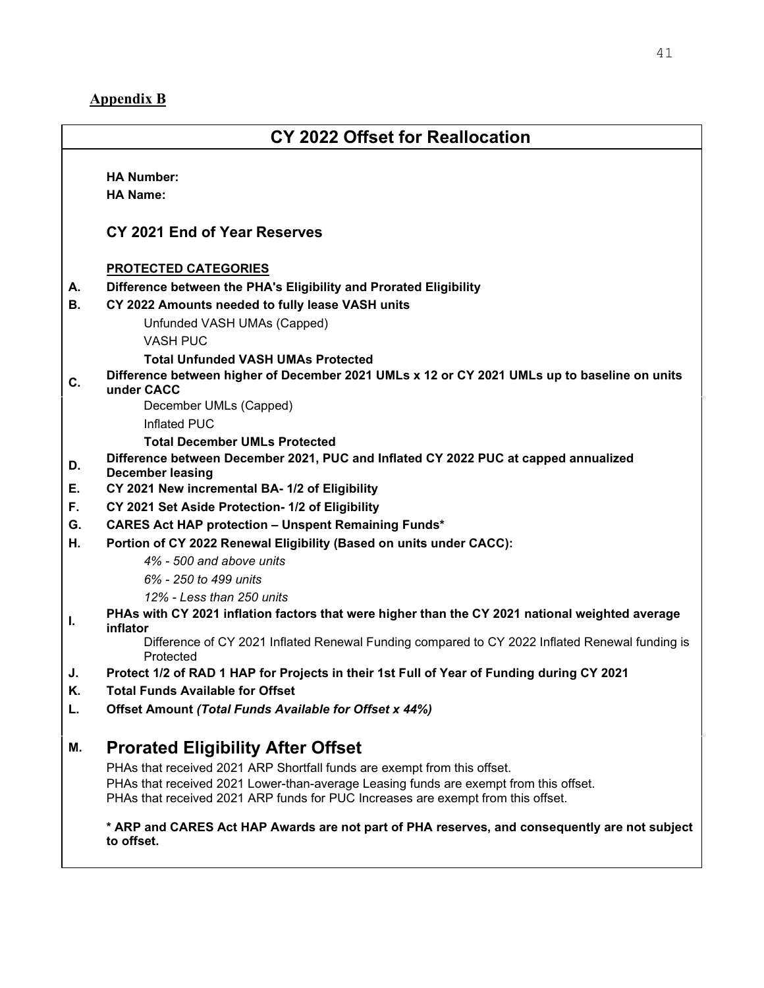# <span id="page-40-0"></span>**Appendix B**

# **CY 2022 Offset for Reallocation HA Number: HA Name: CY 2021 End of Year Reserves PROTECTED CATEGORIES A. Difference between the PHA's Eligibility and Prorated Eligibility B. CY 2022 Amounts needed to fully lease VASH units** Unfunded VASH UMAs (Capped) VASH PUC  **Total Unfunded VASH UMAs Protected C. Difference between higher of December 2021 UMLs x 12 or CY 2021 UMLs up to baseline on units under CACC** December UMLs (Capped) Inflated PUC  **Total December UMLs Protected D. Difference between December 2021, PUC and Inflated CY 2022 PUC at capped annualized December leasing E. CY 2021 New incremental BA- 1/2 of Eligibility F. CY 2021 Set Aside Protection- 1/2 of Eligibility G. CARES Act HAP protection – Unspent Remaining Funds\* H. Portion of CY 2022 Renewal Eligibility (Based on units under CACC):**  *4% - 500 and above units 6% - 250 to 499 units 12% - Less than 250 units*  **I. PHAs with CY 2021 inflation factors that were higher than the CY 2021 national weighted average inflator** Difference of CY 2021 Inflated Renewal Funding compared to CY 2022 Inflated Renewal funding is Protected **J. Protect 1/2 of RAD 1 HAP for Projects in their 1st Full of Year of Funding during CY 2021 K. Total Funds Available for Offset L. Offset Amount** *(Total Funds Available for Offset x 44%)* **M. Prorated Eligibility After Offset**  PHAs that received 2021 ARP Shortfall funds are exempt from this offset. PHAs that received 2021 Lower-than-average Leasing funds are exempt from this offset. PHAs that received 2021 ARP funds for PUC Increases are exempt from this offset.

**\* ARP and CARES Act HAP Awards are not part of PHA reserves, and consequently are not subject to offset.**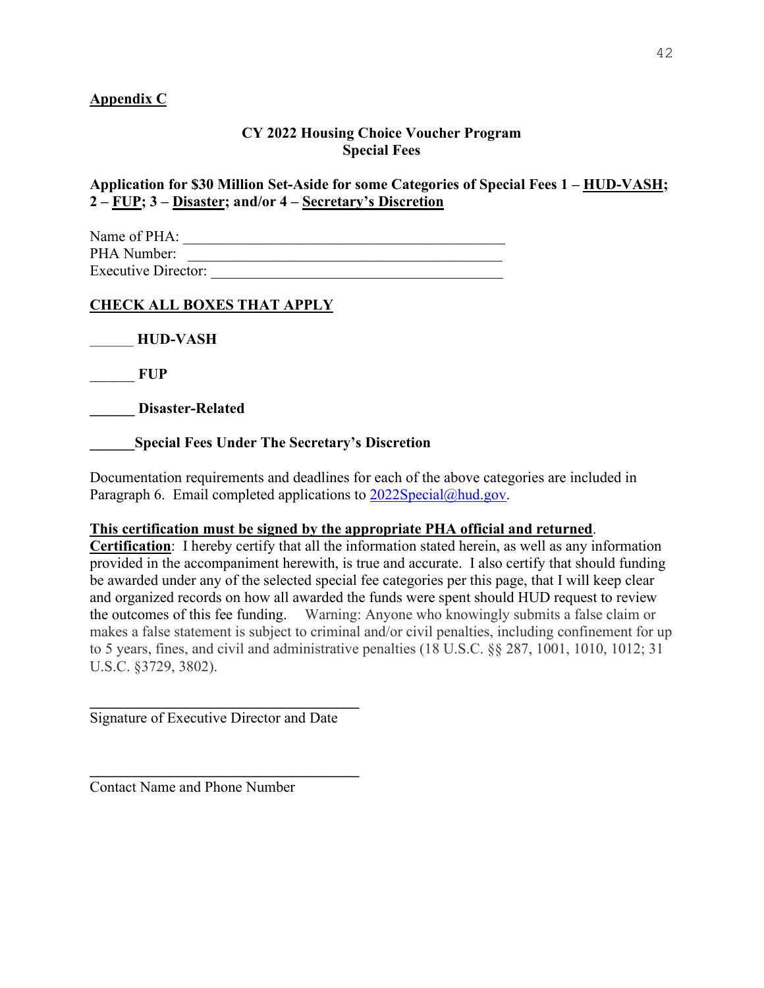### <span id="page-41-0"></span>**Appendix C**

#### **CY 2022 Housing Choice Voucher Program Special Fees**

**Application for \$30 Million Set-Aside for some Categories of Special Fees 1 – HUD-VASH; 2 – FUP; 3 – Disaster; and/or 4 – Secretary's Discretion** 

| Name of PHA:               |  |
|----------------------------|--|
| PHA Number:                |  |
| <b>Executive Director:</b> |  |

# **CHECK ALL BOXES THAT APPLY**

\_\_\_\_\_\_\_ **HUD-VASH**

\_\_\_\_\_\_ **FUP** 

**\_\_\_\_\_\_ Disaster-Related** 

**\_\_\_\_\_\_Special Fees Under The Secretary's Discretion** 

Documentation requirements and deadlines for each of the above categories are included in Paragraph 6. Email completed applications to  $2022Special@hud.gov$ .

#### **This certification must be signed by the appropriate PHA official and returned**.

**Certification**: I hereby certify that all the information stated herein, as well as any information provided in the accompaniment herewith, is true and accurate. I also certify that should funding be awarded under any of the selected special fee categories per this page, that I will keep clear and organized records on how all awarded the funds were spent should HUD request to review the outcomes of this fee funding. Warning: Anyone who knowingly submits a false claim or makes a false statement is subject to criminal and/or civil penalties, including confinement for up to 5 years, fines, and civil and administrative penalties (18 U.S.C. §§ 287, 1001, 1010, 1012; 31 U.S.C. §3729, 3802).

Signature of Executive Director and Date

**\_\_\_\_\_\_\_\_\_\_\_\_\_\_\_\_\_\_\_\_\_\_\_\_\_\_\_\_\_\_\_\_\_\_\_\_**

 $\mathcal{L}=\{1,2,3,4,5\}$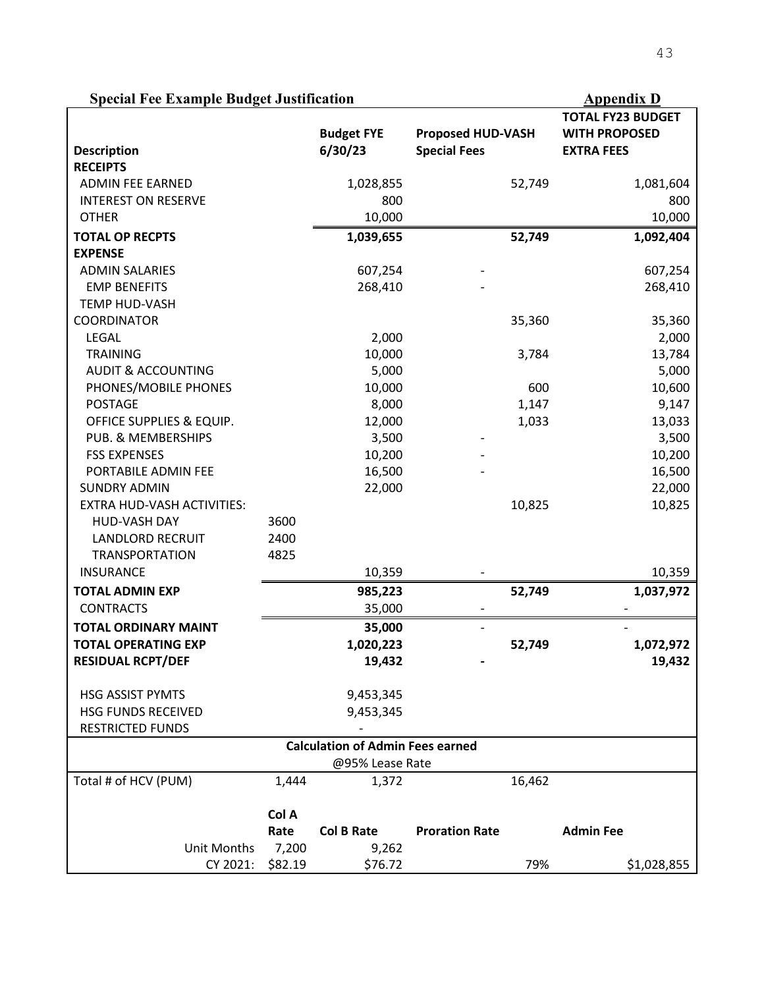# **Special Fee Example Budget Justification Appendix D Appendix D**

|                                   |         |                                         |                          |        | <b>TOTAL FY23 BUDGET</b> |
|-----------------------------------|---------|-----------------------------------------|--------------------------|--------|--------------------------|
|                                   |         | <b>Budget FYE</b>                       | <b>Proposed HUD-VASH</b> |        | <b>WITH PROPOSED</b>     |
| <b>Description</b>                |         | 6/30/23                                 | <b>Special Fees</b>      |        | <b>EXTRA FEES</b>        |
| <b>RECEIPTS</b>                   |         |                                         |                          |        |                          |
| <b>ADMIN FEE EARNED</b>           |         | 1,028,855                               |                          | 52,749 | 1,081,604                |
| <b>INTEREST ON RESERVE</b>        |         | 800                                     |                          |        | 800                      |
| <b>OTHER</b>                      |         | 10,000                                  |                          |        | 10,000                   |
| <b>TOTAL OP RECPTS</b>            |         | 1,039,655                               |                          | 52,749 | 1,092,404                |
| <b>EXPENSE</b>                    |         |                                         |                          |        |                          |
| <b>ADMIN SALARIES</b>             |         | 607,254                                 |                          |        | 607,254                  |
| <b>EMP BENEFITS</b>               |         | 268,410                                 |                          |        | 268,410                  |
| <b>TEMP HUD-VASH</b>              |         |                                         |                          |        |                          |
| <b>COORDINATOR</b>                |         |                                         |                          | 35,360 | 35,360                   |
| LEGAL                             |         | 2,000                                   |                          |        | 2,000                    |
| <b>TRAINING</b>                   |         | 10,000                                  |                          | 3,784  | 13,784                   |
| <b>AUDIT &amp; ACCOUNTING</b>     |         | 5,000                                   |                          |        | 5,000                    |
| PHONES/MOBILE PHONES              |         | 10,000                                  |                          | 600    | 10,600                   |
| <b>POSTAGE</b>                    |         | 8,000                                   |                          | 1,147  | 9,147                    |
| OFFICE SUPPLIES & EQUIP.          |         | 12,000                                  |                          | 1,033  | 13,033                   |
| PUB. & MEMBERSHIPS                |         | 3,500                                   |                          |        | 3,500                    |
| <b>FSS EXPENSES</b>               |         | 10,200                                  |                          |        | 10,200                   |
| PORTABILE ADMIN FEE               |         | 16,500                                  |                          |        | 16,500                   |
| <b>SUNDRY ADMIN</b>               |         | 22,000                                  |                          |        | 22,000                   |
| <b>EXTRA HUD-VASH ACTIVITIES:</b> |         |                                         |                          | 10,825 | 10,825                   |
| HUD-VASH DAY                      | 3600    |                                         |                          |        |                          |
| <b>LANDLORD RECRUIT</b>           | 2400    |                                         |                          |        |                          |
|                                   | 4825    |                                         |                          |        |                          |
| <b>TRANSPORTATION</b>             |         |                                         |                          |        |                          |
| <b>INSURANCE</b>                  |         | 10,359                                  |                          |        | 10,359                   |
| <b>TOTAL ADMIN EXP</b>            |         | 985,223                                 |                          | 52,749 | 1,037,972                |
| <b>CONTRACTS</b>                  |         | 35,000                                  |                          |        |                          |
| <b>TOTAL ORDINARY MAINT</b>       |         | 35,000                                  |                          |        |                          |
| <b>TOTAL OPERATING EXP</b>        |         | 1,020,223                               |                          | 52,749 | 1,072,972                |
| <b>RESIDUAL RCPT/DEF</b>          |         | 19,432                                  |                          |        | 19,432                   |
| <b>HSG ASSIST PYMTS</b>           |         | 9,453,345                               |                          |        |                          |
| <b>HSG FUNDS RECEIVED</b>         |         | 9,453,345                               |                          |        |                          |
| <b>RESTRICTED FUNDS</b>           |         |                                         |                          |        |                          |
|                                   |         | <b>Calculation of Admin Fees earned</b> |                          |        |                          |
|                                   |         | @95% Lease Rate                         |                          |        |                          |
| Total # of HCV (PUM)              | 1,444   | 1,372                                   |                          | 16,462 |                          |
|                                   |         |                                         |                          |        |                          |
|                                   | Col A   |                                         |                          |        |                          |
|                                   | Rate    | <b>Col B Rate</b>                       | <b>Proration Rate</b>    |        | <b>Admin Fee</b>         |
| Unit Months                       | 7,200   | 9,262                                   |                          |        |                          |
| CY 2021:                          | \$82.19 | \$76.72                                 |                          | 79%    | \$1,028,855              |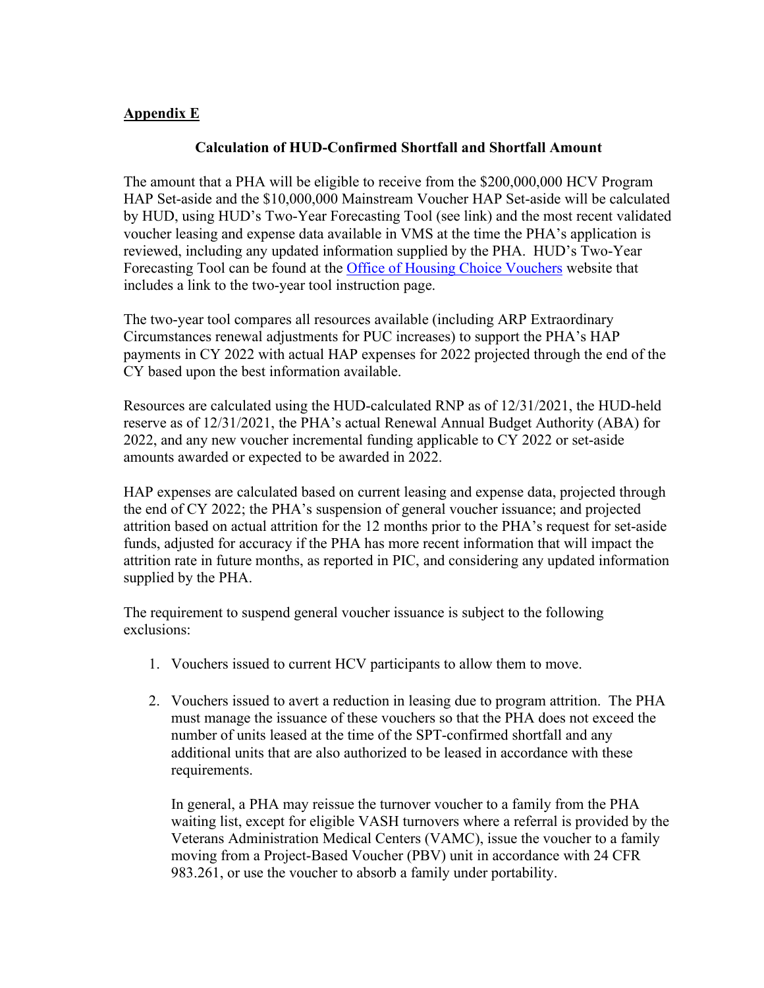#### <span id="page-43-0"></span>**Appendix E**

### **Calculation of HUD-Confirmed Shortfall and Shortfall Amount**

The amount that a PHA will be eligible to receive from the \$200,000,000 HCV Program HAP Set-aside and the \$10,000,000 Mainstream Voucher HAP Set-aside will be calculated by HUD, using HUD's Two-Year Forecasting Tool (see link) and the most recent validated voucher leasing and expense data available in VMS at the time the PHA's application is reviewed, including any updated information supplied by the PHA. HUD's Two-Year Forecasting Tool can be found at the [Office of Housing Choice Vouchers](http://portal.hud.gov/hudportal/HUD?src=/program_offices/public_indian_housing/programs/hcv) website that includes a link to the two-year tool instruction page.

The two-year tool compares all resources available (including ARP Extraordinary Circumstances renewal adjustments for PUC increases) to support the PHA's HAP payments in CY 2022 with actual HAP expenses for 2022 projected through the end of the CY based upon the best information available.

Resources are calculated using the HUD-calculated RNP as of 12/31/2021, the HUD-held reserve as of 12/31/2021, the PHA's actual Renewal Annual Budget Authority (ABA) for 2022, and any new voucher incremental funding applicable to CY 2022 or set-aside amounts awarded or expected to be awarded in 2022.

HAP expenses are calculated based on current leasing and expense data, projected through the end of CY 2022; the PHA's suspension of general voucher issuance; and projected attrition based on actual attrition for the 12 months prior to the PHA's request for set-aside funds, adjusted for accuracy if the PHA has more recent information that will impact the attrition rate in future months, as reported in PIC, and considering any updated information supplied by the PHA.

The requirement to suspend general voucher issuance is subject to the following exclusions:

- 1. Vouchers issued to current HCV participants to allow them to move.
- 2. Vouchers issued to avert a reduction in leasing due to program attrition. The PHA must manage the issuance of these vouchers so that the PHA does not exceed the number of units leased at the time of the SPT-confirmed shortfall and any additional units that are also authorized to be leased in accordance with these requirements.

In general, a PHA may reissue the turnover voucher to a family from the PHA waiting list, except for eligible VASH turnovers where a referral is provided by the Veterans Administration Medical Centers (VAMC), issue the voucher to a family moving from a Project-Based Voucher (PBV) unit in accordance with 24 CFR 983.261, or use the voucher to absorb a family under portability.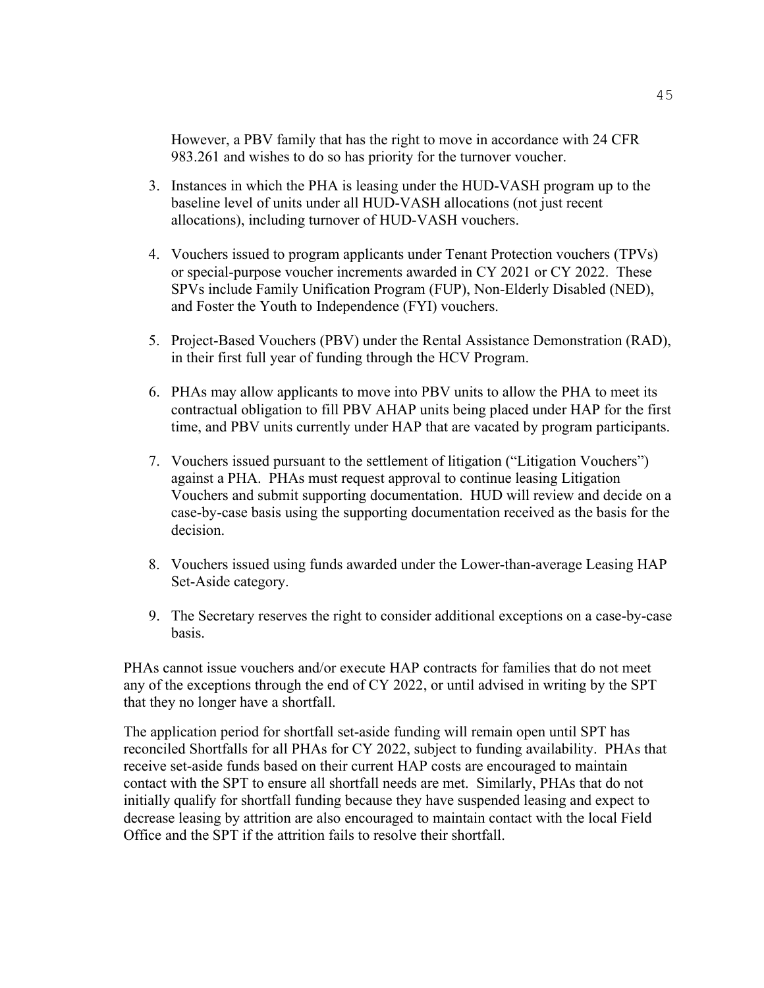However, a PBV family that has the right to move in accordance with 24 CFR 983.261 and wishes to do so has priority for the turnover voucher.

- 3. Instances in which the PHA is leasing under the HUD-VASH program up to the baseline level of units under all HUD-VASH allocations (not just recent allocations), including turnover of HUD-VASH vouchers.
- 4. Vouchers issued to program applicants under Tenant Protection vouchers (TPVs) or special-purpose voucher increments awarded in CY 2021 or CY 2022. These SPVs include Family Unification Program (FUP), Non-Elderly Disabled (NED), and Foster the Youth to Independence (FYI) vouchers.
- 5. Project-Based Vouchers (PBV) under the Rental Assistance Demonstration (RAD), in their first full year of funding through the HCV Program.
- 6. PHAs may allow applicants to move into PBV units to allow the PHA to meet its contractual obligation to fill PBV AHAP units being placed under HAP for the first time, and PBV units currently under HAP that are vacated by program participants.
- 7. Vouchers issued pursuant to the settlement of litigation ("Litigation Vouchers") against a PHA. PHAs must request approval to continue leasing Litigation Vouchers and submit supporting documentation. HUD will review and decide on a case-by-case basis using the supporting documentation received as the basis for the decision.
- 8. Vouchers issued using funds awarded under the Lower-than-average Leasing HAP Set-Aside category.
- 9. The Secretary reserves the right to consider additional exceptions on a case-by-case basis.

PHAs cannot issue vouchers and/or execute HAP contracts for families that do not meet any of the exceptions through the end of CY 2022, or until advised in writing by the SPT that they no longer have a shortfall.

The application period for shortfall set-aside funding will remain open until SPT has reconciled Shortfalls for all PHAs for CY 2022, subject to funding availability. PHAs that receive set-aside funds based on their current HAP costs are encouraged to maintain contact with the SPT to ensure all shortfall needs are met. Similarly, PHAs that do not initially qualify for shortfall funding because they have suspended leasing and expect to decrease leasing by attrition are also encouraged to maintain contact with the local Field Office and the SPT if the attrition fails to resolve their shortfall.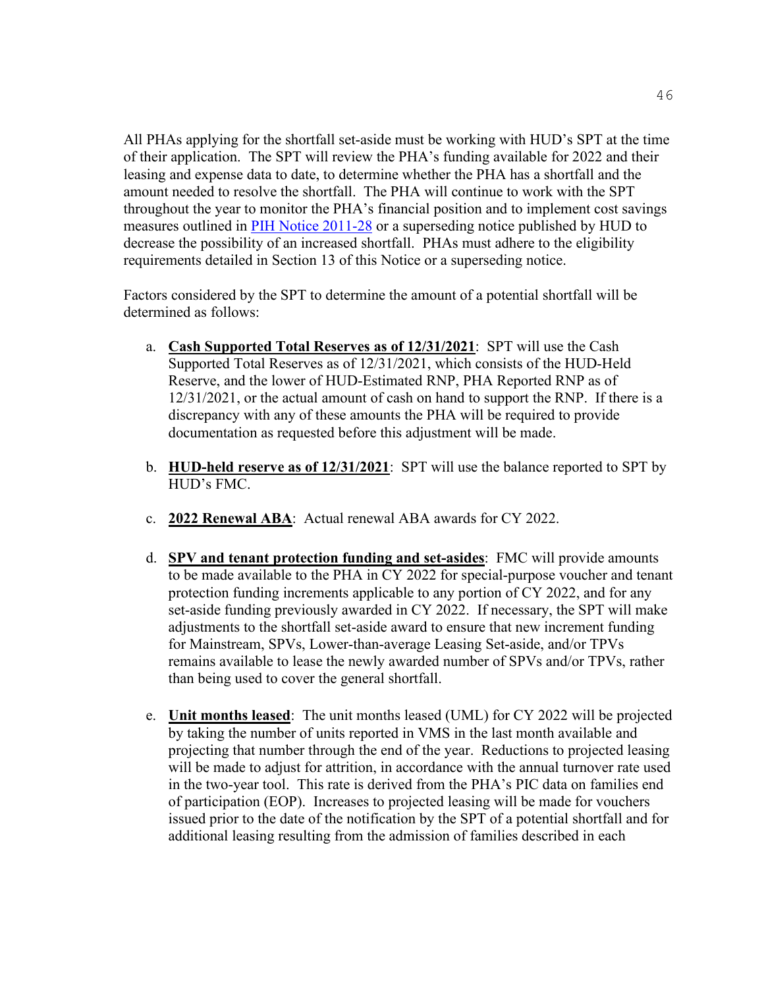All PHAs applying for the shortfall set-aside must be working with HUD's SPT at the time of their application. The SPT will review the PHA's funding available for 2022 and their leasing and expense data to date, to determine whether the PHA has a shortfall and the amount needed to resolve the shortfall. The PHA will continue to work with the SPT throughout the year to monitor the PHA's financial position and to implement cost savings measures outlined in [PIH Notice 2011-28](https://www.hud.gov/sites/documents/PIH2011-28.PDF) or a superseding notice published by HUD to decrease the possibility of an increased shortfall. PHAs must adhere to the eligibility requirements detailed in Section 13 of this Notice or a superseding notice.

Factors considered by the SPT to determine the amount of a potential shortfall will be determined as follows:

- a. **Cash Supported Total Reserves as of 12/31/2021**: SPT will use the Cash Supported Total Reserves as of 12/31/2021, which consists of the HUD-Held Reserve, and the lower of HUD-Estimated RNP, PHA Reported RNP as of 12/31/2021, or the actual amount of cash on hand to support the RNP. If there is a discrepancy with any of these amounts the PHA will be required to provide documentation as requested before this adjustment will be made.
- b. **HUD-held reserve as of 12/31/2021**: SPT will use the balance reported to SPT by HUD's FMC.
- c. **2022 Renewal ABA**: Actual renewal ABA awards for CY 2022.
- d. **SPV and tenant protection funding and set-asides**: FMC will provide amounts to be made available to the PHA in CY 2022 for special-purpose voucher and tenant protection funding increments applicable to any portion of CY 2022, and for any set-aside funding previously awarded in CY 2022. If necessary, the SPT will make adjustments to the shortfall set-aside award to ensure that new increment funding for Mainstream, SPVs, Lower-than-average Leasing Set-aside, and/or TPVs remains available to lease the newly awarded number of SPVs and/or TPVs, rather than being used to cover the general shortfall.
- e. **Unit months leased**: The unit months leased (UML) for CY 2022 will be projected by taking the number of units reported in VMS in the last month available and projecting that number through the end of the year. Reductions to projected leasing will be made to adjust for attrition, in accordance with the annual turnover rate used in the two-year tool. This rate is derived from the PHA's PIC data on families end of participation (EOP). Increases to projected leasing will be made for vouchers issued prior to the date of the notification by the SPT of a potential shortfall and for additional leasing resulting from the admission of families described in each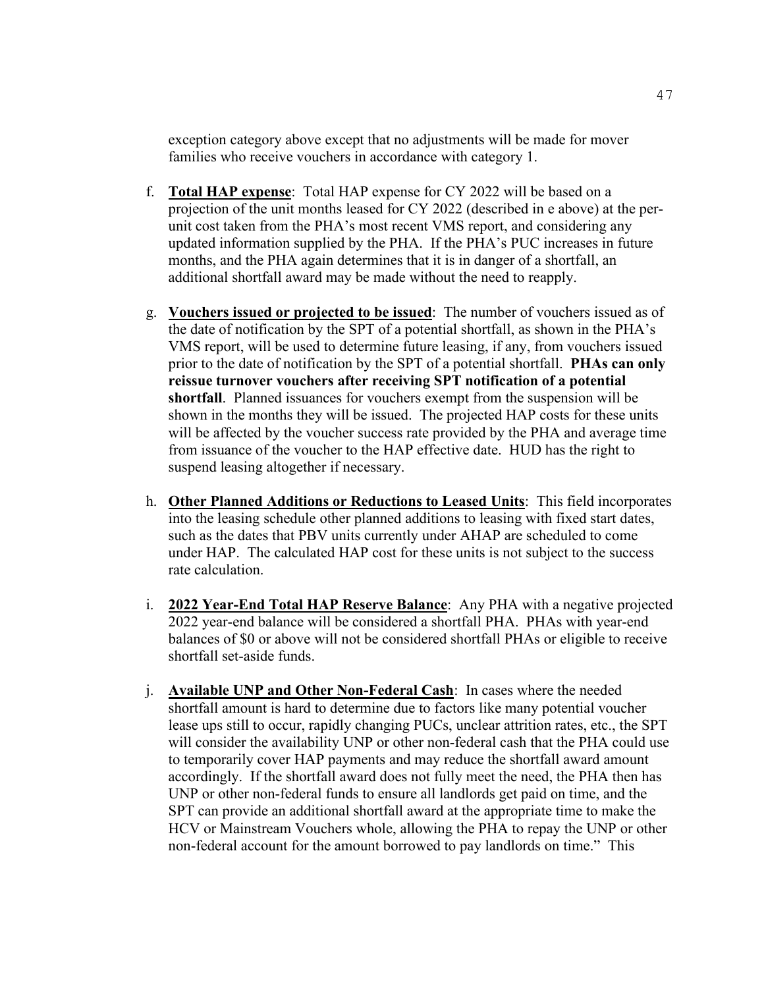exception category above except that no adjustments will be made for mover families who receive vouchers in accordance with category 1.

- f. **Total HAP expense**: Total HAP expense for CY 2022 will be based on a projection of the unit months leased for CY 2022 (described in e above) at the perunit cost taken from the PHA's most recent VMS report, and considering any updated information supplied by the PHA. If the PHA's PUC increases in future months, and the PHA again determines that it is in danger of a shortfall, an additional shortfall award may be made without the need to reapply.
- g. **Vouchers issued or projected to be issued**: The number of vouchers issued as of the date of notification by the SPT of a potential shortfall, as shown in the PHA's VMS report, will be used to determine future leasing, if any, from vouchers issued prior to the date of notification by the SPT of a potential shortfall. **PHAs can only reissue turnover vouchers after receiving SPT notification of a potential shortfall**. Planned issuances for vouchers exempt from the suspension will be shown in the months they will be issued. The projected HAP costs for these units will be affected by the voucher success rate provided by the PHA and average time from issuance of the voucher to the HAP effective date. HUD has the right to suspend leasing altogether if necessary.
- h. **Other Planned Additions or Reductions to Leased Units**: This field incorporates into the leasing schedule other planned additions to leasing with fixed start dates, such as the dates that PBV units currently under AHAP are scheduled to come under HAP. The calculated HAP cost for these units is not subject to the success rate calculation.
- i. **2022 Year-End Total HAP Reserve Balance**: Any PHA with a negative projected 2022 year-end balance will be considered a shortfall PHA. PHAs with year-end balances of \$0 or above will not be considered shortfall PHAs or eligible to receive shortfall set-aside funds.
- j. **Available UNP and Other Non-Federal Cash**: In cases where the needed shortfall amount is hard to determine due to factors like many potential voucher lease ups still to occur, rapidly changing PUCs, unclear attrition rates, etc., the SPT will consider the availability UNP or other non-federal cash that the PHA could use to temporarily cover HAP payments and may reduce the shortfall award amount accordingly. If the shortfall award does not fully meet the need, the PHA then has UNP or other non-federal funds to ensure all landlords get paid on time, and the SPT can provide an additional shortfall award at the appropriate time to make the HCV or Mainstream Vouchers whole, allowing the PHA to repay the UNP or other non-federal account for the amount borrowed to pay landlords on time." This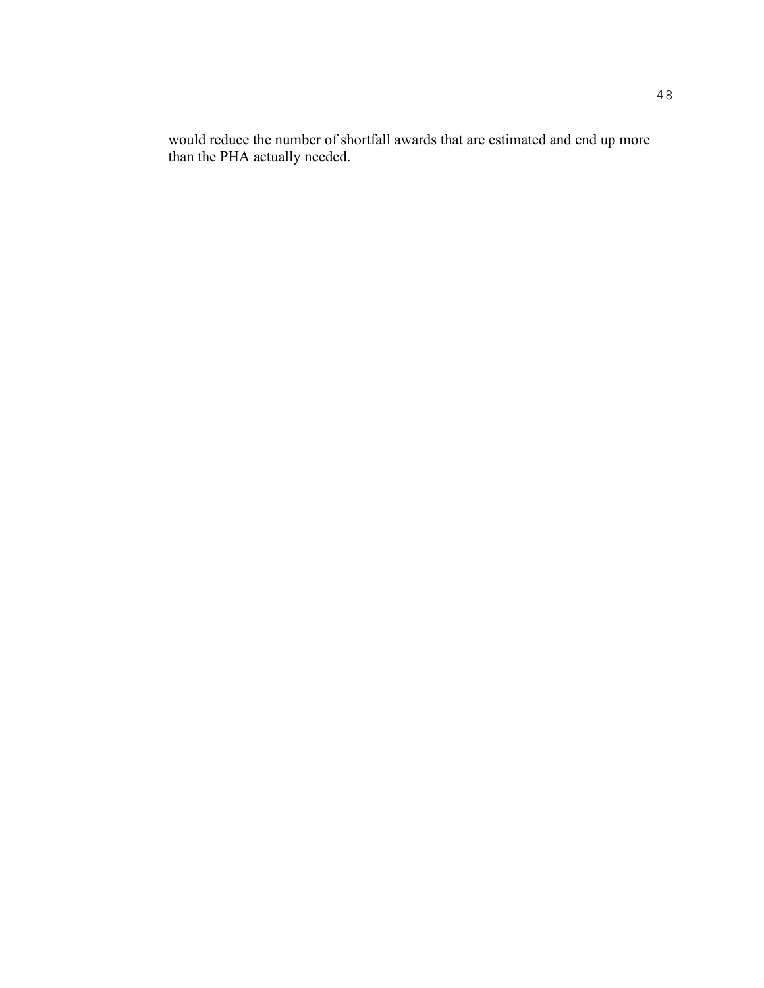would reduce the number of shortfall awards that are estimated and end up more than the PHA actually needed.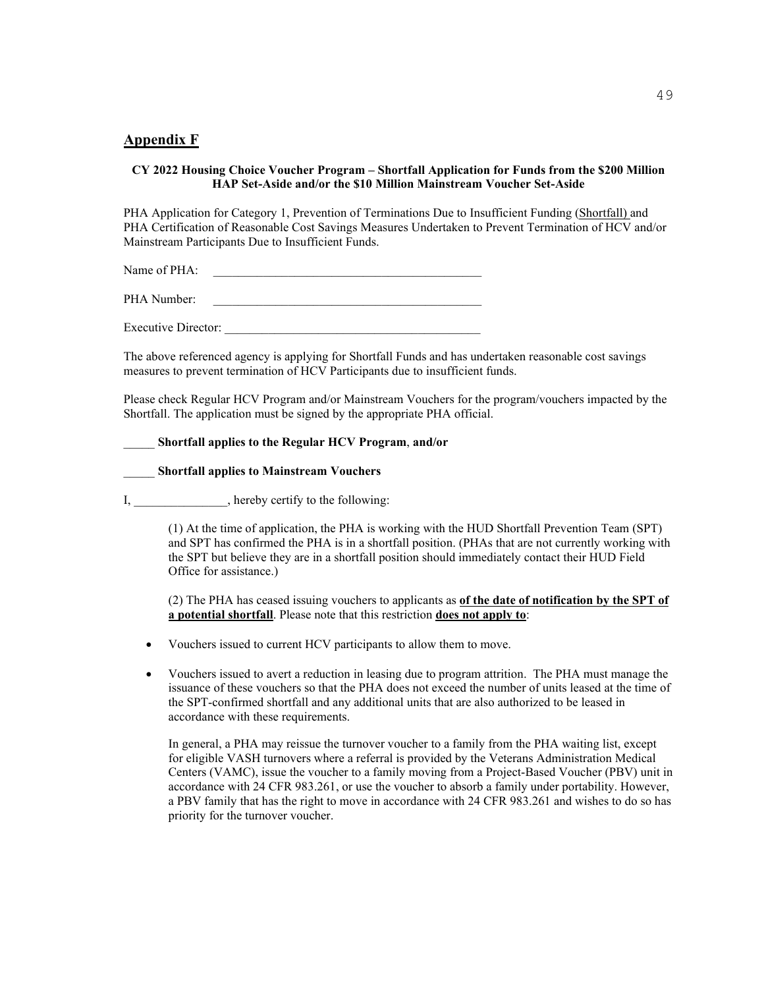#### <span id="page-48-0"></span>**Appendix F**

#### **CY 2022 Housing Choice Voucher Program – Shortfall Application for Funds from the \$200 Million HAP Set-Aside and/or the \$10 Million Mainstream Voucher Set-Aside**

PHA Application for Category 1, Prevention of Terminations Due to Insufficient Funding (Shortfall) and PHA Certification of Reasonable Cost Savings Measures Undertaken to Prevent Termination of HCV and/or Mainstream Participants Due to Insufficient Funds.

Name of PHA:

PHA Number:

Executive Director:

The above referenced agency is applying for Shortfall Funds and has undertaken reasonable cost savings measures to prevent termination of HCV Participants due to insufficient funds.

Please check Regular HCV Program and/or Mainstream Vouchers for the program/vouchers impacted by the Shortfall. The application must be signed by the appropriate PHA official.

#### \_\_\_\_\_ **Shortfall applies to the Regular HCV Program**, **and/or**

\_\_\_\_\_ **Shortfall applies to Mainstream Vouchers** 

I, hereby certify to the following:

(1) At the time of application, the PHA is working with the HUD Shortfall Prevention Team (SPT) and SPT has confirmed the PHA is in a shortfall position. (PHAs that are not currently working with the SPT but believe they are in a shortfall position should immediately contact their HUD Field Office for assistance.)

(2) The PHA has ceased issuing vouchers to applicants as **of the date of notification by the SPT of a potential shortfall**. Please note that this restriction **does not apply to**:

- Vouchers issued to current HCV participants to allow them to move.
- Vouchers issued to avert a reduction in leasing due to program attrition. The PHA must manage the issuance of these vouchers so that the PHA does not exceed the number of units leased at the time of the SPT-confirmed shortfall and any additional units that are also authorized to be leased in accordance with these requirements.

In general, a PHA may reissue the turnover voucher to a family from the PHA waiting list, except for eligible VASH turnovers where a referral is provided by the Veterans Administration Medical Centers (VAMC), issue the voucher to a family moving from a Project-Based Voucher (PBV) unit in accordance with 24 CFR 983.261, or use the voucher to absorb a family under portability. However, a PBV family that has the right to move in accordance with 24 CFR 983.261 and wishes to do so has priority for the turnover voucher.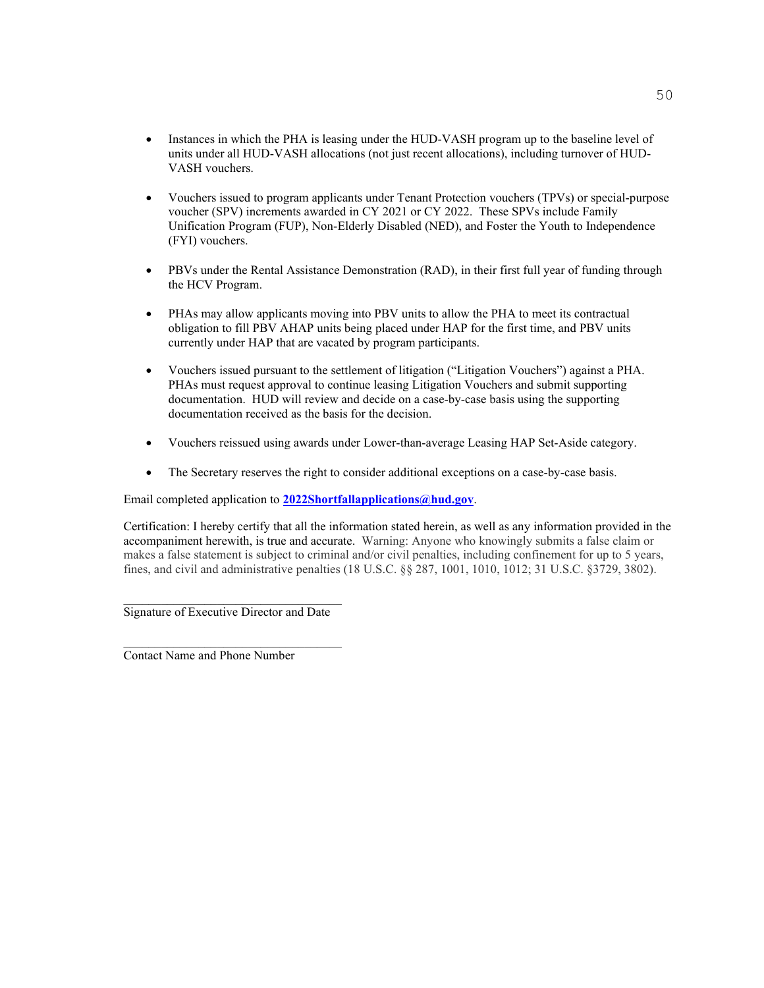- Instances in which the PHA is leasing under the HUD-VASH program up to the baseline level of units under all HUD-VASH allocations (not just recent allocations), including turnover of HUD-VASH vouchers.
- Vouchers issued to program applicants under Tenant Protection vouchers (TPVs) or special-purpose voucher (SPV) increments awarded in CY 2021 or CY 2022. These SPVs include Family Unification Program (FUP), Non-Elderly Disabled (NED), and Foster the Youth to Independence (FYI) vouchers.
- PBVs under the Rental Assistance Demonstration (RAD), in their first full year of funding through the HCV Program.
- PHAs may allow applicants moving into PBV units to allow the PHA to meet its contractual obligation to fill PBV AHAP units being placed under HAP for the first time, and PBV units currently under HAP that are vacated by program participants.
- Vouchers issued pursuant to the settlement of litigation ("Litigation Vouchers") against a PHA. PHAs must request approval to continue leasing Litigation Vouchers and submit supporting documentation. HUD will review and decide on a case-by-case basis using the supporting documentation received as the basis for the decision.
- Vouchers reissued using awards under Lower-than-average Leasing HAP Set-Aside category.
- The Secretary reserves the right to consider additional exceptions on a case-by-case basis.

Email completed application to **[2022Shortfallapplications@hud.gov](mailto:2022Shortfallapplications@hud.gov)**.

Certification: I hereby certify that all the information stated herein, as well as any information provided in the accompaniment herewith, is true and accurate. Warning: Anyone who knowingly submits a false claim or makes a false statement is subject to criminal and/or civil penalties, including confinement for up to 5 years, fines, and civil and administrative penalties (18 U.S.C. §§ 287, 1001, 1010, 1012; 31 U.S.C. §3729, 3802).

Signature of Executive Director and Date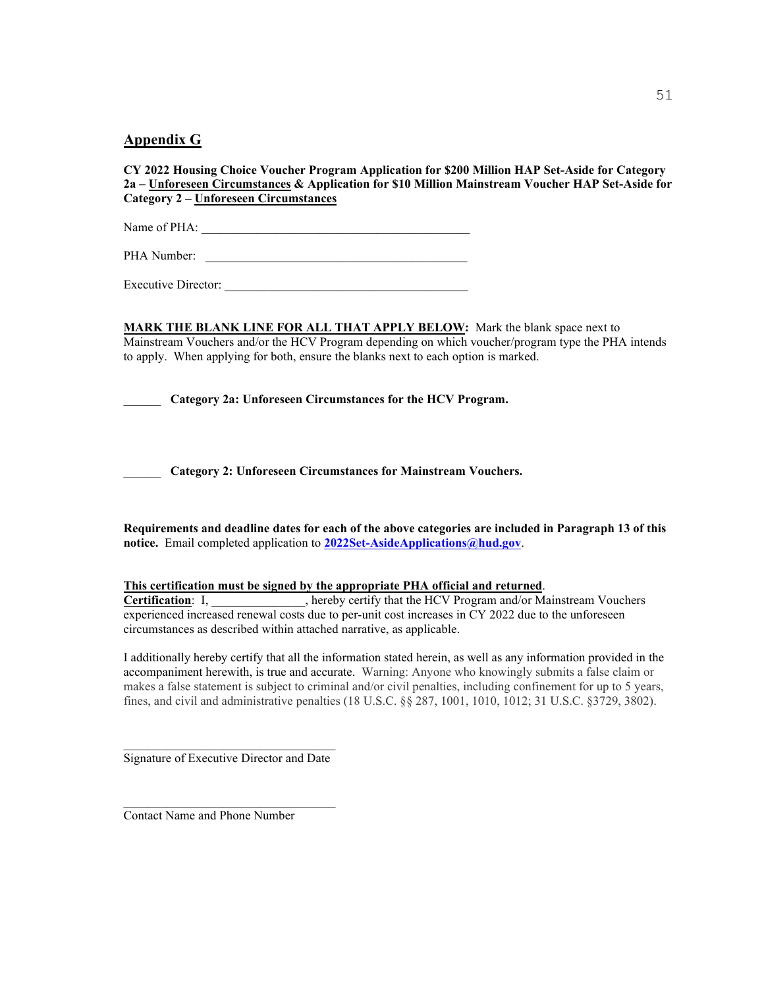#### <span id="page-50-0"></span>**Appendix G**

**CY 2022 Housing Choice Voucher Program Application for \$200 Million HAP Set-Aside for Category 2a – Unforeseen Circumstances & Application for \$10 Million Mainstream Voucher HAP Set-Aside for Category 2 – Unforeseen Circumstances** 

Name of PHA: \_\_\_\_\_\_\_\_\_\_\_\_\_\_\_\_\_\_\_\_\_\_\_\_\_\_\_\_\_\_\_\_\_\_\_\_\_\_\_\_\_\_\_

PHA Number: \_\_\_\_\_\_\_\_\_\_\_\_\_\_\_\_\_\_\_\_\_\_\_\_\_\_\_\_\_\_\_\_\_\_\_\_\_\_\_\_\_\_

Executive Director:

**MARK THE BLANK LINE FOR ALL THAT APPLY BELOW:** Mark the blank space next to Mainstream Vouchers and/or the HCV Program depending on which voucher/program type the PHA intends to apply. When applying for both, ensure the blanks next to each option is marked.

\_\_\_\_\_\_ **Category 2a: Unforeseen Circumstances for the HCV Program.** 

\_\_\_\_\_\_ **Category 2: Unforeseen Circumstances for Mainstream Vouchers.** 

**Requirements and deadline dates for each of the above categories are included in Paragraph 13 of this notice.** Email completed application to **[2022Set-AsideApplications@hud.gov](mailto:2022Set-AsideApplications@hud.gov)**.

#### **This certification must be signed by the appropriate PHA official and returned**.

**Certification**: I, \_\_\_\_\_\_\_\_\_\_\_, hereby certify that the HCV Program and/or Mainstream Vouchers experienced increased renewal costs due to per-unit cost increases in CY 2022 due to the unforeseen circumstances as described within attached narrative, as applicable.

I additionally hereby certify that all the information stated herein, as well as any information provided in the accompaniment herewith, is true and accurate. Warning: Anyone who knowingly submits a false claim or makes a false statement is subject to criminal and/or civil penalties, including confinement for up to 5 years, fines, and civil and administrative penalties (18 U.S.C. §§ 287, 1001, 1010, 1012; 31 U.S.C. §3729, 3802).

 $\mathcal{L}_\text{max}$  and  $\mathcal{L}_\text{max}$  and  $\mathcal{L}_\text{max}$  and  $\mathcal{L}_\text{max}$ Signature of Executive Director and Date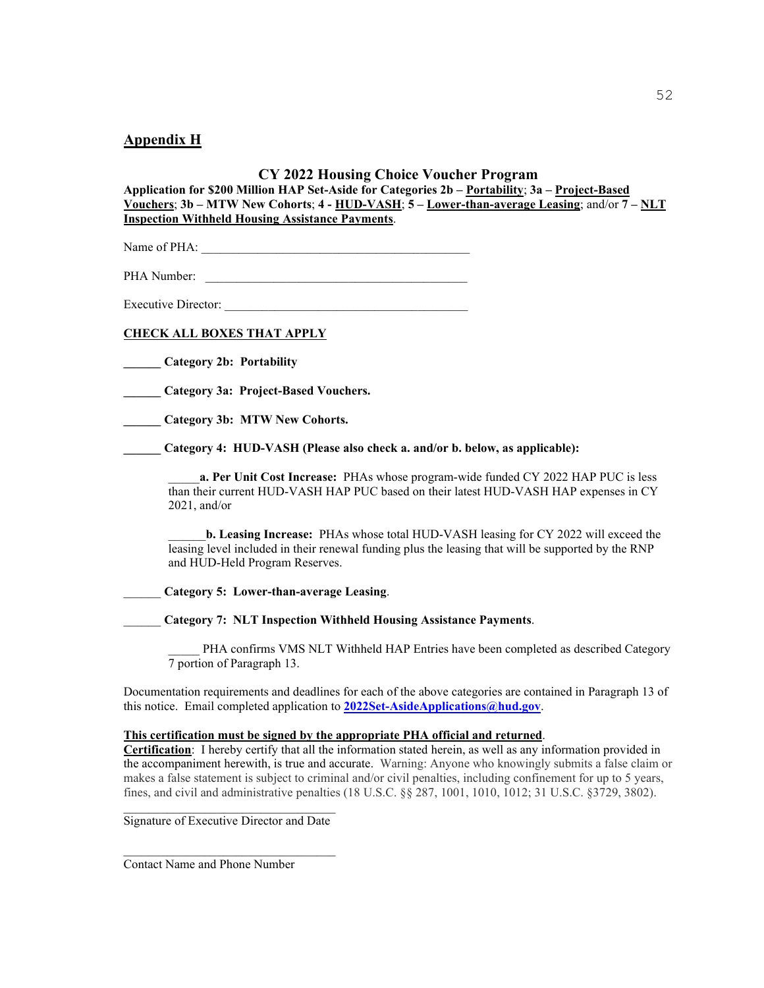#### <span id="page-51-0"></span>**Appendix H**

#### **CY 2022 Housing Choice Voucher Program**

**Application for \$200 Million HAP Set-Aside for Categories 2b – Portability**; **3a – Project-Based Vouchers**; **3b – MTW New Cohorts**; **4 - HUD-VASH**; **5 – Lower-than-average Leasing**; and/or **7 – NLT Inspection Withheld Housing Assistance Payments**.

Name of PHA: \_\_\_\_\_\_\_\_\_\_\_\_\_\_\_\_\_\_\_\_\_\_\_\_\_\_\_\_\_\_\_\_\_\_\_\_\_\_\_\_\_\_\_

PHA Number:

Executive Director:

#### **CHECK ALL BOXES THAT APPLY**

**\_\_\_\_\_\_ Category 2b: Portability** 

**\_\_\_\_\_\_ Category 3a: Project-Based Vouchers.** 

**\_\_\_\_\_\_ Category 3b: MTW New Cohorts.** 

**\_\_\_\_\_\_ Category 4: HUD-VASH (Please also check a. and/or b. below, as applicable):** 

\_\_\_\_\_**a. Per Unit Cost Increase:** PHAs whose program-wide funded CY 2022 HAP PUC is less than their current HUD-VASH HAP PUC based on their latest HUD-VASH HAP expenses in CY 2021, and/or

\_\_\_\_\_\_**b. Leasing Increase:** PHAs whose total HUD-VASH leasing for CY 2022 will exceed the leasing level included in their renewal funding plus the leasing that will be supported by the RNP and HUD-Held Program Reserves.

\_\_\_\_\_\_ **Category 5: Lower-than-average Leasing**.

\_\_\_\_\_\_ **Category 7: NLT Inspection Withheld Housing Assistance Payments**.

PHA confirms VMS NLT Withheld HAP Entries have been completed as described Category 7 portion of Paragraph 13.

Documentation requirements and deadlines for each of the above categories are contained in Paragraph 13 of this notice.Email completed application to **[2022Set-AsideApplications@hud.gov](mailto:2022Set-AsideApplications@hud.gov)**.

#### **This certification must be signed by the appropriate PHA official and returned**.

**Certification**: I hereby certify that all the information stated herein, as well as any information provided in the accompaniment herewith, is true and accurate. Warning: Anyone who knowingly submits a false claim or makes a false statement is subject to criminal and/or civil penalties, including confinement for up to 5 years, fines, and civil and administrative penalties (18 U.S.C. §§ 287, 1001, 1010, 1012; 31 U.S.C. §3729, 3802).

Signature of Executive Director and Date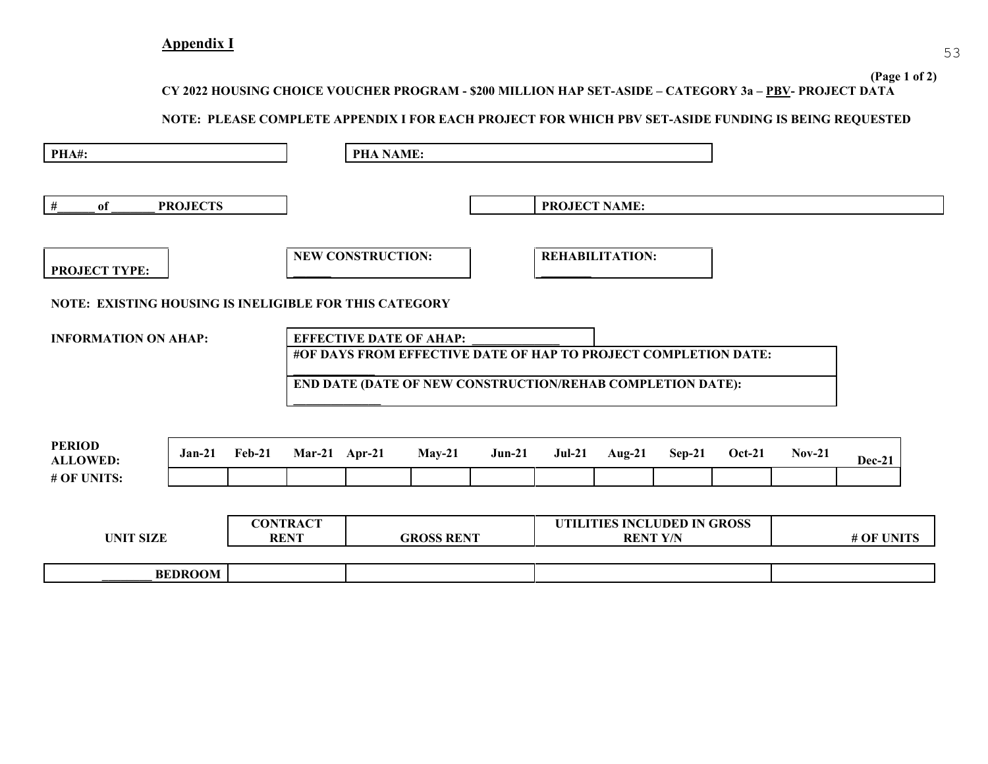**CY 2022 HOUSING CHOICE VOUCHER PROGRAM - \$200 MILLION HAP SET-ASIDE – CATEGORY 3a – PBV- PROJECT DATA** 

#### <span id="page-52-0"></span>**NOTE: PLEASE COMPLETE APPENDIX I FOR EACH PROJECT FOR WHICH PBV SET-ASIDE FUNDING IS BEING REQUESTED**

| PHA#:                                                  |                 |                                |               | <b>PHA NAME:</b>         |                                                                                                                                                                 |          |                      |                             |          |               |            |               |
|--------------------------------------------------------|-----------------|--------------------------------|---------------|--------------------------|-----------------------------------------------------------------------------------------------------------------------------------------------------------------|----------|----------------------|-----------------------------|----------|---------------|------------|---------------|
| #<br>of                                                | <b>PROJECTS</b> |                                |               |                          |                                                                                                                                                                 |          | <b>PROJECT NAME:</b> |                             |          |               |            |               |
| <b>PROJECT TYPE:</b>                                   |                 |                                |               | <b>NEW CONSTRUCTION:</b> |                                                                                                                                                                 |          |                      | <b>REHABILITATION:</b>      |          |               |            |               |
| NOTE: EXISTING HOUSING IS INELIGIBLE FOR THIS CATEGORY |                 |                                |               |                          |                                                                                                                                                                 |          |                      |                             |          |               |            |               |
| <b>INFORMATION ON AHAP:</b>                            |                 |                                |               |                          | <b>EFFECTIVE DATE OF AHAP:</b><br>#OF DAYS FROM EFFECTIVE DATE OF HAP TO PROJECT COMPLETION DATE:<br>END DATE (DATE OF NEW CONSTRUCTION/REHAB COMPLETION DATE): |          |                      |                             |          |               |            |               |
| <b>PERIOD</b><br><b>ALLOWED:</b><br># OF UNITS:        | $Jan-21$        | $Feb-21$                       | Mar-21 Apr-21 |                          | $May-21$                                                                                                                                                        | $Jun-21$ | $Jul-21$             | Aug- $21$                   | $Sep-21$ | <b>Oct-21</b> | $Nov-21$   | <b>Dec-21</b> |
| <b>UNIT SIZE</b>                                       |                 | <b>CONTRACT</b><br><b>RENT</b> |               | <b>GROSS RENT</b>        |                                                                                                                                                                 |          | <b>RENT Y/N</b>      | UTILITIES INCLUDED IN GROSS |          |               | # OF UNITS |               |
|                                                        | <b>BEDROOM</b>  |                                |               |                          |                                                                                                                                                                 |          |                      |                             |          |               |            |               |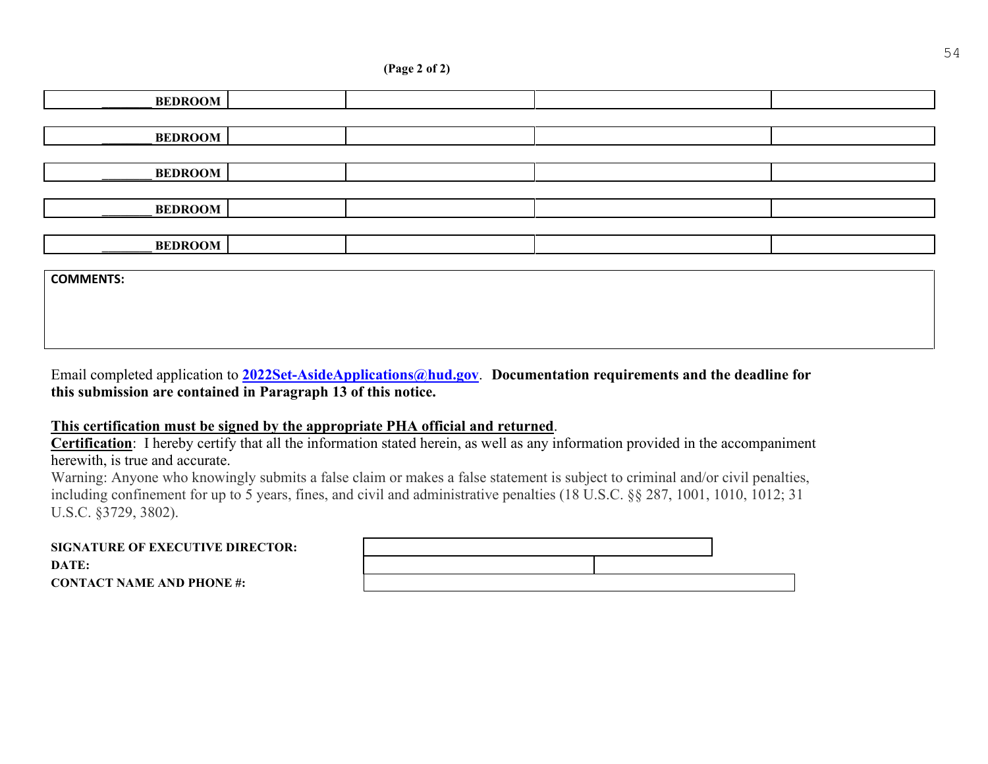#### **(Page 2 of 2)**

| <b>BEDROOM</b>   |  |  |
|------------------|--|--|
|                  |  |  |
| <b>BEDROOM</b>   |  |  |
|                  |  |  |
| <b>BEDROOM</b>   |  |  |
|                  |  |  |
| <b>BEDROOM</b>   |  |  |
|                  |  |  |
| <b>BEDROOM</b>   |  |  |
|                  |  |  |
| <b>COMMENTS:</b> |  |  |
|                  |  |  |

Email completed application to **[2022Set-AsideApplications@hud.gov](mailto:2022Set-AsideApplications@hud.gov)**. **Documentation requirements and the deadline for this submission are contained in Paragraph 13 of this notice.** 

#### **This certification must be signed by the appropriate PHA official and returned**.

**Certification**: I hereby certify that all the information stated herein, as well as any information provided in the accompaniment herewith, is true and accurate.

Warning: Anyone who knowingly submits a false claim or makes a false statement is subject to criminal and/or civil penalties, including confinement for up to 5 years, fines, and civil and administrative penalties (18 U.S.C. §§ 287, 1001, 1010, 1012; 31 U.S.C. §3729, 3802).

| <b>SIGNATURE OF EXECUTIVE DIRECTOR:</b> |  |
|-----------------------------------------|--|
| DATE:                                   |  |
| <b>CONTACT NAME AND PHONE #:</b>        |  |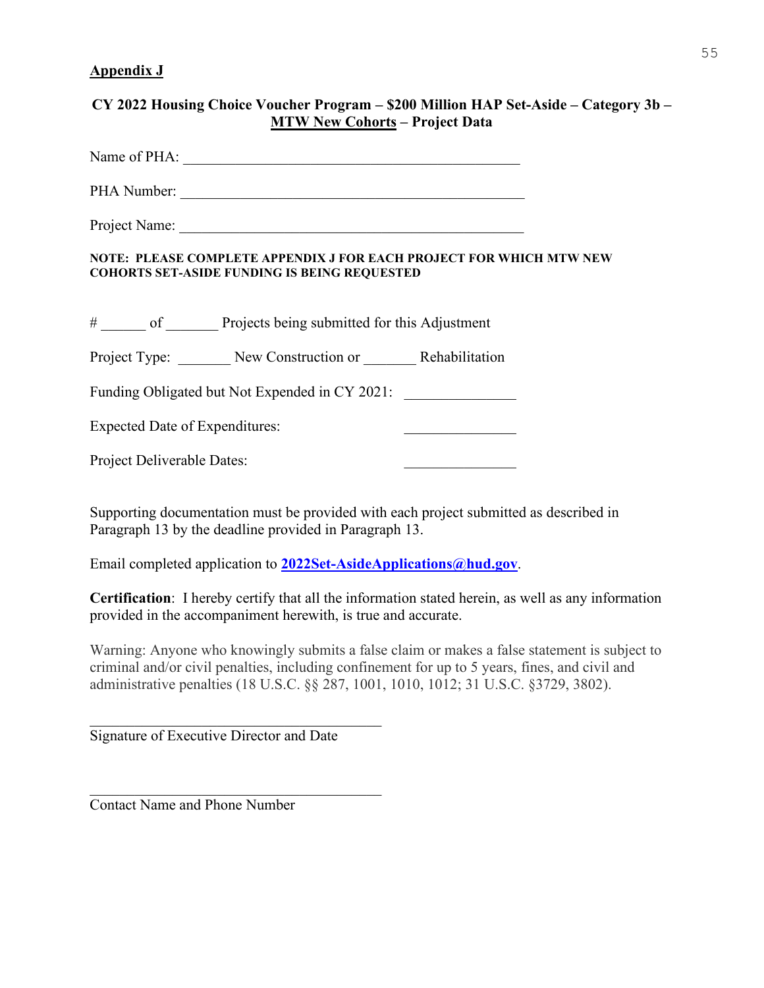#### <span id="page-54-0"></span>**Appendix J**

| CY 2022 Housing Choice Voucher Program – \$200 Million HAP Set-Aside – Category 3b –<br><b>MTW New Cohorts - Project Data</b> |  |
|-------------------------------------------------------------------------------------------------------------------------------|--|
| Name of PHA:                                                                                                                  |  |
| PHA Number:                                                                                                                   |  |
|                                                                                                                               |  |
| NOTE: PLEASE COMPLETE APPENDIX J FOR EACH PROJECT FOR WHICH MTW NEW<br><b>COHORTS SET-ASIDE FUNDING IS BEING REQUESTED</b>    |  |
| # ______ of _________ Projects being submitted for this Adjustment                                                            |  |
| Project Type: New Construction or Rehabilitation                                                                              |  |
| Funding Obligated but Not Expended in CY 2021:                                                                                |  |
| <b>Expected Date of Expenditures:</b>                                                                                         |  |
| Project Deliverable Dates:                                                                                                    |  |

Supporting documentation must be provided with each project submitted as described in Paragraph 13 by the deadline provided in Paragraph 13.

Email completed application to **[2022Set-AsideApplications@hud.gov](mailto:2022Set-AsideApplications@hud.gov)**.

**Certification**:I hereby certify that all the information stated herein, as well as any information provided in the accompaniment herewith, is true and accurate.

Warning: Anyone who knowingly submits a false claim or makes a false statement is subject to criminal and/or civil penalties, including confinement for up to 5 years, fines, and civil and administrative penalties (18 U.S.C. §§ 287, 1001, 1010, 1012; 31 U.S.C. §3729, 3802).

Signature of Executive Director and Date

 $\mathcal{L}_\text{max}$  and  $\mathcal{L}_\text{max}$  and  $\mathcal{L}_\text{max}$  and  $\mathcal{L}_\text{max}$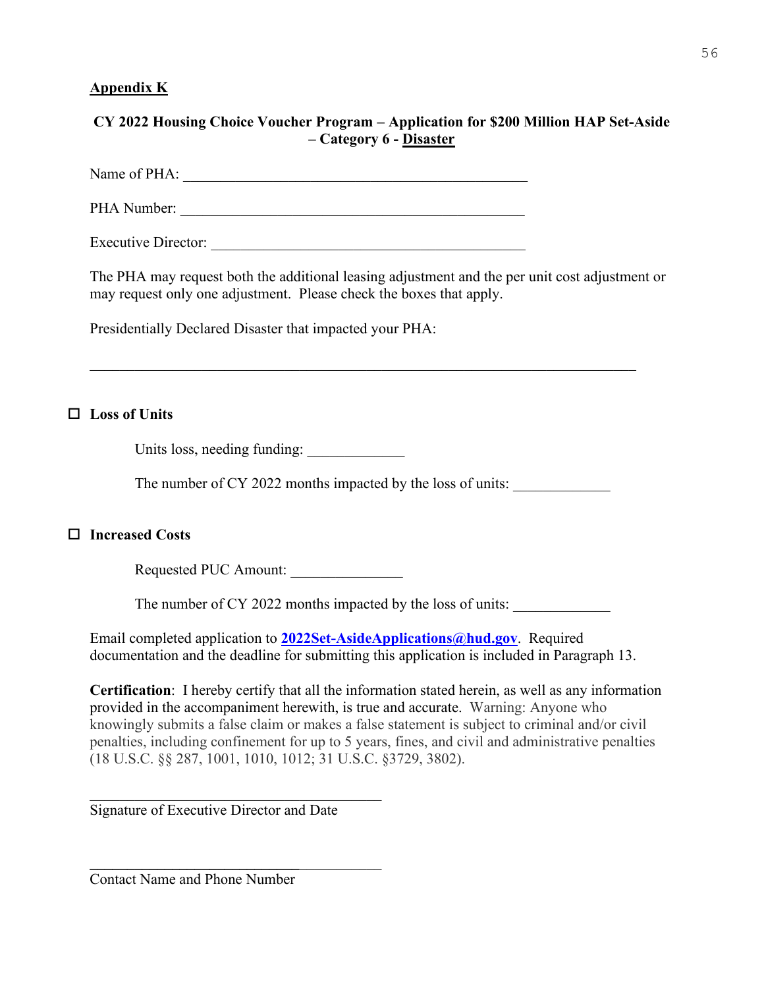### <span id="page-55-0"></span>**Appendix K**

# **CY 2022 Housing Choice Voucher Program – Application for \$200 Million HAP Set-Aside – Category 6 - Disaster**

Name of PHA: \_\_\_\_\_\_\_\_\_\_\_\_\_\_\_\_\_\_\_\_\_\_\_\_\_\_\_\_\_\_\_\_\_\_\_\_\_\_\_\_\_\_\_\_\_\_

PHA Number: \_\_\_\_\_\_\_\_\_\_\_\_\_\_\_\_\_\_\_\_\_\_\_\_\_\_\_\_\_\_\_\_\_\_\_\_\_\_\_\_\_\_\_\_\_\_

Executive Director:

The PHA may request both the additional leasing adjustment and the per unit cost adjustment or may request only one adjustment. Please check the boxes that apply.

Presidentially Declared Disaster that impacted your PHA:

# **Loss of Units**

Units loss, needing funding:

The number of CY 2022 months impacted by the loss of units:

# **Increased Costs**

Requested PUC Amount:

The number of CY 2022 months impacted by the loss of units:

Email completed application to **[2022Set-AsideApplications@hud.gov](mailto:2022Set-AsideApplications@hud.gov)**. Required documentation and the deadline for submitting this application is included in Paragraph 13.

**Certification**:I hereby certify that all the information stated herein, as well as any information provided in the accompaniment herewith, is true and accurate. Warning: Anyone who knowingly submits a false claim or makes a false statement is subject to criminal and/or civil penalties, including confinement for up to 5 years, fines, and civil and administrative penalties (18 U.S.C. §§ 287, 1001, 1010, 1012; 31 U.S.C. §3729, 3802).

Signature of Executive Director and Date

**\_\_\_\_\_\_\_\_\_\_\_\_\_\_\_\_\_\_\_\_\_\_\_\_\_\_\_\_**\_\_\_\_\_\_\_\_\_\_\_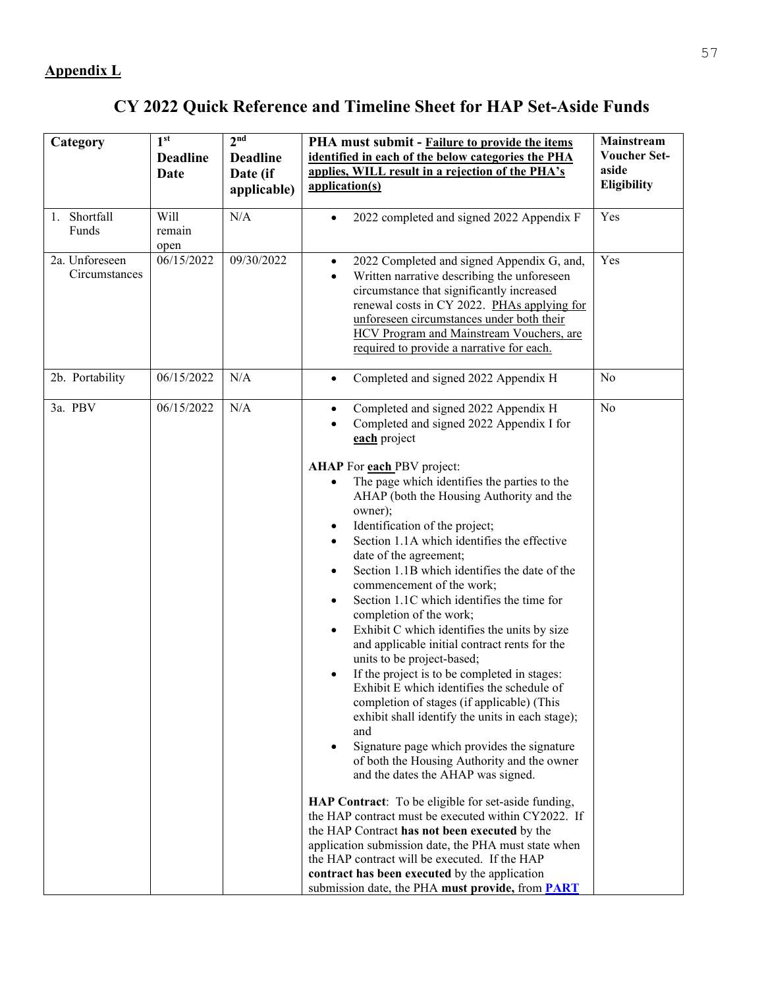# **CY 2022 Quick Reference and Timeline Sheet for HAP Set-Aside Funds**

<span id="page-56-0"></span>

| Category                        | 1 <sup>st</sup><br><b>Deadline</b><br>Date | 2 <sub>nd</sub><br><b>Deadline</b><br>Date (if<br>applicable) | PHA must submit - Failure to provide the items<br>identified in each of the below categories the PHA<br>applies, WILL result in a rejection of the PHA's<br>application(s)                                                                                                                                                                                                                                                                                                                                                                                                                                                                                                                                                                                                                                                                                                                                                                                                                                                                                                                                                                                                                                                                                                        | Mainstream<br><b>Voucher Set-</b><br>aside<br>Eligibility |
|---------------------------------|--------------------------------------------|---------------------------------------------------------------|-----------------------------------------------------------------------------------------------------------------------------------------------------------------------------------------------------------------------------------------------------------------------------------------------------------------------------------------------------------------------------------------------------------------------------------------------------------------------------------------------------------------------------------------------------------------------------------------------------------------------------------------------------------------------------------------------------------------------------------------------------------------------------------------------------------------------------------------------------------------------------------------------------------------------------------------------------------------------------------------------------------------------------------------------------------------------------------------------------------------------------------------------------------------------------------------------------------------------------------------------------------------------------------|-----------------------------------------------------------|
| 1. Shortfall<br>Funds           | Will<br>remain<br>open                     | N/A                                                           | 2022 completed and signed 2022 Appendix F                                                                                                                                                                                                                                                                                                                                                                                                                                                                                                                                                                                                                                                                                                                                                                                                                                                                                                                                                                                                                                                                                                                                                                                                                                         | Yes                                                       |
| 2a. Unforeseen<br>Circumstances | 06/15/2022                                 | 09/30/2022                                                    | 2022 Completed and signed Appendix G, and,<br>$\bullet$<br>Written narrative describing the unforeseen<br>$\bullet$<br>circumstance that significantly increased<br>renewal costs in CY 2022. PHAs applying for<br>unforeseen circumstances under both their<br>HCV Program and Mainstream Vouchers, are<br>required to provide a narrative for each.                                                                                                                                                                                                                                                                                                                                                                                                                                                                                                                                                                                                                                                                                                                                                                                                                                                                                                                             | Yes                                                       |
| 2b. Portability                 | 06/15/2022                                 | N/A                                                           | Completed and signed 2022 Appendix H<br>$\bullet$                                                                                                                                                                                                                                                                                                                                                                                                                                                                                                                                                                                                                                                                                                                                                                                                                                                                                                                                                                                                                                                                                                                                                                                                                                 | No                                                        |
| 3a. PBV                         | 06/15/2022                                 | N/A                                                           | Completed and signed 2022 Appendix H<br>$\bullet$<br>Completed and signed 2022 Appendix I for<br>$\bullet$<br>each project                                                                                                                                                                                                                                                                                                                                                                                                                                                                                                                                                                                                                                                                                                                                                                                                                                                                                                                                                                                                                                                                                                                                                        | No                                                        |
|                                 |                                            |                                                               | AHAP For each PBV project:<br>The page which identifies the parties to the<br>AHAP (both the Housing Authority and the<br>owner);<br>Identification of the project;<br>٠<br>Section 1.1A which identifies the effective<br>date of the agreement;<br>Section 1.1B which identifies the date of the<br>$\bullet$<br>commencement of the work;<br>Section 1.1C which identifies the time for<br>completion of the work;<br>Exhibit C which identifies the units by size<br>٠<br>and applicable initial contract rents for the<br>units to be project-based;<br>If the project is to be completed in stages:<br>Exhibit E which identifies the schedule of<br>completion of stages (if applicable) (This<br>exhibit shall identify the units in each stage);<br>and<br>Signature page which provides the signature<br>of both the Housing Authority and the owner<br>and the dates the AHAP was signed.<br>HAP Contract: To be eligible for set-aside funding,<br>the HAP contract must be executed within CY2022. If<br>the HAP Contract has not been executed by the<br>application submission date, the PHA must state when<br>the HAP contract will be executed. If the HAP<br>contract has been executed by the application<br>submission date, the PHA must provide, from PART |                                                           |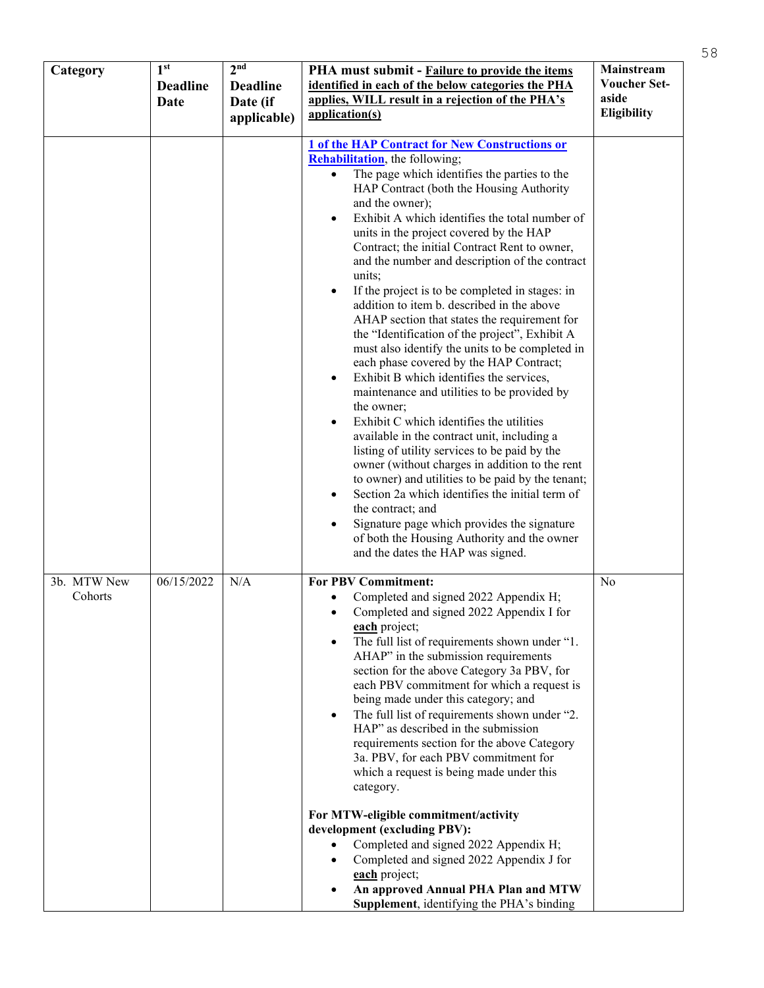| Category               | 1 <sup>st</sup><br><b>Deadline</b><br>Date | 2 <sup>nd</sup><br><b>Deadline</b><br>Date (if<br>applicable) | PHA must submit - Failure to provide the items<br>identified in each of the below categories the PHA<br>applies, WILL result in a rejection of the PHA's<br>application(s)                                                                                                                                                                                                                                                                                                                                                                                                                                                                                                                                                                                                                                                                                                                                                                                                                                                                                                                                                                                                                                                                                                                                                              | Mainstream<br><b>Voucher Set-</b><br>aside<br>Eligibility |
|------------------------|--------------------------------------------|---------------------------------------------------------------|-----------------------------------------------------------------------------------------------------------------------------------------------------------------------------------------------------------------------------------------------------------------------------------------------------------------------------------------------------------------------------------------------------------------------------------------------------------------------------------------------------------------------------------------------------------------------------------------------------------------------------------------------------------------------------------------------------------------------------------------------------------------------------------------------------------------------------------------------------------------------------------------------------------------------------------------------------------------------------------------------------------------------------------------------------------------------------------------------------------------------------------------------------------------------------------------------------------------------------------------------------------------------------------------------------------------------------------------|-----------------------------------------------------------|
|                        |                                            |                                                               | <b>1 of the HAP Contract for New Constructions or</b><br><b>Rehabilitation</b> , the following;<br>The page which identifies the parties to the<br>$\bullet$<br>HAP Contract (both the Housing Authority<br>and the owner);<br>Exhibit A which identifies the total number of<br>units in the project covered by the HAP<br>Contract; the initial Contract Rent to owner,<br>and the number and description of the contract<br>units;<br>If the project is to be completed in stages: in<br>$\bullet$<br>addition to item b. described in the above<br>AHAP section that states the requirement for<br>the "Identification of the project", Exhibit A<br>must also identify the units to be completed in<br>each phase covered by the HAP Contract;<br>Exhibit B which identifies the services,<br>$\bullet$<br>maintenance and utilities to be provided by<br>the owner;<br>Exhibit C which identifies the utilities<br>available in the contract unit, including a<br>listing of utility services to be paid by the<br>owner (without charges in addition to the rent<br>to owner) and utilities to be paid by the tenant;<br>Section 2a which identifies the initial term of<br>the contract; and<br>Signature page which provides the signature<br>of both the Housing Authority and the owner<br>and the dates the HAP was signed. |                                                           |
| 3b. MTW New<br>Cohorts | 06/15/2022                                 | N/A                                                           | <b>For PBV Commitment:</b><br>Completed and signed 2022 Appendix H;<br>Completed and signed 2022 Appendix I for<br>each project;<br>The full list of requirements shown under "1.<br>AHAP" in the submission requirements<br>section for the above Category 3a PBV, for<br>each PBV commitment for which a request is<br>being made under this category; and<br>The full list of requirements shown under "2.<br>HAP" as described in the submission<br>requirements section for the above Category<br>3a. PBV, for each PBV commitment for<br>which a request is being made under this<br>category.<br>For MTW-eligible commitment/activity<br>development (excluding PBV):<br>Completed and signed 2022 Appendix H;<br>Completed and signed 2022 Appendix J for<br>each project;<br>An approved Annual PHA Plan and MTW<br><b>Supplement</b> , identifying the PHA's binding                                                                                                                                                                                                                                                                                                                                                                                                                                                          | No                                                        |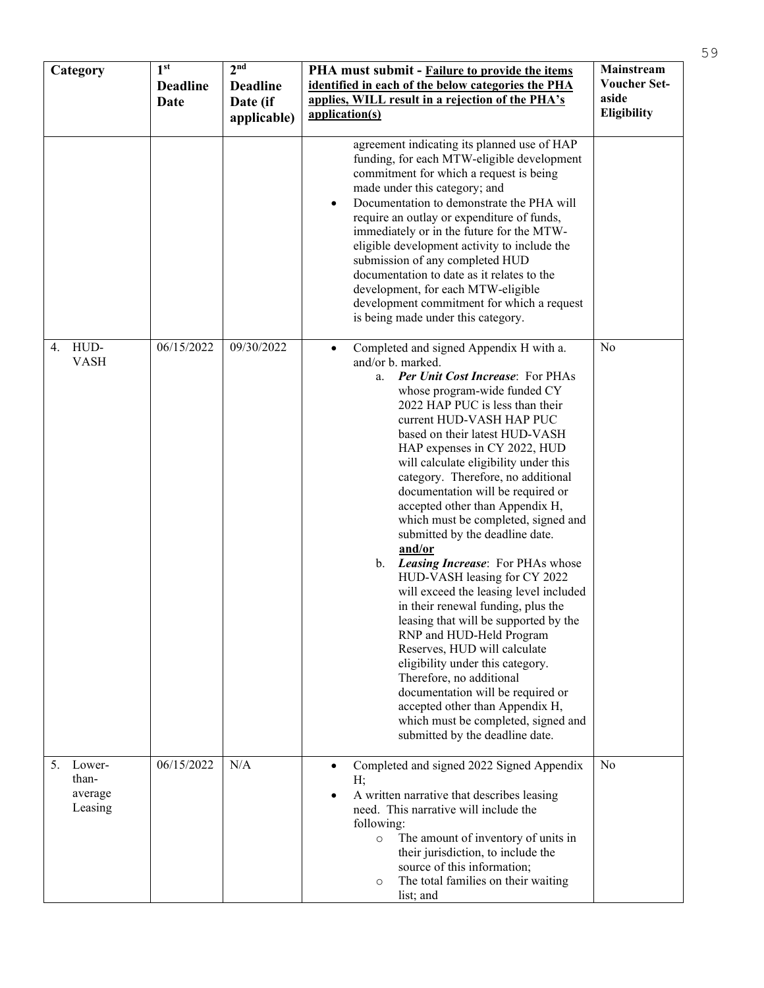| Category                                    | 1 <sup>st</sup><br><b>Deadline</b><br>Date | 2 <sup>nd</sup><br><b>Deadline</b><br>Date (if<br>applicable) | PHA must submit - Failure to provide the items<br>identified in each of the below categories the PHA<br>applies, WILL result in a rejection of the PHA's<br>application(s)                                                                                                                                                                                                                                                                                                                                                                                                                                                                                                                                                                                                                                                                                                                                                                                                                                           | Mainstream<br><b>Voucher Set-</b><br>aside<br>Eligibility |
|---------------------------------------------|--------------------------------------------|---------------------------------------------------------------|----------------------------------------------------------------------------------------------------------------------------------------------------------------------------------------------------------------------------------------------------------------------------------------------------------------------------------------------------------------------------------------------------------------------------------------------------------------------------------------------------------------------------------------------------------------------------------------------------------------------------------------------------------------------------------------------------------------------------------------------------------------------------------------------------------------------------------------------------------------------------------------------------------------------------------------------------------------------------------------------------------------------|-----------------------------------------------------------|
|                                             |                                            |                                                               | agreement indicating its planned use of HAP<br>funding, for each MTW-eligible development<br>commitment for which a request is being<br>made under this category; and<br>Documentation to demonstrate the PHA will<br>$\bullet$<br>require an outlay or expenditure of funds,<br>immediately or in the future for the MTW-<br>eligible development activity to include the<br>submission of any completed HUD<br>documentation to date as it relates to the<br>development, for each MTW-eligible<br>development commitment for which a request<br>is being made under this category.                                                                                                                                                                                                                                                                                                                                                                                                                                |                                                           |
| HUD-<br>4.<br><b>VASH</b>                   | 06/15/2022                                 | 09/30/2022                                                    | Completed and signed Appendix H with a.<br>$\bullet$<br>and/or b. marked.<br><b>Per Unit Cost Increase: For PHAs</b><br>a.<br>whose program-wide funded CY<br>2022 HAP PUC is less than their<br>current HUD-VASH HAP PUC<br>based on their latest HUD-VASH<br>HAP expenses in CY 2022, HUD<br>will calculate eligibility under this<br>category. Therefore, no additional<br>documentation will be required or<br>accepted other than Appendix H,<br>which must be completed, signed and<br>submitted by the deadline date.<br>and/or<br>b. Leasing Increase: For PHAs whose<br>HUD-VASH leasing for CY 2022<br>will exceed the leasing level included<br>in their renewal funding, plus the<br>leasing that will be supported by the<br>RNP and HUD-Held Program<br>Reserves, HUD will calculate<br>eligibility under this category.<br>Therefore, no additional<br>documentation will be required or<br>accepted other than Appendix H,<br>which must be completed, signed and<br>submitted by the deadline date. | N <sub>0</sub>                                            |
| 5.<br>Lower-<br>than-<br>average<br>Leasing | 06/15/2022                                 | N/A                                                           | Completed and signed 2022 Signed Appendix<br>$\bullet$<br>H:<br>A written narrative that describes leasing<br>need. This narrative will include the<br>following:<br>The amount of inventory of units in<br>$\circ$<br>their jurisdiction, to include the<br>source of this information;<br>The total families on their waiting<br>$\circ$<br>list; and                                                                                                                                                                                                                                                                                                                                                                                                                                                                                                                                                                                                                                                              | No                                                        |